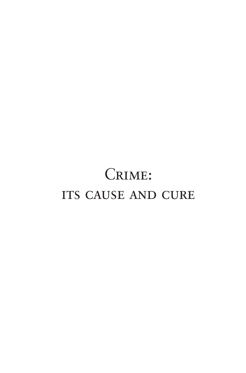## CRIME: ITS CAUSE AND CURE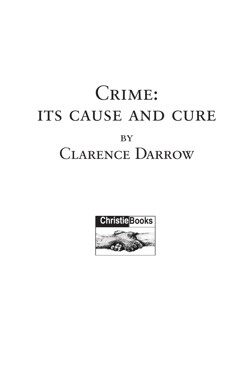# Crime: ITS CAUSE AND CURE **BY** Clarence Darrow

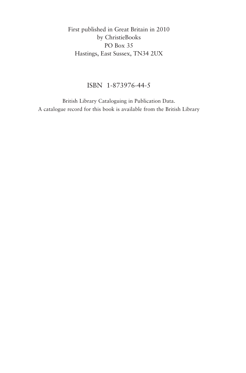First published in Great Britain in 2010 by ChristieBooks PO Box 35 Hastings, East Sussex, TN34 2UX

#### ISBN 1-873976-44-5

British Library Cataloguing in Publication Data. [A catalogue record for this book is available from the British Library](http://www.christiebooks.com/ChristieBooksWP/)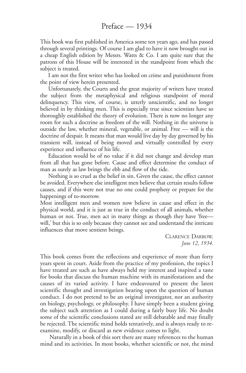This book was first published in America some ten years ago, and has passed through several printings. Of course I am glad to have it now brought out in a cheap English edition by Messrs. Watts & Co. I am quite sure that the patrons of this House will be interested in the standpoint from which the subject is treated.

I am not the first writer who has looked on crime and punishment from the point of view herein presented.

Unfortunately, the Courts and the great majority of writers have treated the subject from the metaphysical and religious standpoint of moral delinquency. This view, of course, is utterly unscientific, and no longer believed in by thinking men. This is especially true since scientists have so thoroughly established the theory of evolution. There is now no longer any room for such a doctrine as freedom of the will. Nothing in the universe is outside the law, whether mineral, vegetable, or animal. Free — will is the doctrine of despair. It means that man would live day by day governed by his transient will, instead of being moved and virtually controlled by every experience and influence of his life.

Education would be of no value if it did not change and develop man from all that has gone before. Cause and effect determine the conduct of man as surely as law brings the ebb and flow of the tide.

Nothing is so cruel as the belief in sin. Given the cause, the effect cannot be avoided. Everywhere else intelligent men believe that certain results follow causes, and if this were not true no one could prophesy or prepare for the happenings of to-morrow.

Most intelligent men and women now believe in cause and effect in the physical world, and it is just as true in the conduct of all animals, whether human or not. True, men act in many things as though they have 'free will,' but this is so only because they cannot see and understand the intricate influences that move sentient beings.

> CLARENCE DARROW. *June 12, 1934.*

This book comes from the reflections and experience of more than forty years spent in court. Aside from the practice of my profession, the topics I have treated are such as have always held my interest and inspired a taste for books that discuss the human machine with its manifestations and the causes of its varied activity. I have endeavoured to present the latest scientific thought and investigation bearing upon the question of human conduct. I do not pretend to be an original investigator, nor an authority on biology, psychology, or philosophy. I have simply been a student giving the subject such attention as I could during a fairly busy life. No doubt some of the scientific conclusions stated are still debatable and may finally be rejected. The scientific mind holds tentatively, and is always ready to reexamine, modify, or discard as new evidence comes to light.

Naturally in a book of this sort there are many references to the human mind and its activities. In most books, whether scientific or not, the mind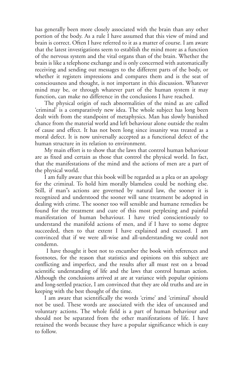has generally been more closely associated with the brain than any other portion of the body. As a rule I have assumed that this view of mind and brain is correct. Often I have referred to it as a matter of course. I am aware that the latest investigations seem to establish the mind more as a function of the nervous system and the vital organs than of the brain. Whether the brain is like a telephone exchange and is only concerned with automatically receiving and sending out messages to the different parts of the body, or whether it registers impressions and compares them and is the seat of consciousness and thought, is not important in this discussion. Whatever mind may be, or through whatever part of the human system it may function, can make no difference in the conclusions I have reached.

The physical origin of such abnormalities of the mind as are called 'criminal' is a comparatively new idea. The whole subject has long been dealt with from the standpoint of metaphysics. Man has slowly banished chance from the material world and left behaviour alone outside the realm of cause and effect. It has not been long since insanity was treated as a moral defect. It is now universally accepted as a functional defect of the human structure in its relation to environment.

My main effort is to show that the laws that control human behaviour are as fixed and certain as those that control the physical world. In fact, that the manifestations of the mind and the actions of men are a part of the physical world.

I am fully aware that this book will be regarded as a plea or an apology for the criminal. To hold him morally blameless could be nothing else. Still, if man''s actions are governed by natural law, the sooner it is recognized and understood the sooner will sane treatment be adopted in dealing with crime. The sooner too will sensible and humane remedies be found for the treatment and cure of this most perplexing and painful manifestation of human behaviour. I have tried conscientiously to understand the manifold actions of men, and if I have to some degree succeeded, then to that extent I have explained and excused. I am convinced that if we were all-wise and all-understanding we could not condemn.

I have thought it best not to encumber the book with references and footnotes, for the reason that statistics and opinions on this subject are conflicting and imperfect, and the results after all must rest on a broad scientific understanding of life and the laws that control human action. Although the conclusions arrived at are at variance with popular opinions and long-settled practice, I am convinced that they are old truths and are in keeping with the best thought of the time.

I am aware that scientifically the words 'crime' and 'criminal' should not be used. These words are associated with the idea of uncaused and voluntary actions. The whole field is a part of human behaviour and should not be separated from the other manifestations of life. I have retained the words because they have a popular significance which is easy to follow.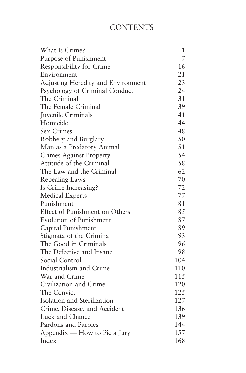### **CONTENTS**

| What Is Crime?                     | $\mathbf{1}$ |
|------------------------------------|--------------|
| Purpose of Punishment              | 7            |
| Responsibility for Crime           | 16           |
| Environment                        | 21           |
| Adjusting Heredity and Environment | 23           |
| Psychology of Criminal Conduct     | 24           |
| The Criminal                       | 31           |
| The Female Criminal                | 39           |
| Juvenile Criminals                 | 41           |
| Homicide                           | 44           |
| Sex Crimes                         | 48           |
| Robbery and Burglary               | 50           |
| Man as a Predatory Animal          | 51           |
| <b>Crimes Against Property</b>     | 54           |
| Attitude of the Criminal           | 58           |
| The Law and the Criminal           | 62           |
| Repealing Laws                     | 70           |
| Is Crime Increasing?               | 72           |
| Medical Experts                    | 77           |
| Punishment                         | 81           |
| Effect of Punishment on Others     | 85           |
| <b>Evolution of Punishment</b>     | 87           |
| Capital Punishment                 | 89           |
| Stigmata of the Criminal           | 93           |
| The Good in Criminals              | 96           |
| The Defective and Insane           | 98           |
| Social Control                     | 104          |
| Industrialism and Crime            | 110          |
| War and Crime                      | 115          |
| Civilization and Crime             | 120          |
| The Convict                        | 125          |
| Isolation and Sterilization        | 127          |
| Crime, Disease, and Accident       | 136          |
| Luck and Chance                    | 139          |
| Pardons and Paroles                | 144          |
| Appendix — How to Pic a Jury       | 157          |
| Index                              | 168          |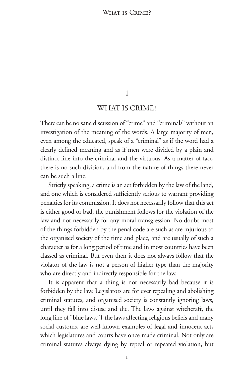#### What is Crime?

#### 1

#### WHAT IS CRIME?

There can be no sane discussion of "crime" and "criminals" without an investigation of the meaning of the words. A large majority of men, even among the educated, speak of a "criminal" as if the word had a clearly defined meaning and as if men were divided by a plain and distinct line into the criminal and the virtuous. As a matter of fact, there is no such division, and from the nature of things there never can be such a line.

Strictly speaking, a crime is an act forbidden by the law of the land, and one which is considered sufficiently serious to warrant providing penalties for its commission. It does not necessarily follow that this act is either good or bad; the punishment follows for the violation of the law and not necessarily for any moral transgression. No doubt most of the things forbidden by the penal code are such as are injurious to the organised society of the time and place, and are usually of such a character as for a long period of time and in most countries have been classed as criminal. But even then it does not always follow that the violator of the law is not a person of higher type than the majority who are directly and indirectly responsible for the law.

It is apparent that a thing is not necessarily bad because it is forbidden by the law. Legislators are for ever repealing and abolishing criminal statutes, and organised society is constantly ignoring laws, until they fall into disuse and die. The laws against witchcraft, the long line of "blue laws,"1 the laws affecting religious beliefs and many social customs, are well-known examples of legal and innocent acts which legislatures and courts have once made criminal. Not only are criminal statutes always dying by repeal or repeated violation, but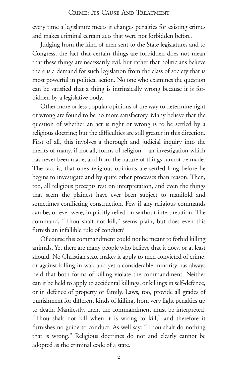every time a legislature meets it changes penalties for existing crimes and makes criminal certain acts that were not forbidden before.

Judging from the kind of men sent to the State legislatures and to Congress, the fact that certain things are forbidden does not mean that these things are necessarily evil, but rather that politicians believe there is a demand for such legislation from the class of society that is most powerful in political action. No one who examines the question can be satisfied that a thing is intrinsically wrong because it is forbidden by a legislative body.

Other more or less popular opinions of the way to determine right or wrong are found to be no more satisfactory. Many believe that the question of whether an act is right or wrong is to be settled by a religious doctrine; but the difficulties are still greater in this direction. First of all, this involves a thorough and judicial inquiry into the merits of many, if not all, forms of religion – an investigation which has never been made, and from the nature of things cannot be made. The fact is, that one's religious opinions are settled long before he begins to investigate and by quite other processes than reason. Then, too, all religious precepts rest on interpretation, and even the things that seem the plainest have ever been subject to manifold and sometimes conflicting construction. Few if any religious commands can be, or ever were, implicitly relied on without interpretation. The command, "Thou shalt not kill," seems plain, but does even this furnish an infallible rule of conduct?

Of course this commandment could not be meant to forbid killing animals. Yet there are many people who believe that it does, or at least should. No Christian state makes it apply to men convicted of crime, or against killing in war, and yet a considerable minority has always held that both forms of killing violate the commandment. Neither can it be held to apply to accidental killings, or killings in self-defence, or in defence of property or family. Laws, too, provide all grades of punishment for different kinds of killing, from very light penalties up to death. Manifestly, then, the commandment must be interpreted, "Thou shalt not kill when it is wrong to kill," and therefore it furnishes no guide to conduct. As well say: "Thou shalt do nothing that is wrong." Religious doctrines do not and clearly cannot be adopted as the criminal code of a state.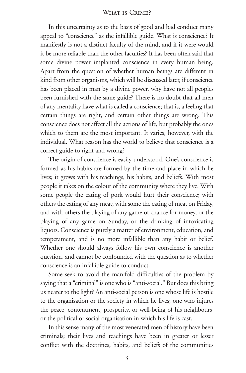#### WHAT IS CRIME?

In this uncertainty as to the basis of good and bad conduct many appeal to "conscience" as the infallible guide. What is conscience? It manifestly is not a distinct faculty of the mind, and if it were would it be more reliable than the other faculties? It has been often said that some divine power implanted conscience in every human being. Apart from the question of whether human beings are different in kind from other organisms, which will be discussed later, if conscience has been placed in man by a divine power, why have not all peoples been furnished with the same guide? There is no doubt that all men of any mentality have what is called a conscience; that is, a feeling that certain things are right, and certain other things are wrong. This conscience does not affect all the actions of life, but probably the ones which to them are the most important. It varies, however, with the individual. What reason has the world to believe that conscience is a correct guide to right and wrong?

The origin of conscience is easily understood. One's conscience is formed as his habits are formed by the time and place in which he lives; it grows with his teachings, his habits, and beliefs. With most people it takes on the colour of the community where they live. With some people the eating of pork would hurt their conscience; with others the eating of any meat; with some the eating of meat on Friday, and with others the playing of any game of chance for money, or the playing of any game on Sunday, or the drinking of intoxicating liquors. Conscience is purely a matter of environment, education, and temperament, and is no more infallible than any habit or belief. Whether one should always follow his own conscience is another question, and cannot be confounded with the question as to whether conscience is an infallible guide to conduct.

Some seek to avoid the manifold difficulties of the problem by saying that a "criminal" is one who is "anti-social." But does this bring us nearer to the light? An anti-social person is one whose life is hostile to the organisation or the society in which he lives; one who injures the peace, contentment, prosperity, or well-being of his neighbours, or the political or social organisation in which his life is cast.

In this sense many of the most venerated men of history have been criminals; their lives and teachings have been in greater or lesser conflict with the doctrines, habits, and beliefs of the communities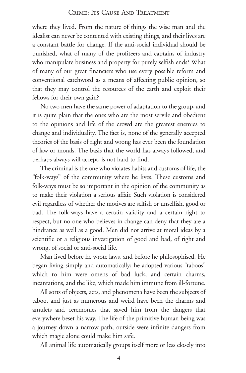where they lived. From the nature of things the wise man and the idealist can never be contented with existing things, and their lives are a constant battle for change. If the anti-social individual should be punished, what of many of the profiteers and captains of industry who manipulate business and property for purely selfish ends? What of many of our great financiers who use every possible reform and conventional catchword as a means of affecting public opinion, so that they may control the resources of the earth and exploit their fellows for their own gain?

No two men have the same power of adaptation to the group, and it is quite plain that the ones who are the most servile and obedient to the opinions and life of the crowd are the greatest enemies to change and individuality. The fact is, none of the generally accepted theories of the basis of right and wrong has ever been the foundation of law or morals. The basis that the world has always followed, and perhaps always will accept, is not hard to find.

The criminal is the one who violates habits and customs of life, the "folk-ways" of the community where he lives. These customs and folk-ways must be so important in the opinion of the community as to make their violation a serious affair. Such violation is considered evil regardless of whether the motives are selfish or unselfish, good or bad. The folk-ways have a certain validity and a certain right to respect, but no one who believes in change can deny that they are a hindrance as well as a good. Men did not arrive at moral ideas by a scientific or a religious investigation of good and bad, of right and wrong, of social or anti-social life.

Man lived before he wrote laws, and before he philosophised. He began living simply and automatically; he adopted various "taboos" which to him were omens of bad luck, and certain charms, incantations, and the like, which made him immune from ill-fortune.

All sorts of objects, acts, and phenomena have been the subjects of taboo, and just as numerous and weird have been the charms and amulets and ceremonies that saved him from the dangers that everywhere beset his way. The life of the primitive human being was a journey down a narrow path; outside were infinite dangers from which magic alone could make him safe.

All animal life automatically groups itself more or less closely into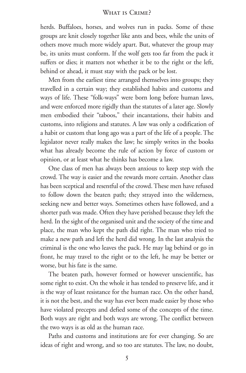#### WHAT IS CRIME?

herds. Buffaloes, horses, and wolves run in packs. Some of these groups are knit closely together like ants and bees, while the units of others move much more widely apart. But, whatever the group may be, its units must conform. If the wolf gets too far from the pack it suffers or dies; it matters not whether it be to the right or the left, behind or ahead, it must stay with the pack or be lost.

Men from the earliest time arranged themselves into groups; they travelled in a certain way; they established habits and customs and ways of life. These "folk-ways" were born long before human laws, and were enforced more rigidly than the statutes of a later age. Slowly men embodied their "taboos," their incantations, their habits and customs, into religions and statutes. A law was only a codification of a habit or custom that long ago was a part of the life of a people. The legislator never really makes the law; he simply writes in the books what has already become the rule of action by force of custom or opinion, or at least what he thinks has become a law.

One class of men has always been anxious to keep step with the crowd. The way is easier and the rewards more certain. Another class has been sceptical and resentful of the crowd. These men have refused to follow down the beaten path; they strayed into the wilderness, seeking new and better ways. Sometimes others have followed, and a shorter path was made. Often they have perished because they left the herd. In the sight of the organised unit and the society of the time and place, the man who kept the path did right. The man who tried to make a new path and left the herd did wrong. In the last analysis the criminal is the one who leaves the pack. He may lag behind or go in front, he may travel to the right or to the left, he may be better or worse, but his fate is the same.

The beaten path, however formed or however unscientific, has some right to exist. On the whole it has tended to preserve life, and it is the way of least resistance for the human race. On the other hand, it is not the best, and the way has ever been made easier by those who have violated precepts and defied some of the concepts of the time. Both ways are right and both ways are wrong. The conflict between the two ways is as old as the human race.

Paths and customs and institutions are for ever changing. So are ideas of right and wrong, and so too are statutes. The law, no doubt,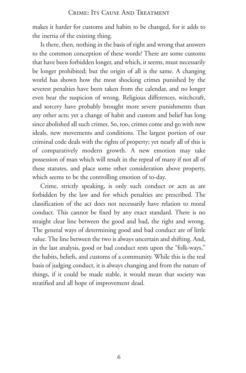makes it harder for customs and habits to be changed, for it adds to the inertia of the existing thing.

Is there, then, nothing in the basis of right and wrong that answers to the common conception of these words? There are some customs that have been forbidden longer, and which, it seems, must necessarily be longer prohibited; but the origin of all is the same. A changing world has shown how the most shocking crimes punished by the severest penalties have been taken from the calendar, and no longer even bear the suspicion of wrong. Religious differences, witchcraft, and sorcery have probably brought more severe punishments than any other acts; yet a change of habit and custom and belief has long since abolished all such crimes. So, too, crimes come and go with new ideals, new movements and conditions. The largest portion of our criminal code deals with the rights of property; yet nearly all of this is of comparatively modern growth. A new emotion may take possession of man which will result in the repeal of many if not all of these statutes, and place some other consideration above property, which seems to be the controlling emotion of to-day.

Crime, strictly speaking, is only such conduct or acts as are forbidden by the law and for which penalties are prescribed. The classification of the act does not necessarily have relation to moral conduct. This cannot be fixed by any exact standard. There is no straight clear line between the good and bad, the right and wrong. The general ways of determining good and bad conduct are of little value. The line between the two is always uncertain and shifting. And, in the last analysis, good or bad conduct rests upon the "folk-ways," the habits, beliefs, and customs of a community. While this is the real basis of judging conduct, it is always changing and from the nature of things, if it could be made stable, it would mean that society was stratified and all hope of improvement dead.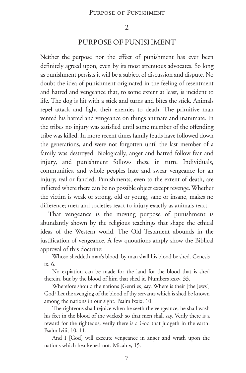#### Purpose of Punishment

 $\mathcal{D}_{\mathcal{L}}$ 

#### PURPOSE OF PUNISHMENT

Neither the purpose nor the effect of punishment has ever been definitely agreed upon, even by its most strenuous advocates. So long as punishment persists it will be a subject of discussion and dispute. No doubt the idea of punishment originated in the feeling of resentment and hatred and vengeance that, to some extent at least, is incident to life. The dog is hit with a stick and turns and bites the stick. Animals repel attack and fight their enemies to death. The primitive man vented his hatred and vengeance on things animate and inanimate. In the tribes no injury was satisfied until some member of the offending tribe was killed. In more recent times family feuds have followed down the generations, and were not forgotten until the last member of a family was destroyed. Biologically, anger and hatred follow fear and injury, and punishment follows these in turn. Individuals, communities, and whole peoples hate and swear vengeance for an injury, real or fancied. Punishments, even to the extent of death, are inflicted where there can be no possible object except revenge. Whether the victim is weak or strong, old or young, sane or insane, makes no difference; men and societies react to injury exactly as animals react.

That vengeance is the moving purpose of punishment is abundantly shown by the religious teachings that shape the ethical ideas of the Western world. The Old Testament abounds in the justification of vengeance. A few quotations amply show the Biblical approval of this doctrine:

Whoso sheddeth man's blood, by man shall his blood be shed. Genesis ix. 6.

No expiation can be made for the land for the blood that is shed therein, but by the blood of him that shed it. Numbers xxxv, 33.

Wherefore should the nations [Gentiles] say, Where is their [the Jews'] God? Let the avenging of the blood of thy servants which is shed be known among the nations in our sight. Psalm lxxix, 10.

The righteous shall rejoice when he seeth the vengeance; he shall wash his feet in the blood of the wicked; so that men shall say, Verily there is a reward for the righteous, verily there is a God that judgeth in the earth. Psalm lviii, 10, 11.

And I [God] will execute vengeance in anger and wrath upon the nations which hearkened not. Micah v, 15.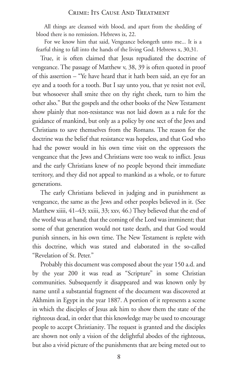All things are cleansed with blood, and apart from the shedding of blood there is no remission. Hebrews ix, 22.

For we know him that said, Vengeance belongeth unto me... It is a fearful thing to fall into the hands of the living God. Hebrews x, 30,31.

True, it is often claimed that Jesus repudiated the doctrine of vengeance. The passage of Matthew v, 38, 39 is often quoted in proof of this assertion – "Ye have heard that it hath been said, an eye for an eye and a tooth for a tooth. But I say unto you, that ye resist not evil, but whosoever shall smite thee on thy right cheek, turn to him the other also." But the gospels and the other books of the New Testament show plainly that non-resistance was not laid down as a rule for the guidance of mankind, but only as a policy by one sect of the Jews and Christians to save themselves from the Romans. The reason for the doctrine was the belief that resistance was hopeless, and that God who had the power would in his own time visit on the oppressors the vengeance that the Jews and Christians were too weak to inflict. Jesus and the early Christians knew of no people beyond their immediate territory, and they did not appeal to mankind as a whole, or to future generations.

The early Christians believed in judging and in punishment as vengeance, the same as the Jews and other peoples believed in it. (See Matthew xiiii, 41–43; xxiii, 33; xxv, 46.) They believed that the end of the world was at hand; that the coming of the Lord was imminent; that some of that generation would not taste death, and that God would punish sinners, in his own time. The New Testament is replete with this doctrine, which was stated and elaborated in the so-called "Revelation of St. Peter."

Probably this document was composed about the year 150 a.d. and by the year 200 it was read as "Scripture" in some Christian communities. Subsequently it disappeared and was known only by name until a substantial fragment of the document was discovered at Akhmim in Egypt in the year 1887. A portion of it represents a scene in which the disciples of Jesus ask him to show them the state of the righteous dead, in order that this knowledge may be used to encourage people to accept Christianity. The request is granted and the disciples are shown not only a vision of the delightful abodes of the righteous, but also a vivid picture of the punishments that are being meted out to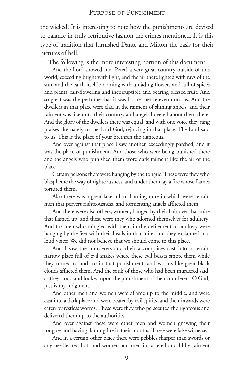the wicked. It is interesting to note how the punishments are devised to balance in truly retributive fashion the crimes mentioned. It is this type of tradition that furnished Dante and Milton the basis for their pictures of hell.

The following is the more interesting portion of this document:

And the Lord showed me [Peter] a very great country outside of this world, exceeding bright with light, and the air there lighted with rays of the sun, and the earth itself blooming with unfading flowers and full of spices and plants, fair-flowering and incorruptible and bearing blessed fruit. And so great was the perfume that it was borne thence even unto us. And the dwellers in that place were clad in the raiment of shining angels, and their raiment was like unto their country; and angels hovered about them there. And the glory of the dwellers there was equal, and with one voice they sang praises alternately to the Lord God, rejoicing in that place. The Lord said to us, This is the place of your brethren the righteous.

And over against that place I saw another, exceedingly parched, and it was the place of punishment. And those who were being punished there and the angels who punished them wore dark raiment like the air of the place.

Certain persons there were hanging by the tongue. These were they who blaspheme the way of righteousness, and under them lay a fire whose flames tortured them.

Also there was a great lake full of flaming mire in which were certain men that pervert righteousness, and tormenting angels afflicted them.

And there were also others, women, hanged by their hair over that mire that flamed up, and these were they who adorned themselves for adultery. And the men who mingled with them in the defilement of adultery were hanging by the feet with their heads in that mire, and they exclaimed in a loud voice: We did not believe that we should come to this place.

And I saw the murderers and their accomplices cast into a certain narrow place full of evil snakes where these evil beasts smote them while they turned to and fro in that punishment, and worms like great black clouds afflicted them. And the souls of those who had been murdered said, as they stood and looked upon the punishment of their murderers. O God, just is thy judgment.

And other men and women were aflame up to the middle, and were cast into a dark place and were beaten by evil spirits, and their inwards were eaten by restless worms. These were they who persecuted the righteous and delivered them up to the authorities.

And over against these were other men and women gnawing their tongues and having flaming fire in their mouths. These were false witnesses.

And in a certain other place there were pebbles sharper than swords or any needle, red hot, and women and men in tattered and filthy raiment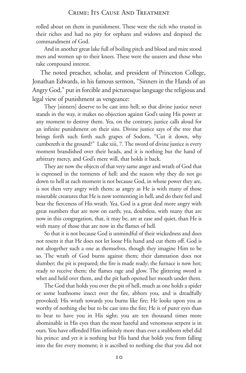rolled about on them in punishment. These were the rich who trusted in their riches and had no pity for orphans and widows and despised the commandment of God.

And in another great lake full of boiling pitch and blood and mire stood men and women up to their knees. These were the usurers and those who take compound interest.

The noted preacher, scholar, and president of Princeton College, Jonathan Edwards, in his famous sermon, "Sinners in the Hands of an Angry God," put in forcible and picturesque language the religious and legal view of punishment as vengeance:

They [sinners] deserve to be cast into hell; so that divine justice never stands in the way, it makes no objection against God's using His power at any moment to destroy them. Yea, on the contrary, justice calls aloud for an infinite punishment on their sins. Divine justice says of the tree that brings forth such forth such grapes of Sodom, "Cut it down, why cumbereth it the ground?" Luke xiii, 7. The sword of divine justice is every moment brandished over their heads, and it is nothing but the hand of arbitrary mercy, and God's mere will, that holds it back.

They are now the objects of that very same anger and wrath of God that is expressed in the torments of hell: and the reason why they do not go down to hell at each moment is not because God, in whose power they are, is not then very angry with them; as angry as He is with many of those miserable creatures that He is now tormenting in hell, and do there feel and bear the fierceness of His wrath. Yea, God is a great deal more angry with great numbers that are now on earth; yea, doubtless, with many that are now in this congregation, that, it may be, are at ease and quiet, than He is with many of those that are now in the flames of hell.

So that it is not because God is unmindful of their wickedness and does not resent it that He does not let loose His hand and cut them off. God is not altogether such a one as themselves, though they imagine Him to be so. The wrath of God burns against them; their damnation does not slumber; the pit is prepared; the fire is made ready; the furnace is now hot; ready to receive them; the flames rage and glow. The glittering sword is whet and held over them, and the pit hath opened her mouth under them.

The God that holds you over the pit of hell, much as one holds a spider or some loathsome insect over the fire, abhors you, and is dreadfully provoked; His wrath towards you burns like fire; He looks upon you as worthy of nothing else but to be cast into the fire; He is of purer eyes than to bear to have you in His sight; you are ten thousand times more abominable in His eyes than the most hateful and venomous serpent is in ours. You have offended Him infinitely more than ever a stubborn rebel did his prince: and yet it is nothing but His hand that holds you from falling into the fire every moment; it is ascribed to nothing else that you did not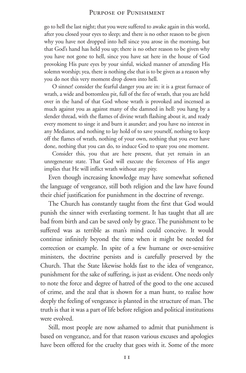#### Purpose of Punishment

go to hell the last night; that you were suffered to awake again in this world, after you closed your eyes to sleep; and there is no other reason to be given why you have not dropped into hell since you arose in the morning, but that God's hand has held you up; there is no other reason to be given why you have not gone to hell, since you have sat here in the house of God provoking His pure eyes by your sinful, wicked manner of attending His solemn worship; yea, there is nothing else that is to be given as a reason why you do not this very moment drop down into hell.

O sinner! consider the fearful danger you are in: it is a great furnace of wrath, a wide and bottomless pit, full of the fire of wrath, that you are held over in the hand of that God whose wrath is provoked and incensed as much against you as against many of the damned in hell: you hang by a slender thread, with the flames of divine wrath flashing about it, and ready every moment to singe it and burn it asunder; and you have no interest in any Mediator, and nothing to lay hold of to save yourself, nothing to keep off the flames of wrath, nothing of your own, nothing that you ever have done, nothing that you can do, to induce God to spare you one moment.

Consider this, you that are here present, that yet remain in an unregenerate state. That God will execute the fierceness of His anger implies that He will inflict wrath without any pity.

Even though increasing knowledge may have somewhat softened the language of vengeance, still both religion and the law have found their chief justification for punishment in the doctrine of revenge.

The Church has constantly taught from the first that God would punish the sinner with everlasting torment. It has taught that all are bad from birth and can be saved only by grace. The punishment to be suffered was as terrible as man's mind could conceive. It would continue infinitely beyond the time when it might be needed for correction or example. In spite of a few humane or over-sensitive ministers, the doctrine persists and is carefully preserved by the Church. That the State likewise holds fast to the idea of vengeance, punishment for the sake of suffering, is just as evident. One needs only to note the force and degree of hatred of the good to the one accused of crime, and the zeal that is shown for a man hunt, to realise how deeply the feeling of vengeance is planted in the structure of man. The truth is that it was a part of life before religion and political institutions were evolved.

Still, most people are now ashamed to admit that punishment is based on vengeance, and for that reason various excuses and apologies have been offered for the cruelty that goes with it. Some of the more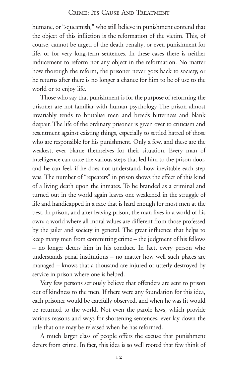humane, or "squeamish," who still believe in punishment contend that the object of this infliction is the reformation of the victim. This, of course, cannot be urged of the death penalty, or even punishment for life, or for very long-term sentences. In these cases there is neither inducement to reform nor any object in the reformation. No matter how thorough the reform, the prisoner never goes back to society, or he returns after there is no longer a chance for him to be of use to the world or to enjoy life.

Those who say that punishment is for the purpose of reforming the prisoner are not familiar with human psychology The prison almost invariably tends to brutalise men and breeds bitterness and blank despair. The life of the ordinary prisoner is given over to criticism and resentment against existing things, especially to settled hatred of those who are responsible for his punishment. Only a few, and these are the weakest, ever blame themselves for their situation. Every man of intelligence can trace the various steps that led him to the prison door, and he can feel, if he does not understand, how inevitable each step was. The number of "repeaters" in prison shows the effect of this kind of a living death upon the inmates. To be branded as a criminal and turned out in the world again leaves one weakened in the struggle of life and handicapped in a race that is hard enough for most men at the best. In prison, and after leaving prison, the man lives in a world of his own; a world where all moral values are different from those professed by the jailer and society in general. The great influence that helps to keep many men from committing crime – the judgment of his fellows – no longer deters him in his conduct. In fact, every person who understands penal institutions – no matter how well such places are managed – knows that a thousand are injured or utterly destroyed by service in prison where one is helped.

Very few persons seriously believe that offenders are sent to prison out of kindness to the men. If there were any foundation for this idea, each prisoner would be carefully observed, and when he was fit would be returned to the world. Not even the parole laws, which provide various reasons and ways for shortening sentences, ever lay down the rule that one may be released when he has reformed.

A much larger class of people offers the excuse that punishment deters from crime. In fact, this idea is so well rooted that few think of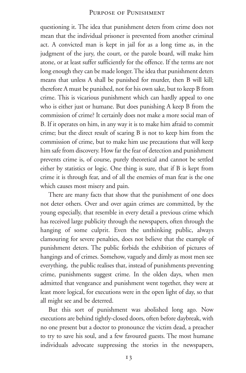#### Purpose of Punishment

questioning it. The idea that punishment deters from crime does not mean that the individual prisoner is prevented from another criminal act. A convicted man is kept in jail for as a long time as, in the judgment of the jury, the court, or the parole board, will make him atone, or at least suffer sufficiently for the offence. If the terms are not long enough they can be made longer. The idea that punishment deters means that unless A shall be punished for murder, then B will kill; therefore A must be punished, not for his own sake, but to keep B from crime. This is vicarious punishment which can hardly appeal to one who is either just or humane. But does punishing A keep B from the commission of crime? It certainly does not make a more social man of B. If it operates on him, in any way it is to make him afraid to commit crime; but the direct result of scaring B is not to keep him from the commission of crime, but to make him use precautions that will keep him safe from discovery. How far the fear of detection and punishment prevents crime is, of course, purely theoretical and cannot be settled either by statistics or logic. One thing is sure, that if B is kept from crime it is through fear, and of all the enemies of man fear is the one which causes most misery and pain.

There are many facts that show that the punishment of one does not deter others. Over and over again crimes are committed, by the young especially, that resemble in every detail a previous crime which has received large publicity through the newspapers, often through the hanging of some culprit. Even the unthinking public, always clamouring for severe penalties, does not believe that the example of punishment deters. The public forbids the exhibition of pictures of hangings and of crimes. Somehow, vaguely and dimly as most men see everything, the public realises that, instead of punishments preventing crime, punishments suggest crime. In the olden days, when men admitted that vengeance and punishment went together, they were at least more logical, for executions were in the open light of day, so that all might see and be deterred.

But this sort of punishment was abolished long ago. Now executions are behind tightly-closed doors, often before daybreak, with no one present but a doctor to pronounce the victim dead, a preacher to try to save his soul, and a few favoured guests. The most humane individuals advocate suppressing the stories in the newspapers,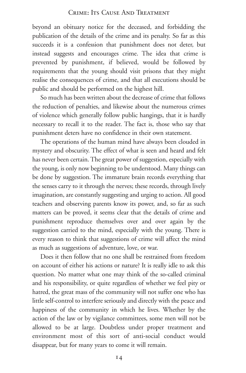beyond an obituary notice for the deceased, and forbidding the publication of the details of the crime and its penalty. So far as this succeeds it is a confession that punishment does not deter, but instead suggests and encourages crime. The idea that crime is prevented by punishment, if believed, would be followed by requirements that the young should visit prisons that they might realise the consequences of crime, and that all executions should be public and should be performed on the highest hill.

So much has been written about the decrease of crime that follows the reduction of penalties, and likewise about the numerous crimes of violence which generally follow public hangings, that it is hardly necessary to recall it to the reader. The fact is, those who say that punishment deters have no confidence in their own statement.

The operations of the human mind have always been clouded in mystery and obscurity. The effect of what is seen and heard and felt has never been certain. The great power of suggestion, especially with the young, is only now beginning to be understood. Many things can be done by suggestion. The immature brain records everything that the senses carry to it through the nerves; these records, through lively imagination, are constantly suggesting and urging to action. All good teachers and observing parents know its power, and, so far as such matters can be proved, it seems clear that the details of crime and punishment reproduce themselves over and over again by the suggestion carried to the mind, especially with the young. There is every reason to think that suggestions of crime will affect the mind as much as suggestions of adventure, love, or war.

Does it then follow that no one shall be restrained from freedom on account of either his actions or nature? It is really idle to ask this question. No matter what one may think of the so-called criminal and his responsibility, or quite regardless of whether we feel pity or hatred, the great mass of the community will not suffer one who has little self-control to interfere seriously and directly with the peace and happiness of the community in which he lives. Whether by the action of the law or by vigilance committees, some men will not be allowed to be at large. Doubtless under proper treatment and environment most of this sort of anti-social conduct would disappear, but for many years to come it will remain.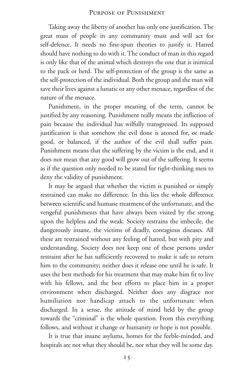Taking away the liberty of another has only one justification. The great mass of people in any community must and will act for self-defence. It needs no fine-spun theories to justify it. Hatred should have nothing to do with it. The conduct of man in this regard is only like that of the animal which destroys the one that is inimical to the pack or herd. The self-protection of the group is the same as the self-protection of the individual. Both the group and the man will save their lives against a lunatic or any other menace, regardless of the nature of the menace.

Punishment, in the proper meaning of the term, cannot be justified by any reasoning. Punishment really means the infliction of pain because the individual has wilfully transgressed. Its supposed justification is that somehow the evil done is atoned for, or made good, or balanced, if the author of the evil shall suffer pain. Punishment means that the suffering by the victim is the end, and it does not mean that any good will grow out of the suffering. It seems as if the question only needed to be stated for right-thinking men to deny the validity of punishment.

It may be argued that whether the victim is punished or simply restrained can make no difference. In this lies the whole difference between scientific and humane treatment of the unfortunate, and the vengeful punishments that have always been visited by the strong upon the helpless and the weak. Society restrains the imbecile, the dangerously insane, the victims of deadly, contagious diseases. All these are restrained without any feeling of hatred, but with pity and understanding. Society does not keep one of these persons under restraint after he has sufficiently recovered to make it safe to return him to the community; neither does it release one until he is safe. It uses the best methods for his treatment that may make him fit to live with his fellows, and the best efforts to place him in a proper environment when discharged. Neither does any disgrace nor humiliation nor handicap attach to the unfortunate when discharged. In a sense, the attitude of mind held by the group towards the "criminal" is the whole question. From this everything follows, and without it change or humanity or hope is not possible.

It is true that insane asylums, homes for the feeble-minded, and hospitals are not what they should be, nor what they will be some day.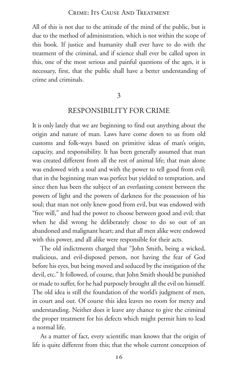All of this is not due to the attitude of the mind of the public, but is due to the method of administration, which is not within the scope of this book. If justice and humanity shall ever have to do with the treatment of the criminal, and if science shall ever be called upon in this, one of the most serious and painful questions of the ages, it is necessary, first, that the public shall have a better understanding of crime and criminals.

#### 3

#### RESPONSIBILITY FOR CRIME

It is only lately that we are beginning to find out anything about the origin and nature of man. Laws have come down to us from old customs and folk-ways based on primitive ideas of man's origin, capacity, and responsibility. It has been generally assumed that man was created different from all the rest of animal life; that man alone was endowed with a soul and with the power to tell good from evil; that in the beginning man was perfect but yielded to temptation, and since then has been the subject of an everlasting contest between the powers of light and the powers of darkness for the possession of his soul; that man not only knew good from evil, but was endowed with "free will," and had the power to choose between good and evil; that when he did wrong he deliberately chose to do so out of an abandoned and malignant heart; and that all men alike were endowed with this power, and all alike were responsible for their acts.

The old indictments charged that "John Smith, being a wicked, malicious, and evil-disposed person, not having the fear of God before his eyes, but being moved and seduced by the instigation of the devil, etc." It followed, of course, that John Smith should be punished or made to suffer, for he had purposely brought all the evil on himself. The old idea is still the foundation of the world's judgment of men, in court and out. Of course this idea leaves no room for mercy and understanding. Neither does it leave any chance to give the criminal the proper treatment for his defects which might permit him to lead a normal life.

As a matter of fact, every scientific man knows that the origin of life is quite different from this; that the whole current conception of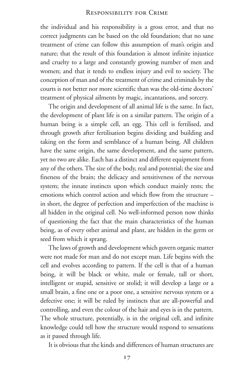#### Responsibility for Crime

the individual and his responsibility is a gross error, and that no correct judgments can be based on the old foundation; that no sane treatment of crime can follow this assumption of man's origin and nature; that the result of this foundation is almost infinite injustice and cruelty to a large and constantly growing number of men and women; and that it tends to endless injury and evil to society. The conception of man and of the treatment of crime and criminals by the courts is not better nor more scientific than was the old-time doctors' treatment of physical ailments by magic, incantations, and sorcery.

The origin and development of all animal life is the same. In fact, the development of plant life is on a similar pattern. The origin of a human being is a simple cell, an egg. This cell is fertilised, and through growth after fertilisation begins dividing and building and taking on the form and semblance of a human being. All children have the same origin, the same development, and the same pattern, yet no two are alike. Each has a distinct and different equipment from any of the others. The size of the body, real and potential; the size and fineness of the brain; the delicacy and sensitiveness of the nervous system; the innate instincts upon which conduct mainly rests; the emotions which control action and which flow from the structure – in short, the degree of perfection and imperfection of the machine is all hidden in the original cell. No well-informed person now thinks of questioning the fact that the main characteristics of the human being, as of every other animal and plant, are hidden in the germ or seed from which it sprang.

The laws of growth and development which govern organic matter were not made for man and do not except man. Life begins with the cell and evolves according to pattern. If the cell is that of a human being, it will be black or white, male or female, tall or short, intelligent or stupid, sensitive or stolid; it will develop a large or a small brain, a fine one or a poor one, a sensitive nervous system or a defective one; it will be ruled by instincts that are all-powerful and controlling, and even the colour of the hair and eyes is in the pattern. The whole structure, potentially, is in the original cell, and infinite knowledge could tell how the structure would respond to sensations as it passed through life.

It is obvious that the kinds and differences of human structures are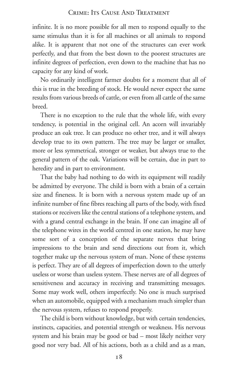infinite. It is no more possible for all men to respond equally to the same stimulus than it is for all machines or all animals to respond alike. It is apparent that not one of the structures can ever work perfectly, and that from the best down to the poorest structures are infinite degrees of perfection, even down to the machine that has no capacity for any kind of work.

No ordinarily intelligent farmer doubts for a moment that all of this is true in the breeding of stock. He would never expect the same results from various breeds of cattle, or even from all cattle of the same breed.

There is no exception to the rule that the whole life, with every tendency, is potential in the original cell. An acorn will invariably produce an oak tree. It can produce no other tree, and it will always develop true to its own pattern. The tree may be larger or smaller, more or less symmetrical, stronger or weaker, but always true to the general pattern of the oak. Variations will be certain, due in part to heredity and in part to environment.

That the baby had nothing to do with its equipment will readily be admitted by everyone. The child is born with a brain of a certain size and fineness. It is born with a nervous system made up of an infinite number of fine fibres reaching all parts of the body, with fixed stations or receivers like the central stations of a telephone system, and with a grand central exchange in the brain. If one can imagine all of the telephone wires in the world centred in one station, he may have some sort of a conception of the separate nerves that bring impressions to the brain and send directions out from it, which together make up the nervous system of man. None of these systems is perfect. They are of all degrees of imperfection down to the utterly useless or worse than useless system. These nerves are of all degrees of sensitiveness and accuracy in receiving and transmitting messages. Some may work well, others imperfectly. No one is much surprised when an automobile, equipped with a mechanism much simpler than the nervous system, refuses to respond properly.

The child is born without knowledge, but with certain tendencies, instincts, capacities, and potential strength or weakness. His nervous system and his brain may be good or bad – most likely neither very good nor very bad. All of his actions, both as a child and as a man,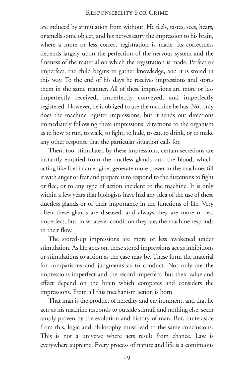#### Responsibility For Crime

are induced by stimulation from without. He feels, tastes, sees, hears, or smells some object, and his nerves carry the impression to his brain, where a more or less correct registration is made. Its correctness depends largely upon the perfection of the nervous system and the fineness of the material on which the registration is made. Perfect or imperfect, the child begins to gather knowledge, and it is stored in this way. To the end of his days he receives impressions and stores them in the same manner. All of these impressions are more or less imperfectly received, imperfectly conveyed, and imperfectly registered. However, he is obliged to use the machine he has. Not only does the machine register impressions, but it sends out directions immediately following these impressions: directions to the organism as to how to run, to walk, to fight, to hide, to eat, to drink, or to make any other response that the particular situation calls for.

Then, too, stimulated by these impressions, certain secretions are instantly emptied from the ductless glands into the blood, which, acting like fuel in an engine, generate more power in the machine, fill it with anger or fear and prepare it to respond to the directions to fight or flee, or to any type of action incident to the machine. It is only within a few years that biologists have had any idea of the use of these ductless glands or of their importance in the functions of life. Very often these glands are diseased, and always they are more or less imperfect; but, in whatever condition they are, the machine responds to their flow.

The stored-up impressions are more or less awakened under stimulation. As life goes on, these stored impressions act as inhibitions or stimulations to action as the case may be. These form the material for comparisons and judgments as to conduct. Not only are the impressions imperfect and the record imperfect, but their value and effect depend on the brain which compares and considers the impressions. From all this mechanism action is born.

That man is the product of heredity and environment, and that he acts as his machine responds to outside stimuli and nothing else, seem amply proven by the evolution and history of man. But, quite aside from this, logic and philosophy must lead to the same conclusions. This is not a universe where acts result from chance. Law is everywhere supreme. Every process of nature and life is a continuous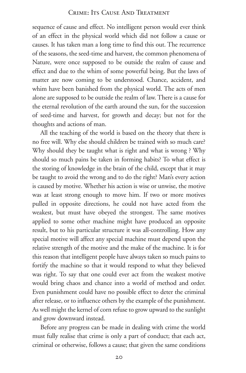sequence of cause and effect. No intelligent person would ever think of an effect in the physical world which did not follow a cause or causes. It has taken man a long time to find this out. The recurrence of the seasons, the seed-time and harvest, the common phenomena of Nature, were once supposed to be outside the realm of cause and effect and due to the whim of some powerful being. But the laws of matter are now coming to be understood. Chance, accident, and whim have been banished from the physical world. The acts of men alone are supposed to be outside the realm of law. There is a cause for the eternal revolution of the earth around the sun, for the succession of seed-time and harvest, for growth and decay; but not for the thoughts and actions of man.

All the teaching of the world is based on the theory that there is no free will. Why else should children be trained with so much care? Why should they be taught what is right and what is wrong ? Why should so much pains be taken in forming habits? To what effect is the storing of knowledge in the brain of the child, except that it may be taught to avoid the wrong and to do the right? Man's every action is caused by motive. Whether his action is wise or unwise, the motive was at least strong enough to move him. If two or more motives pulled in opposite directions, he could not have acted from the weakest, but must have obeyed the strongest. The same motives applied to some other machine might have produced an opposite result, but to his particular structure it was all-controlling. How any special motive will affect any special machine must depend upon the relative strength of the motive and the make of the machine. It is for this reason that intelligent people have always taken so much pains to fortify the machine so that it would respond to what they believed was right. To say that one could ever act from the weakest motive would bring chaos and chance into a world of method and order. Even punishment could have no possible effect to deter the criminal after release, or to influence others by the example of the punishment. As well might the kernel of corn refuse to grow upward to the sunlight and grow downward instead.

Before any progress can be made in dealing with crime the world must fully realise that crime is only a part of conduct; that each act, criminal or otherwise, follows a cause; that given the same conditions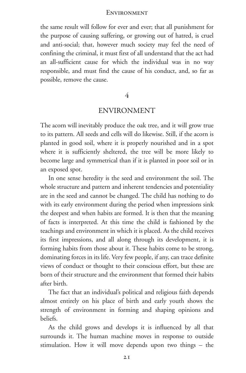#### **ENVIRONMENT**

the same result will follow for ever and ever; that all punishment for the purpose of causing suffering, or growing out of hatred, is cruel and anti-social; that, however much society may feel the need of confining the criminal, it must first of all understand that the act had an all-sufficient cause for which the individual was in no way responsible, and must find the cause of his conduct, and, so far as possible, remove the cause.

#### 4

#### ENVIRONMENT

The acorn will inevitably produce the oak tree, and it will grow true to its pattern. All seeds and cells will do likewise. Still, if the acorn is planted in good soil, where it is properly nourished and in a spot where it is sufficiently sheltered, the tree will be more likely to become large and symmetrical than if it is planted in poor soil or in an exposed spot.

In one sense heredity is the seed and environment the soil. The whole structure and pattern and inherent tendencies and potentiality are in the seed and cannot be changed. The child has nothing to do with its early environment during the period when impressions sink the deepest and when habits are formed. It is then that the meaning of facts is interpreted. At this time the child is fashioned by the teachings and environment in which it is placed. As the child receives its first impressions, and all along through its development, it is forming habits from those about it. These habits come to be strong, dominating forces in its life. Very few people, if any, can trace definite views of conduct or thought to their conscious effort, but these are born of their structure and the environment that formed their habits after birth.

The fact that an individual's political and religious faith depends almost entirely on his place of birth and early youth shows the strength of environment in forming and shaping opinions and beliefs.

As the child grows and develops it is influenced by all that surrounds it. The human machine moves in response to outside stimulation. How it will move depends upon two things – the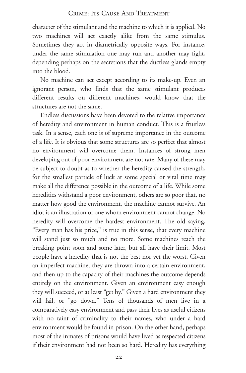character of the stimulant and the machine to which it is applied. No two machines will act exactly alike from the same stimulus. Sometimes they act in diametrically opposite ways. For instance, under the same stimulation one may run and another may fight, depending perhaps on the secretions that the ductless glands empty into the blood.

No machine can act except according to its make-up. Even an ignorant person, who finds that the same stimulant produces different results on different machines, would know that the structures are not the same.

Endless discussions have been devoted to the relative importance of heredity and environment in human conduct. This is a fruitless task. In a sense, each one is of supreme importance in the outcome of a life. It is obvious that some structures are so perfect that almost no environment will overcome them. Instances of strong men developing out of poor environment are not rare. Many of these may be subject to doubt as to whether the heredity caused the strength, for the smallest particle of luck at some special or vital time may make all the difference possible in the outcome of a life. While some heredities withstand a poor environment, others are so poor that, no matter how good the environment, the machine cannot survive. An idiot is an illustration of one whom environment cannot change. No heredity will overcome the hardest environment. The old saying, "Every man has his price," is true in this sense, that every machine will stand just so much and no more. Some machines reach the breaking point soon and some later, but all have their limit. Most people have a heredity that is not the best nor yet the worst. Given an imperfect machine, they are thrown into a certain environment, and then up to the capacity of their machines the outcome depends entirely on the environment. Given an environment easy enough they will succeed, or at least "get by." Given a hard environment they will fail, or "go down." Tens of thousands of men live in a comparatively easy environment and pass their lives as useful citizens with no taint of criminality to their names, who under a hard environment would be found in prison. On the other hand, perhaps most of the inmates of prisons would have lived as respected citizens if their environment had not been so hard. Heredity has everything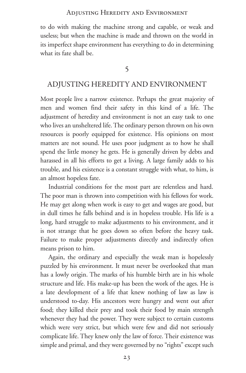#### Adjusting Heredity and Environment

to do with making the machine strong and capable, or weak and useless; but when the machine is made and thrown on the world in its imperfect shape environment has everything to do in determining what its fate shall be.

5

#### ADJUSTING HEREDITY AND ENVIRONMENT

Most people live a narrow existence. Perhaps the great majority of men and women find their safety in this kind of a life. The adjustment of heredity and environment is not an easy task to one who lives an unsheltered life. The ordinary person thrown on his own resources is poorly equipped for existence. His opinions on most matters are not sound. He uses poor judgment as to how he shall spend the little money he gets. He is generally driven by debts and harassed in all his efforts to get a living. A large family adds to his trouble, and his existence is a constant struggle with what, to him, is an almost hopeless fate.

Industrial conditions for the most part are relentless and hard. The poor man is thrown into competition with his fellows for work. He may get along when work is easy to get and wages are good, but in dull times he falls behind and is in hopeless trouble. His life is a long, hard struggle to make adjustments to his environment, and it is not strange that he goes down so often before the heavy task. Failure to make proper adjustments directly and indirectly often means prison to him.

Again, the ordinary and especially the weak man is hopelessly puzzled by his environment. It must never be overlooked that man has a lowly origin. The marks of his humble birth are in his whole structure and life. His make-up has been the work of the ages. He is a late development of a life that knew nothing of law as law is understood to-day. His ancestors were hungry and went out after food; they killed their prey and took their food by main strength whenever they had the power. They were subject to certain customs which were very strict, but which were few and did not seriously complicate life. They knew only the law of force. Their existence was simple and primal, and they were governed by no "rights" except such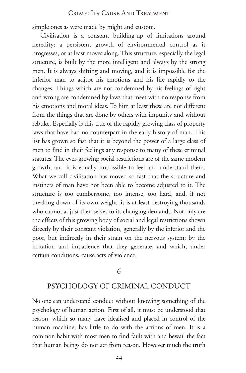simple ones as were made by might and custom.

Civilisation is a constant building-up of limitations around heredity; a persistent growth of environmental control as it progresses, or at least moves along. This structure, especially the legal structure, is built by the more intelligent and always by the strong men. It is always shifting and moving, and it is impossible for the inferior man to adjust his emotions and his life rapidly to the changes. Things which are not condemned by his feelings of right and wrong are condemned by laws that meet with no response from his emotions and moral ideas. To him at least these are not different from the things that are done by others with impunity and without rebuke. Especially is this true of the rapidly growing class of property laws that have had no counterpart in the early history of man. This list has grown so fast that it is beyond the power of a large class of men to find in their feelings any response to many of these criminal statutes. The ever-growing social restrictions are of the same modern growth, and it is equally impossible to feel and understand them. What we call civilisation has moved so fast that the structure and instincts of man have not been able to become adjusted to it. The structure is too cumbersome, too intense, too hard, and, if not breaking down of its own weight, it is at least destroying thousands who cannot adjust themselves to its changing demands. Not only are the effects of this growing body of social and legal restrictions shown directly by their constant violation, generally by the inferior and the poor, but indirectly in their strain on the nervous system; by the irritation and impatience that they generate, and which, under certain conditions, cause acts of violence.

#### 6

#### PSYCHOLOGY OF CRIMINAL CONDUCT

No one can understand conduct without knowing something of the psychology of human action. First of all, it must be understood that reason, which so many have idealised and placed in control of the human machine, has little to do with the actions of men. It is a common habit with most men to find fault with and bewail the fact that human beings do not act from reason. However much the truth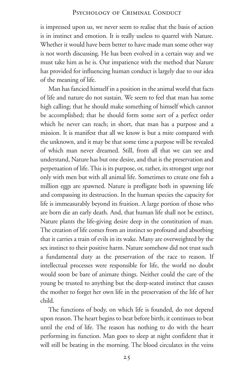#### PSYCHOLOGY OF CRIMINAL CONDUCT

is impressed upon us, we never seem to realise that the basis of action is in instinct and emotion. It is really useless to quarrel with Nature. Whether it would have been better to have made man some other way is not worth discussing. He has been evolved in a certain way and we must take him as he is. Our impatience with the method that Nature has provided for influencing human conduct is largely due to our idea of the meaning of life.

Man has fancied himself in a position in the animal world that facts of life and nature do not sustain. We seem to feel that man has some high calling; that he should make something of himself which cannot be accomplished; that he should form some sort of a perfect order which he never can reach; in short, that man has a purpose and a mission. It is manifest that all we know is but a mite compared with the unknown, and it may be that some time a purpose will be revealed of which man never dreamed. Still, from all that we can see and understand, Nature has but one desire, and that is the preservation and perpetuation of life. This is its purpose, or, rather, its strongest urge not only with men but with all animal life. Sometimes to create one fish a million eggs are spawned. Nature is profligate both in spawning life and compassing its destruction. In the human species the capacity for life is immeasurably beyond its fruition. A large portion of those who are born die an early death. And, that human life shall not be extinct, Nature plants the life-giving desire deep in the constitution of man. The creation of life comes from an instinct so profound and absorbing that it carries a train of evils in its wake. Many are overweighted by the sex instinct to their positive harm. Nature somehow did not trust such a fundamental duty as the preservation of the race to reason. If intellectual processes were responsible for life, the world no doubt would soon be bare of animate things. Neither could the care of the young be trusted to anything but the deep-seated instinct that causes the mother to forget her own life in the preservation of the life of her child.

The functions of body, on which life is founded, do not depend upon reason. The heart begins to beat before birth; it continues to beat until the end of life. The reason has nothing to do with the heart performing its function. Man goes to sleep at night confident that it will still be beating in the morning. The blood circulates in the veins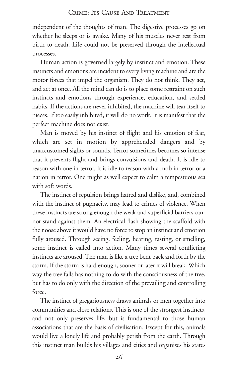independent of the thoughts of man. The digestive processes go on whether he sleeps or is awake. Many of his muscles never rest from birth to death. Life could not be preserved through the intellectual processes.

Human action is governed largely by instinct and emotion. These instincts and emotions are incident to every living machine and are the motor forces that impel the organism. They do not think. They act, and act at once. All the mind can do is to place some restraint on such instincts and emotions through experience, education, and settled habits. If the actions are never inhibited, the machine will tear itself to pieces. If too easily inhibited, it will do no work. It is manifest that the perfect machine does not exist.

Man is moved by his instinct of flight and his emotion of fear, which are set in motion by apprehended dangers and by unaccustomed sights or sounds. Terror sometimes becomes so intense that it prevents flight and brings convulsions and death. It is idle to reason with one in terror. It is idle to reason with a mob in terror or a nation in terror. One might as well expect to calm a tempestuous sea with soft words.

The instinct of repulsion brings hatred and dislike, and, combined with the instinct of pugnacity, may lead to crimes of violence. When these instincts are strong enough the weak and superficial barriers cannot stand against them. An electrical flash showing the scaffold with the noose above it would have no force to stop an instinct and emotion fully aroused. Through seeing, feeling, hearing, tasting, or smelling, some instinct is called into action. Many times several conflicting instincts are aroused. The man is like a tree bent back and forth by the storm. If the storm is hard enough, sooner or later it will break. Which way the tree falls has nothing to do with the consciousness of the tree, but has to do only with the direction of the prevailing and controlling force.

The instinct of gregariousness draws animals or men together into communities and close relations. This is one of the strongest instincts, and not only preserves life, but is fundamental to those human associations that are the basis of civilisation. Except for this, animals would live a lonely life and probably perish from the earth. Through this instinct man builds his villages and cities and organises his states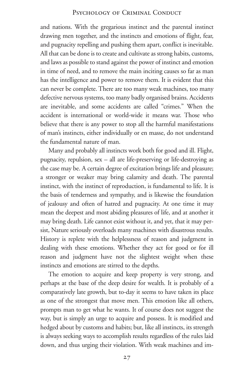#### PSYCHOLOGY OF CRIMINAL CONDUCT

and nations. With the gregarious instinct and the parental instinct drawing men together, and the instincts and emotions of flight, fear, and pugnacity repelling and pushing them apart, conflict is inevitable. All that can be done is to create and cultivate as strong habits, customs, and laws as possible to stand against the power of instinct and emotion in time of need, and to remove the main inciting causes so far as man has the intelligence and power to remove them. It is evident that this can never be complete. There are too many weak machines, too many defective nervous systems, too many badly organised brains. Accidents are inevitable, and some accidents are called "crimes." When the accident is international or world-wide it means war. Those who believe that there is any power to stop all the harmful manifestations of man's instincts, either individually or en masse, do not understand the fundamental nature of man.

Many and probably all instincts work both for good and ill. Flight, pugnacity, repulsion, sex – all are life-preserving or life-destroying as the case may be. A certain degree of excitation brings life and pleasure; a stronger or weaker may bring calamity and death. The parental instinct, with the instinct of reproduction, is fundamental to life. It is the basis of tenderness and sympathy, and is likewise the foundation of jealousy and often of hatred and pugnacity. At one time it may mean the deepest and most abiding pleasures of life, and at another it may bring death. Life cannot exist without it, and yet, that it may persist, Nature seriously overloads many machines with disastrous results. History is replete with the helplessness of reason and judgment in dealing with these emotions. Whether they act for good or for ill reason and judgment have not the slightest weight when these instincts and emotions are stirred to the depths.

The emotion to acquire and keep property is very strong, and perhaps at the base of the deep desire for wealth. It is probably of a comparatively late growth, but to-day it seems to have taken its place as one of the strongest that move men. This emotion like all others, prompts man to get what he wants. It of course does not suggest the way, but is simply an urge to acquire and possess. It is modified and hedged about by customs and habits; but, like all instincts, its strength is always seeking ways to accomplish results regardless of the rules laid down, and thus urging their violation. With weak machines and im-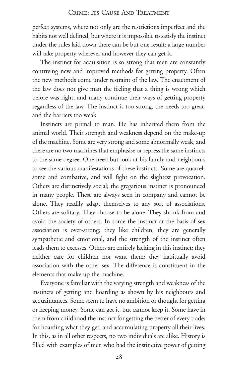perfect systems, where not only are the restrictions imperfect and the habits not well defined, but where it is impossible to satisfy the instinct under the rules laid down there can be but one result: a large number will take property wherever and however they can get it.

The instinct for acquisition is so strong that men are constantly contriving new and improved methods for getting property. Often the new methods come under restraint of the law. The enactment of the law does not give man the feeling that a thing is wrong which before was right, and many continue their ways of getting property regardless of the law. The instinct is too strong, the needs too great, and the barriers too weak.

Instincts are primal to man. He has inherited them from the animal world. Their strength and weakness depend on the make-up of the machine. Some are very strong and some abnormally weak, and there are no two machines that emphasise or repress the same instincts to the same degree. One need but look at his family and neighbours to see the various manifestations of these instincts. Some are quarrelsome and combative, and will fight on the slightest provocation. Others are distinctively social; the gregarious instinct is pronounced in many people. These are always seen in company and cannot be alone. They readily adapt themselves to any sort of associations. Others are solitary. They choose to be alone. They shrink from and avoid the society of others. In some the instinct at the basis of sex association is over-strong; they like children; they are generally sympathetic and emotional, and the strength of the instinct often leads them to excesses. Others are entirely lacking in this instinct; they neither care for children nor want them; they habitually avoid association with the other sex. The difference is constituent in the elements that make up the machine.

Everyone is familiar with the varying strength and weakness of the instincts of getting and hoarding as shown by his neighbours and acquaintances. Some seem to have no ambition or thought for getting or keeping money. Some can get it, but cannot keep it. Some have in them from childhood the instinct for getting the better of every trade; for hoarding what they get, and accumulating property all their lives. In this, as in all other respects, no two individuals are alike. History is filled with examples of men who had the instinctive power of getting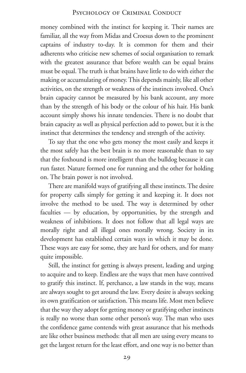## Psychology of Criminal Conduct

money combined with the instinct for keeping it. Their names are familiar, all the way from Midas and Croesus down to the prominent captains of industry to-day. It is common for them and their adherents who criticise new schemes of social organisation to remark with the greatest assurance that before wealth can be equal brains must be equal. The truth is that brains have little to do with either the making or accumulating of money. This depends mainly, like all other activities, on the strength or weakness of the instincts involved. One's brain capacity cannot be measured by his bank account, any more than by the strength of his body or the colour of his hair. His bank account simply shows his innate tendencies. There is no doubt that brain capacity as well as physical perfection add to power, but it is the instinct that determines the tendency and strength of the activity.

To say that the one who gets money the most easily and keeps it the most safely has the best brain is no more reasonable than to say that the foxhound is more intelligent than the bulldog because it can run faster. Nature formed one for running and the other for holding on. The brain power is not involved.

There are manifold ways of gratifying all these instincts. The desire for property calls simply for getting it and keeping it. It does not involve the method to be used. The way is determined by other faculties — by education, by opportunities, by the strength and weakness of inhibitions. It does not follow that all legal ways are morally right and all illegal ones morally wrong. Society in its development has established certain ways in which it may be done. These ways are easy for some, they are hard for others, and for many quite impossible.

Still, the instinct for getting is always present, leading and urging to acquire and to keep. Endless are the ways that men have contrived to gratify this instinct. If, perchance, a law stands in the way, means are always sought to get around the law. Every desire is always seeking its own gratification or satisfaction. This means life. Most men believe that the way they adopt for getting money or gratifying other instincts is really no worse than some other person's way. The man who uses the confidence game contends with great assurance that his methods are like other business methods: that all men are using every means to get the largest return for the least effort, and one way is no better than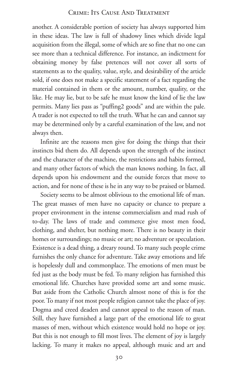another. A considerable portion of society has always supported him in these ideas. The law is full of shadowy lines which divide legal acquisition from the illegal, some of which are so fine that no one can see more than a technical difference. For instance, an indictment for obtaining money by false pretences will not cover all sorts of statements as to the quality, value, style, and desirability of the article sold, if one does not make a specific statement of a fact regarding the material contained in them or the amount, number, quality, or the like. He may lie, but to be safe he must know the kind of lie the law permits. Many lies pass as "puffing2 goods" and are within the pale. A trader is not expected to tell the truth. What he can and cannot say may be determined only by a careful examination of the law, and not always then.

Infinite are the reasons men give for doing the things that their instincts bid them do. All depends upon the strength of the instinct and the character of the machine, the restrictions and habits formed, and many other factors of which the man knows nothing. In fact, all depends upon his endowment and the outside forces that move to action, and for none of these is he in any way to be praised or blamed.

Society seems to be almost oblivious to the emotional life of man. The great masses of men have no capacity or chance to prepare a proper environment in the intense commercialism and mad rush of to-day. The laws of trade and commerce give most men food, clothing, and shelter, but nothing more. There is no beauty in their homes or surroundings; no music or art; no adventure or speculation. Existence is a dead thing, a dreary round. To many such people crime furnishes the only chance for adventure. Take away emotions and life is hopelessly dull and commonplace. The emotions of men must be fed just as the body must be fed. To many religion has furnished this emotional life. Churches have provided some art and some music. But aside from the Catholic Church almost none of this is for the poor. To many if not most people religion cannot take the place of joy. Dogma and creed deaden and cannot appeal to the reason of man. Still, they have furnished a large part of the emotional life to great masses of men, without which existence would hold no hope or joy. But this is not enough to fill most lives. The element of joy is largely lacking. To many it makes no appeal, although music and art and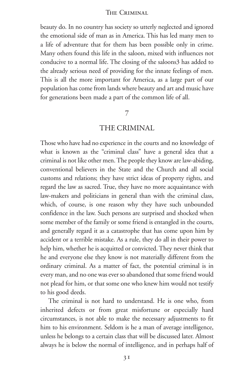### THE CRIMINAL

beauty do. In no country has society so utterly neglected and ignored the emotional side of man as in America. This has led many men to a life of adventure that for them has been possible only in crime. Many others found this life in the saloon, mixed with influences not conducive to a normal life. The closing of the saloons3 has added to the already serious need of providing for the innate feelings of men. This is all the more important for America, as a large part of our population has come from lands where beauty and art and music have for generations been made a part of the common life of all.

## 7

## THE CRIMINAL

Those who have had no experience in the courts and no knowledge of what is known as the "criminal class" have a general idea that a criminal is not like other men. The people they know are law-abiding, conventional believers in the State and the Church and all social customs and relations; they have strict ideas of property rights, and regard the law as sacred. True, they have no more acquaintance with law-makers and politicians in general than with the criminal class, which, of course, is one reason why they have such unbounded confidence in the law. Such persons are surprised and shocked when some member of the family or some friend is entangled in the courts, and generally regard it as a catastrophe that has come upon him by accident or a terrible mistake. As a rule, they do all in their power to help him, whether he is acquitted or convicted. They never think that he and everyone else they know is not materially different from the ordinary criminal. As a matter of fact, the potential criminal is in every man, and no one was ever so abandoned that some friend would not plead for him, or that some one who knew him would not testify to his good deeds.

The criminal is not hard to understand. He is one who, from inherited defects or from great misfortune or especially hard circumstances, is not able to make the necessary adjustments to fit him to his environment. Seldom is he a man of average intelligence, unless he belongs to a certain class that will be discussed later. Almost always he is below the normal of intelligence, and in perhaps half of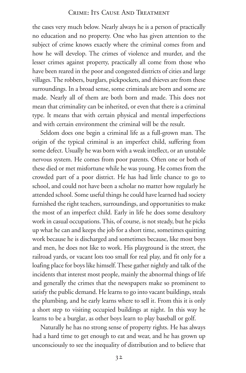## CRIME: ITS CAUSE AND TREATMENT

the cases very much below. Nearly always he is a person of practically no education and no property. One who has given attention to the subject of crime knows exactly where the criminal comes from and how he will develop. The crimes of violence and murder, and the lesser crimes against property, practically all come from those who have been reared in the poor and congested districts of cities and large villages. The robbers, burglars, pickpockets, and thieves are from these surroundings. In a broad sense, some criminals are born and some are made. Nearly all of them are both born and made. This does not mean that criminality can be inherited, or even that there is a criminal type. It means that with certain physical and mental imperfections and with certain environment the criminal will be the result.

Seldom does one begin a criminal life as a full-grown man. The origin of the typical criminal is an imperfect child, suffering from some defect. Usually he was born with a weak intellect, or an unstable nervous system. He comes from poor parents. Often one or both of these died or met misfortune while he was young. He comes from the crowded part of a poor district. He has had little chance to go to school, and could not have been a scholar no matter how regularly he attended school. Some useful things he could have learned had society furnished the right teachers, surroundings, and opportunities to make the most of an imperfect child. Early in life he does some desultory work in casual occupations. This, of course, is not steady, but he picks up what he can and keeps the job for a short time, sometimes quitting work because he is discharged and sometimes because, like most boys and men, he does not like to work. His playground is the street, the railroad yards, or vacant lots too small for real play, and fit only for a loafing place for boys like himself. These gather nightly and talk of the incidents that interest most people, mainly the abnormal things of life and generally the crimes that the newspapers make so prominent to satisfy the public demand. He learns to go into vacant buildings, steals the plumbing, and he early learns where to sell it. From this it is only a short step to visiting occupied buildings at night. In this way he learns to be a burglar, as other boys learn to play baseball or golf.

Naturally he has no strong sense of property rights. He has always had a hard time to get enough to eat and wear, and he has grown up unconsciously to see the inequality of distribution and to believe that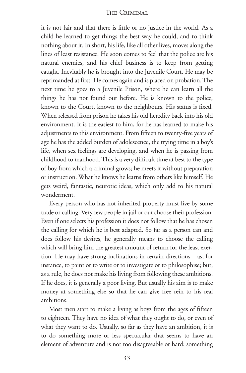### THE CRIMINAL

it is not fair and that there is little or no justice in the world. As a child he learned to get things the best way he could, and to think nothing about it. In short, his life, like all other lives, moves along the lines of least resistance. He soon comes to feel that the police are his natural enemies, and his chief business is to keep from getting caught. Inevitably he is brought into the Juvenile Court. He may be reprimanded at first. He comes again and is placed on probation. The next time he goes to a Juvenile Prison, where he can learn all the things he has not found out before. He is known to the police, known to the Court, known to the neighbours. His status is fixed. When released from prison he takes his old heredity back into his old environment. It is the easiest to him, for he has learned to make his adjustments to this environment. From fifteen to twenty-five years of age he has the added burden of adolescence, the trying time in a boy's life, when sex feelings are developing, and when he is passing from childhood to manhood. This is a very difficult time at best to the type of boy from which a criminal grows; he meets it without preparation or instruction. What he knows he learns from others like himself. He gets weird, fantastic, neurotic ideas, which only add to his natural wonderment.

Every person who has not inherited property must live by some trade or calling. Very few people in jail or out choose their profession. Even if one selects his profession it does not follow that he has chosen the calling for which he is best adapted. So far as a person can and does follow his desires, he generally means to choose the calling which will bring him the greatest amount of return for the least exertion. He may have strong inclinations in certain directions – as, for instance, to paint or to write or to investigate or to philosophise; but, as a rule, he does not make his living from following these ambitions. If he does, it is generally a poor living. But usually his aim is to make money at something else so that he can give free rein to his real ambitions.

Most men start to make a living as boys from the ages of fifteen to eighteen. They have no idea of what they ought to do, or even of what they want to do. Usually, so far as they have an ambition, it is to do something more or less spectacular that seems to have an element of adventure and is not too disagreeable or hard; something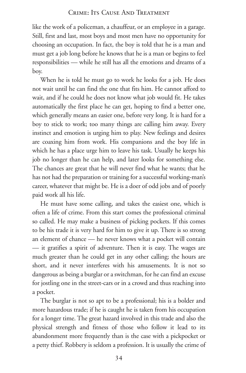like the work of a policeman, a chauffeur, or an employee in a garage. Still, first and last, most boys and most men have no opportunity for choosing an occupation. In fact, the boy is told that he is a man and must get a job long before he knows that he is a man or begins to feel responsibilities — while he still has all the emotions and dreams of a boy.

When he is told he must go to work he looks for a job. He does not wait until he can find the one that fits him. He cannot afford to wait, and if he could he does not know what job would fit. He takes automatically the first place he can get, hoping to find a better one, which generally means an easier one, before very long. It is hard for a boy to stick to work; too many things are calling him away. Every instinct and emotion is urging him to play. New feelings and desires are coaxing him from work. His companions and the boy life in which he has a place urge him to leave his task. Usually he keeps his job no longer than he can help, and later looks for something else. The chances are great that he will never find what he wants; that he has not had the preparation or training for a successful working-man's career, whatever that might be. He is a doer of odd jobs and of poorly paid work all his life.

He must have some calling, and takes the easiest one, which is often a life of crime. From this start comes the professional criminal so called. He may make a business of picking pockets. If this comes to be his trade it is very hard for him to give it up. There is so strong an element of chance — he never knows what a pocket will contain — it gratifies a spirit of adventure. Then it is easy. The wages are much greater than he could get in any other calling; the hours are short, and it never interferes with his amusements. It is not so dangerous as being a burglar or a switchman, for he can find an excuse for jostling one in the street-cars or in a crowd and thus reaching into a pocket.

The burglar is not so apt to be a professional; his is a bolder and more hazardous trade; if he is caught he is taken from his occupation for a longer time. The great hazard involved in this trade and also the physical strength and fitness of those who follow it lead to its abandonment more frequently than is the case with a pickpocket or a petty thief. Robbery is seldom a profession. It is usually the crime of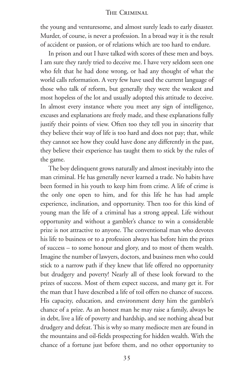## THE CRIMINAL

the young and venturesome, and almost surely leads to early disaster. Murder, of course, is never a profession. In a broad way it is the result of accident or passion, or of relations which are too hard to endure.

In prison and out I have talked with scores of these men and boys. I am sure they rarely tried to deceive me. I have very seldom seen one who felt that he had done wrong, or had any thought of what the world calls reformation. A very few have used the current language of those who talk of reform, but generally they were the weakest and most hopeless of the lot and usually adopted this attitude to deceive. In almost every instance where you meet any sign of intelligence, excuses and explanations are freely made, and these explanations fully justify their points of view. Often too they tell you in sincerity that they believe their way of life is too hard and does not pay; that, while they cannot see how they could have done any differently in the past, they believe their experience has taught them to stick by the rules of the game.

The boy delinquent grows naturally and almost inevitably into the man criminal. He has generally never learned a trade. No habits have been formed in his youth to keep him from crime. A life of crime is the only one open to him, and for this life he has had ample experience, inclination, and opportunity. Then too for this kind of young man the life of a criminal has a strong appeal. Life without opportunity and without a gambler's chance to win a considerable prize is not attractive to anyone. The conventional man who devotes his life to business or to a profession always has before him the prizes of success – to some honour and glory, and to most of them wealth. Imagine the number of lawyers, doctors, and business men who could stick to a narrow path if they knew that life offered no opportunity but drudgery and poverty! Nearly all of these look forward to the prizes of success. Most of them expect success, and many get it. For the man that I have described a life of toil offers no chance of success. His capacity, education, and environment deny him the gambler's chance of a prize. As an honest man he may raise a family, always be in debt, live a life of poverty and hardship, and see nothing ahead but drudgery and defeat. This is why so many mediocre men are found in the mountains and oil-fields prospecting for hidden wealth. With the chance of a fortune just before them, and no other opportunity to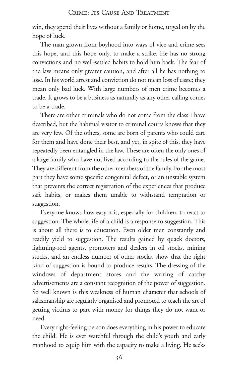# CRIME: ITS CAUSE AND TREATMENT

win, they spend their lives without a family or home, urged on by the hope of luck.

The man grown from boyhood into ways of vice and crime sees this hope, and this hope only, to make a strike. He has no strong convictions and no well-settled habits to hold him back. The fear of the law means only greater caution, and after all he has nothing to lose. In his world arrest and conviction do not mean loss of caste; they mean only bad luck. With large numbers of men crime becomes a trade. It grows to be a business as naturally as any other calling comes to be a trade.

There are other criminals who do not come from the class I have described, but the habitual visitor to criminal courts knows that they are very few. Of the others, some are born of parents who could care for them and have done their best, and yet, in spite of this, they have repeatedly been entangled in the law. These are often the only ones of a large family who have not lived according to the rules of the game. They are different from the other members of the family. For the most part they have some specific congenital defect, or an unstable system that prevents the correct registration of the experiences that produce safe habits, or makes them unable to withstand temptation or suggestion.

Everyone knows how easy it is, especially for children, to react to suggestion. The whole life of a child is a response to suggestion. This is about all there is to education. Even older men constantly and readily yield to suggestion. The results gained by quack doctors, lightning-rod agents, promoters and dealers in oil stocks, mining stocks, and an endless number of other stocks, show that the right kind of suggestion is bound to produce results. The dressing of the windows of department stores and the writing of catchy advertisements are a constant recognition of the power of suggestion. So well known is this weakness of human character that schools of salesmanship are regularly organised and promoted to teach the art of getting victims to part with money for things they do not want or need.

Every right-feeling person does everything in his power to educate the child. He is ever watchful through the child's youth and early manhood to equip him with the capacity to make a living. He seeks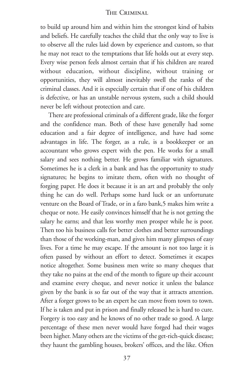## THE CRIMINAL

to build up around him and within him the strongest kind of habits and beliefs. He carefully teaches the child that the only way to live is to observe all the rules laid down by experience and custom, so that he may not react to the temptations that life holds out at every step. Every wise person feels almost certain that if his children are reared without education, without discipline, without training or opportunities, they will almost inevitably swell the ranks of the criminal classes. And it is especially certain that if one of his children is defective, or has an unstable nervous system, such a child should never be left without protection and care.

There are professional criminals of a different grade, like the forger and the confidence man. Both of these have generally had some education and a fair degree of intelligence, and have had some advantages in life. The forger, as a rule, is a bookkeeper or an accountant who grows expert with the pen. He works for a small salary and sees nothing better. He grows familiar with signatures. Sometimes he is a clerk in a bank and has the opportunity to study signatures; he begins to imitate them, often with no thought of forging paper. He does it because it is an art and probably the only thing he can do well. Perhaps some hard luck or an unfortunate venture on the Board of Trade, or in a faro bank,5 makes him write a cheque or note. He easily convinces himself that he is not getting the salary he earns; and that less worthy men prosper while he is poor. Then too his business calls for better clothes and better surroundings than those of the working-man, and gives him many glimpses of easy lives. For a time he may escape. If the amount is not too large it is often passed by without an effort to detect. Sometimes it escapes notice altogether. Some business men write so many cheques that they take no pains at the end of the month to figure up their account and examine every cheque, and never notice it unless the balance given by the bank is so far out of the way that it attracts attention. After a forger grows to be an expert he can move from town to town. If he is taken and put in prison and finally released he is hard to cure. Forgery is too easy and he knows of no other trade so good. A large percentage of these men never would have forged had their wages been higher. Many others are the victims of the get-rich-quick disease; they haunt the gambling houses, brokers' offices, and the like. Often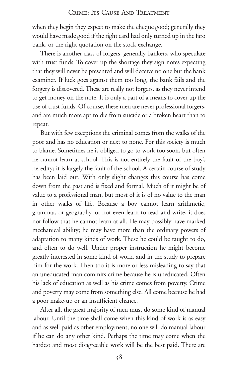when they begin they expect to make the cheque good; generally they would have made good if the right card had only turned up in the faro bank, or the right quotation on the stock exchange.

There is another class of forgers, generally bankers, who speculate with trust funds. To cover up the shortage they sign notes expecting that they will never be presented and will deceive no one but the bank examiner. If luck goes against them too long, the bank fails and the forgery is discovered. These are really not forgers, as they never intend to get money on the note. It is only a part of a means to cover up the use of trust funds. Of course, these men are never professional forgers, and are much more apt to die from suicide or a broken heart than to repeat.

But with few exceptions the criminal comes from the walks of the poor and has no education or next to none. For this society is much to blame. Sometimes he is obliged to go to work too soon, but often he cannot learn at school. This is not entirely the fault of the boy's heredity; it is largely the fault of the school. A certain course of study has been laid out. With only slight changes this course has come down from the past and is fixed and formal. Much of it might be of value to a professional man, but most of it is of no value to the man in other walks of life. Because a boy cannot learn arithmetic, grammar, or geography, or not even learn to read and write, it does not follow that he cannot learn at all. He may possibly have marked mechanical ability; he may have more than the ordinary powers of adaptation to many kinds of work. These he could be taught to do, and often to do well. Under proper instruction he might become greatly interested in some kind of work, and in the study to prepare him for the work. Then too it is more or less misleading to say that an uneducated man commits crime because he is uneducated. Often his lack of education as well as his crime comes from poverty. Crime and poverty may come from something else. All come because he had a poor make-up or an insufficient chance.

After all, the great majority of men must do some kind of manual labour. Until the time shall come when this kind of work is as easy and as well paid as other employment, no one will do manual labour if he can do any other kind. Perhaps the time may come when the hardest and most disagreeable work will be the best paid. There are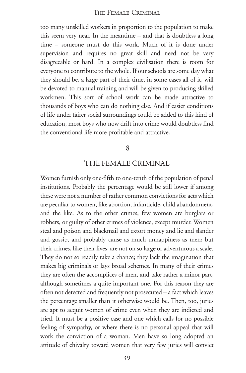too many unskilled workers in proportion to the population to make this seem very near. In the meantime – and that is doubtless a long time – someone must do this work. Much of it is done under supervision and requires no great skill and need not be very disagreeable or hard. In a complex civilisation there is room for everyone to contribute to the whole. If our schools are some day what they should be, a large part of their time, in some cases all of it, will be devoted to manual training and will be given to producing skilled workmen. This sort of school work can be made attractive to thousands of boys who can do nothing else. And if easier conditions of life under fairer social surroundings could be added to this kind of education, most boys who now drift into crime would doubtless find the conventional life more profitable and attractive.

## 8

## THE FEMALE CRIMINAL

Women furnish only one-fifth to one-tenth of the population of penal institutions. Probably the percentage would be still lower if among these were not a number of rather common convictions for acts which are peculiar to women, like abortion, infanticide, child abandonment, and the like. As to the other crimes, few women are burglars or robbers, or guilty of other crimes of violence, except murder. Women steal and poison and blackmail and extort money and lie and slander and gossip, and probably cause as much unhappiness as men; but their crimes, like their lives, are not on so large or adventurous a scale. They do not so readily take a chance; they lack the imagination that makes big criminals or lays broad schemes. In many of their crimes they are often the accomplices of men, and take rather a minor part, although sometimes a quite important one. For this reason they are often not detected and frequently not prosecuted – a fact which leaves the percentage smaller than it otherwise would be. Then, too, juries are apt to acquit women of crime even when they are indicted and tried. It must be a positive case and one which calls for no possible feeling of sympathy, or where there is no personal appeal that will work the conviction of a woman. Men have so long adopted an attitude of chivalry toward women that very few juries will convict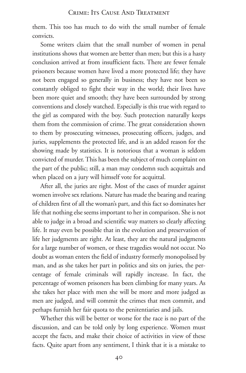them. This too has much to do with the small number of female convicts.

Some writers claim that the small number of women in penal institutions shows that women are better than men; but this is a hasty conclusion arrived at from insufficient facts. There are fewer female prisoners because women have lived a more protected life; they have not been engaged so generally in business; they have not been so constantly obliged to fight their way in the world; their lives have been more quiet and smooth; they have been surrounded by strong conventions and closely watched. Especially is this true with regard to the girl as compared with the boy. Such protection naturally keeps them from the commission of crime. The great consideration shown to them by prosecuting witnesses, prosecuting officers, judges, and juries, supplements the protected life, and is an added reason for the showing made by statistics. It is notorious that a woman is seldom convicted of murder. This has been the subject of much complaint on the part of the public; still, a man may condemn such acquittals and when placed on a jury will himself vote for acquittal.

After all, the juries are right. Most of the cases of murder against women involve sex relations. Nature has made the bearing and rearing of children first of all the woman's part, and this fact so dominates her life that nothing else seems important to her in comparison. She is not able to judge in a broad and scientific way matters so clearly affecting life. It may even be possible that in the evolution and preservation of life her judgments are right. At least, they are the natural judgments for a large number of women, or these tragedies would not occur. No doubt as woman enters the field of industry formerly monopolised by man, and as she takes her part in politics and sits on juries, the percentage of female criminals will rapidly increase. In fact, the percentage of women prisoners has been climbing for many years. As she takes her place with men she will be more and more judged as men are judged, and will commit the crimes that men commit, and perhaps furnish her fair quota to the penitentiaries and jails.

Whether this will be better or worse for the race is no part of the discussion, and can be told only by long experience. Women must accept the facts, and make their choice of activities in view of these facts. Quite apart from any sentiment, I think that it is a mistake to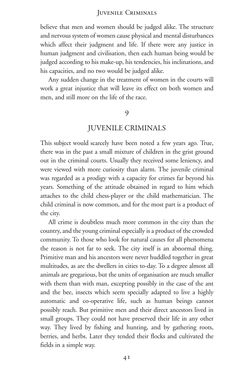## Juvenile Criminals

believe that men and women should be judged alike. The structure and nervous system of women cause physical and mental disturbances which affect their judgment and life. If there were any justice in human judgment and civilisation, then each human being would be judged according to his make-up, his tendencies, his inclinations, and his capacities, and no two would be judged alike.

Any sudden change in the treatment of women in the courts will work a great injustice that will leave its effect on both women and men, and still more on the life of the race.

# 9

# JUVENILE CRIMINALS

This subject would scarcely have been noted a few years ago. True, there was in the past a small mixture of children in the grist ground out in the criminal courts. Usually they received some leniency, and were viewed with more curiosity than alarm. The juvenile criminal was regarded as a prodigy with a capacity for crimes far beyond his years. Something of the attitude obtained in regard to him which attaches to the child chess-player or the child mathematician. The child criminal is now common, and for the most part is a product of the city.

All crime is doubtless much more common in the city than the country, and the young criminal especially is a product of the crowded community. To those who look for natural causes for all phenomena the reason is not far to seek. The city itself is an abnormal thing. Primitive man and his ancestors were never huddled together in great multitudes, as are the dwellers in cities to-day. To a degree almost all animals are gregarious, but the units of organisation are much smaller with them than with man, excepting possibly in the case of the ant and the bee, insects which seem specially adapted to live a highly automatic and co-operative life, such as human beings cannot possibly reach. But primitive men and their direct ancestors lived in small groups. They could not have preserved their life in any other way. They lived by fishing and hunting, and by gathering roots, berries, and herbs. Later they tended their flocks and cultivated the fields in a simple way.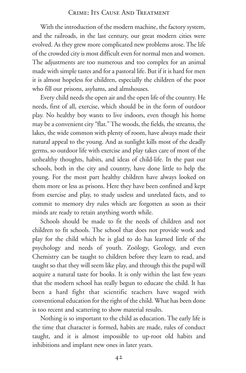With the introduction of the modern machine, the factory system, and the railroads, in the last century, our great modern cities were evolved. As they grew more complicated new problems arose. The life of the crowded city is most difficult even for normal men and women. The adjustments are too numerous and too complex for an animal made with simple tastes and for a pastoral life. But if it is hard for men it is almost hopeless for children, especially the children of the poor who fill our prisons, asylums, and almshouses.

Every child needs the open air and the open life of the country. He needs, first of all, exercise, which should be in the form of outdoor play. No healthy boy wants to live indoors, even though his home may be a convenient city "flat." The woods, the fields, the streams, the lakes, the wide common with plenty of room, have always made their natural appeal to the young. And as sunlight kills most of the deadly germs, so outdoor life with exercise and play takes care of most of the unhealthy thoughts, habits, and ideas of child-life. In the past our schools, both in the city and country, have done little to help the young. For the most part healthy children have always looked on them more or less as prisons. Here they have been confined and kept from exercise and play, to study useless and unrelated facts, and to commit to memory dry rules which are forgotten as soon as their minds are ready to retain anything worth while.

Schools should be made to fit the needs of children and not children to fit schools. The school that does not provide work and play for the child which he is glad to do has learned little of the psychology and needs of youth. Zoölogy, Geology, and even Chemistry can be taught to children before they learn to read, and taught so that they will seem like play, and through this the pupil will acquire a natural taste for books. It is only within the last few years that the modern school has really begun to educate the child. It has been a hard fight that scientific teachers have waged with conventional education for the right of the child. What has been done is too recent and scattering to show material results.

Nothing is so important to the child as education. The early life is the time that character is formed, habits are made, rules of conduct taught, and it is almost impossible to up-root old habits and inhibitions and implant new ones in later years.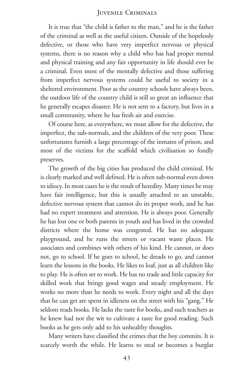## Juvenile Criminals

It is true that "the child is father to the man," and he is the father of the criminal as well as the useful citizen. Outside of the hopelessly defective, or those who have very imperfect nervous or physical systems, there is no reason why a child who has had proper mental and physical training and any fair opportunity in life should ever be a criminal. Even most of the mentally defective and those suffering from imperfect nervous systems could be useful to society in a sheltered environment. Poor as the country schools have always been, the outdoor life of the country child is still so great an influence that he generally escapes disaster. He is not sent to a factory, but lives in a small community, where he has fresh air and exercise.

Of course here, as everywhere, we must allow for the defective, the imperfect, the sub-normals, and the children of the very poor. These unfortunates furnish a large percentage of the inmates of prison, and most of the victims for the scaffold which civilisation so fondly preserves.

The growth of the big cities has produced the child criminal. He is clearly marked and well defined. He is often sub-normal even down to idiocy. In most cases he is the result of heredity. Many times he may have fair intelligence, but this is usually attached to an unstable, defective nervous system that cannot do its proper work, and he has had no expert treatment and attention. He is always poor. Generally he has lost one or both parents in youth and has lived in the crowded districts where the home was congested. He has no adequate playground, and he runs the streets or vacant waste places. He associates and combines with others of his kind. He cannot, or does not, go to school. If he goes to school, he dreads to go, and cannot learn the lessons in the books. He likes to loaf, just as all children like to play. He is often set to work. He has no trade and little capacity for skilled work that brings good wages and steady employment. He works no more than he needs to work. Every night and all the days that he can get are spent in idleness on the street with his "gang." He seldom reads books. He lacks the taste for books, and such teachers as he knew had not the wit to cultivate a taste for good reading. Such books as he gets only add to his unhealthy thoughts.

Many writers have classified the crimes that the boy commits. It is scarcely worth the while. He learns to steal or becomes a burglar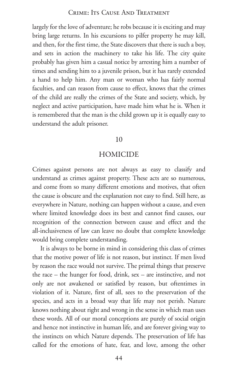largely for the love of adventure; he robs because it is exciting and may bring large returns. In his excursions to pilfer property he may kill, and then, for the first time, the State discovers that there is such a boy, and sets in action the machinery to take his life. The city quite probably has given him a casual notice by arresting him a number of times and sending him to a juvenile prison, but it has rarely extended a hand to help him. Any man or woman who has fairly normal faculties, and can reason from cause to effect, knows that the crimes of the child are really the crimes of the State and society, which, by neglect and active participation, have made him what he is. When it is remembered that the man is the child grown up it is equally easy to understand the adult prisoner.

## 10

## HOMICIDE

Crimes against persons are not always as easy to classify and understand as crimes against property. These acts are so numerous, and come from so many different emotions and motives, that often the cause is obscure and the explanation not easy to find. Still here, as everywhere in Nature, nothing can happen without a cause, and even where limited knowledge does its best and cannot find causes, our recognition of the connection between cause and effect and the all-inclusiveness of law can leave no doubt that complete knowledge would bring complete understanding.

It is always to be borne in mind in considering this class of crimes that the motive power of life is not reason, but instinct. If men lived by reason the race would not survive. The primal things that preserve the race – the hunger for food, drink, sex – are instinctive, and not only are not awakened or satisfied by reason, but oftentimes in violation of it. Nature, first of all, sees to the preservation of the species, and acts in a broad way that life may not perish. Nature knows nothing about right and wrong in the sense in which man uses these words. All of our moral conceptions are purely of social origin and hence not instinctive in human life, and are forever giving way to the instincts on which Nature depends. The preservation of life has called for the emotions of hate, fear, and love, among the other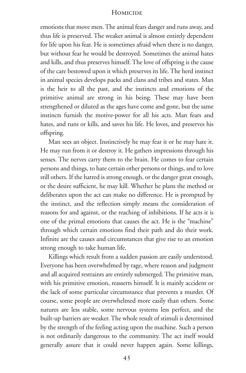## **HOMICIDE**

emotions that move men. The animal fears danger and runs away, and thus life is preserved. The weaker animal is almost entirely dependent for life upon his fear. He is sometimes afraid when there is no danger, but without fear he would be destroyed. Sometimes the animal hates and kills, and thus preserves himself. The love of offspring is the cause of the care bestowed upon it which preserves its life. The herd instinct in animal species develops packs and clans and tribes and states. Man is the heir to all the past, and the instincts and emotions of the primitive animal are strong in his being. These may have been strengthened or diluted as the ages have come and gone, but the same instincts furnish the motive-power for all his acts. Man fears and hates, and runs or kills, and saves his life. He loves, and preserves his offspring.

Man sees an object. Instinctively he may fear it or he may hate it. He may run from it or destroy it. He gathers impressions through his senses. The nerves carry them to the brain. He comes to fear certain persons and things, to hate certain other persons or things, and to love still others. If the hatred is strong enough, or the danger great enough, or the desire sufficient, he may kill. Whether he plans the method or deliberates upon the act can make no difference. He is prompted by the instinct, and the reflection simply means the consideration of reasons for and against, or the reaching of inhibitions. If he acts it is one of the primal emotions that causes the act. He is the "machine" through which certain emotions find their path and do their work. Infinite are the causes and circumstances that give rise to an emotion strong enough to take human life.

Killings which result from a sudden passion are easily understood. Everyone has been overwhelmed by rage, where reason and judgment and all acquired restraints are entirely submerged. The primitive man, with his primitive emotion, reasserts himself. It is mainly accident or the lack of some particular circumstance that prevents a murder. Of course, some people are overwhelmed more easily than others. Some natures are less stable, some nervous systems less perfect, and the built-up barriers are weaker. The whole result of stimuli is determined by the strength of the feeling acting upon the machine. Such a person is not ordinarily dangerous to the community. The act itself would generally assure that it could never happen again. Some killings,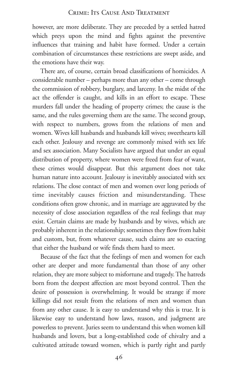however, are more deliberate. They are preceded by a settled hatred which preys upon the mind and fights against the preventive influences that training and habit have formed. Under a certain combination of circumstances these restrictions are swept aside, and the emotions have their way.

There are, of course, certain broad classifications of homicides. A considerable number – perhaps more than any other – come through the commission of robbery, burglary, and larceny. In the midst of the act the offender is caught, and kills in an effort to escape. These murders fall under the heading of property crimes; the cause is the same, and the rules governing them are the same. The second group, with respect to numbers, grows from the relations of men and women. Wives kill husbands and husbands kill wives; sweethearts kill each other. Jealousy and revenge are commonly mixed with sex life and sex association. Many Socialists have argued that under an equal distribution of property, where women were freed from fear of want, these crimes would disappear. But this argument does not take human nature into account. Jealousy is inevitably associated with sex relations. The close contact of men and women over long periods of time inevitably causes friction and misunderstanding. These conditions often grow chronic, and in marriage are aggravated by the necessity of close association regardless of the real feelings that may exist. Certain claims are made by husbands and by wives, which are probably inherent in the relationship; sometimes they flow from habit and custom, but, from whatever cause, such claims are so exacting that either the husband or wife finds them hard to meet.

Because of the fact that the feelings of men and women for each other are deeper and more fundamental than those of any other relation, they are more subject to misfortune and tragedy. The hatreds born from the deepest affection are most beyond control. Then the desire of possession is overwhelming. It would be strange if more killings did not result from the relations of men and women than from any other cause. It is easy to understand why this is true. It is likewise easy to understand how laws, reason, and judgment are powerless to prevent. Juries seem to understand this when women kill husbands and lovers, but a long-established code of chivalry and a cultivated attitude toward women, which is partly right and partly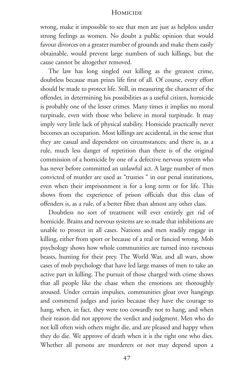### **HOMICIDE**

wrong, make it impossible to see that men are just as helpless under strong feelings as women. No doubt a public opinion that would favour divorces on a greater number of grounds and make them easily obtainable, would prevent large numbers of such killings, but the cause cannot be altogether removed.

The law has long singled out killing as the greatest crime, doubtless because man prizes life first of all. Of course, every effort should be made to protect life. Still, in measuring the character of the offender, in determining his possibilities as a useful citizen, homicide is probably one of the lesser crimes. Many times it implies no moral turpitude, even with those who believe in moral turpitude. It may imply very little lack of physical stability. Homicide practically never becomes an occupation. Most killings are accidental, in the sense that they are casual and dependent on circumstances; and there is, as a rule, much less danger of repetition than there is of the original commission of a homicide by one of a defective nervous system who has never before committed an unlawful act. A large number of men convicted of murder are used as "trusties " in our penal institutions, even when their imprisonment is for a long term or for life. This shows from the experience of prison officials that this class of offenders is, as a rule, of a better fibre than almost any other class.

Doubtless no sort of treatment will ever entirely get rid of homicide. Brains and nervous systems are so made that inhibitions are unable to protect in all cases. Nations and men readily engage in killing, either from sport or because of a real or fancied wrong. Mob psychology shows how whole communities are turned into ravenous beasts, hunting for their prey. The World War, and all wars, show cases of mob psychology that have led large masses of men to take an active part in killing. The pursuit of those charged with crime shows that all people like the chase when the emotions are thoroughly aroused. Under certain impulses, communities gloat over hangings and commend judges and juries because they have the courage to hang, when, in fact, they were too cowardly not to hang, and when their reason did not approve the verdict and judgment. Men who do not kill often wish others might die, and are pleased and happy when they do die. We approve of death when it is the right one who dies. Whether all persons are murderers or not may depend upon a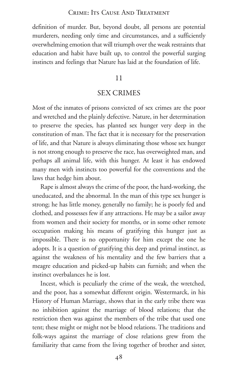definition of murder. But, beyond doubt, all persons are potential murderers, needing only time and circumstances, and a sufficiently overwhelming emotion that will triumph over the weak restraints that education and habit have built up, to control the powerful surging instincts and feelings that Nature has laid at the foundation of life.

### 11

## SEX CRIMES

Most of the inmates of prisons convicted of sex crimes are the poor and wretched and the plainly defective. Nature, in her determination to preserve the species, has planted sex hunger very deep in the constitution of man. The fact that it is necessary for the preservation of life, and that Nature is always eliminating those whose sex hunger is not strong enough to preserve the race, has overweighted man, and perhaps all animal life, with this hunger. At least it has endowed many men with instincts too powerful for the conventions and the laws that hedge him about.

Rape is almost always the crime of the poor, the hard-working, the uneducated, and the abnormal. In the man of this type sex hunger is strong; he has little money, generally no family; he is poorly fed and clothed, and possesses few if any attractions. He may be a sailor away from women and their society for months, or in some other remote occupation making his means of gratifying this hunger just as impossible. There is no opportunity for him except the one he adopts. It is a question of gratifying this deep and primal instinct, as against the weakness of his mentality and the few barriers that a meagre education and picked-up habits can furnish; and when the instinct overbalances he is lost.

Incest, which is peculiarly the crime of the weak, the wretched, and the poor, has a somewhat different origin. Westermarck, in his History of Human Marriage, shows that in the early tribe there was no inhibition against the marriage of blood relations; that the restriction then was against the members of the tribe that used one tent; these might or might not be blood relations. The traditions and folk-ways against the marriage of close relations grew from the familiarity that came from the living together of brother and sister,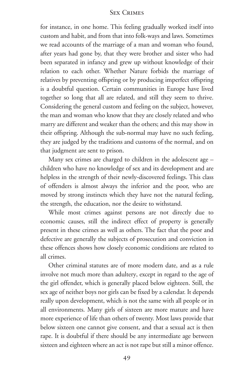### **SEX CRIMES**

for instance, in one home. This feeling gradually worked itself into custom and habit, and from that into folk-ways and laws. Sometimes we read accounts of the marriage of a man and woman who found, after years had gone by, that they were brother and sister who had been separated in infancy and grew up without knowledge of their relation to each other. Whether Nature forbids the marriage of relatives by preventing offspring or by producing imperfect offspring is a doubtful question. Certain communities in Europe have lived together so long that all are related, and still they seem to thrive. Considering the general custom and feeling on the subject, however, the man and woman who know that they are closely related and who marry are different and weaker than the others; and this may show in their offspring. Although the sub-normal may have no such feeling, they are judged by the traditions and customs of the normal, and on that judgment are sent to prison.

Many sex crimes are charged to children in the adolescent age – children who have no knowledge of sex and its development and are helpless in the strength of their newly-discovered feelings. This class of offenders is almost always the inferior and the poor, who are moved by strong instincts which they have not the natural feeling, the strength, the education, nor the desire to withstand.

While most crimes against persons are not directly due to economic causes, still the indirect effect of property is generally present in these crimes as well as others. The fact that the poor and defective are generally the subjects of prosecution and conviction in these offences shows how closely economic conditions are related to all crimes.

Other criminal statutes are of more modern date, and as a rule involve not much more than adultery, except in regard to the age of the girl offender, which is generally placed below eighteen. Still, the sex age of neither boys nor girls can be fixed by a calendar. It depends really upon development, which is not the same with all people or in all environments. Many girls of sixteen are more mature and have more experience of life than others of twenty. Most laws provide that below sixteen one cannot give consent, and that a sexual act is then rape. It is doubtful if there should be any intermediate age between sixteen and eighteen where an act is not rape but still a minor offence.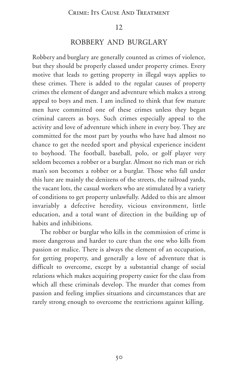## 12

## ROBBERY AND BURGLARY

Robbery and burglary are generally counted as crimes of violence, but they should be properly classed under property crimes. Every motive that leads to getting property in illegal ways applies to these crimes. There is added to the regular causes of property crimes the element of danger and adventure which makes a strong appeal to boys and men. I am inclined to think that few mature men have committed one of these crimes unless they began criminal careers as boys. Such crimes especially appeal to the activity and love of adventure which inhere in every boy. They are committed for the most part by youths who have had almost no chance to get the needed sport and physical experience incident to boyhood. The football, baseball, polo, or golf player very seldom becomes a robber or a burglar. Almost no rich man or rich man's son becomes a robber or a burglar. Those who fall under this lure are mainly the denizens of the streets, the railroad yards, the vacant lots, the casual workers who are stimulated by a variety of conditions to get property unlawfully. Added to this are almost invariably a defective heredity, vicious environment, little education, and a total want of direction in the building up of habits and inhibitions.

The robber or burglar who kills in the commission of crime is more dangerous and harder to cure than the one who kills from passion or malice. There is always the element of an occupation, for getting property, and generally a love of adventure that is difficult to overcome, except by a substantial change of social relations which makes acquiring property easier for the class from which all these criminals develop. The murder that comes from passion and feeling implies situations and circumstances that are rarely strong enough to overcome the restrictions against killing.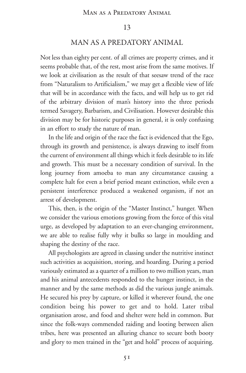#### MAN AS A PREDATORY ANIMAL

## 13

## MAN AS A PREDATORY ANIMAL

Not less than eighty per cent. of all crimes are property crimes, and it seems probable that, of the rest, most arise from the same motives. If we look at civilisation as the result of that seesaw trend of the race from "Naturalism to Artificialism," we may get a flexible view of life that will be in accordance with the facts, and will help us to get rid of the arbitrary division of man's history into the three periods termed Savagery, Barbarism, and Civilisation. However desirable this division may be for historic purposes in general, it is only confusing in an effort to study the nature of man.

In the life and origin of the race the fact is evidenced that the Ego, through its growth and persistence, is always drawing to itself from the current of environment all things which it feels desirable to its life and growth. This must be a necessary condition of survival. In the long journey from amoeba to man any circumstance causing a complete halt for even a brief period meant extinction, while even a persistent interference produced a weakened organism, if not an arrest of development.

This, then, is the origin of the "Master Instinct," hunger. When we consider the various emotions growing from the force of this vital urge, as developed by adaptation to an ever-changing environment, we are able to realise fully why it bulks so large in moulding and shaping the destiny of the race.

All psychologists are agreed in classing under the nutritive instinct such activities as acquisition, storing, and hoarding. During a period variously estimated as a quarter of a million to two million years, man and his animal antecedents responded to the hunger instinct, in the manner and by the same methods as did the various jungle animals. He secured his prey by capture, or killed it wherever found, the one condition being his power to get and to hold. Later tribal organisation arose, and food and shelter were held in common. But since the folk-ways commended raiding and looting between alien tribes, here was presented an alluring chance to secure both booty and glory to men trained in the "get and hold" process of acquiring.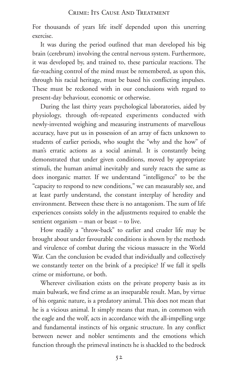# CRIME: ITS CAUSE AND TREATMENT

For thousands of years life itself depended upon this unerring exercise.

It was during the period outlined that man developed his big brain (cerebrum) involving the central nervous system. Furthermore, it was developed by, and trained to, these particular reactions. The far-reaching control of the mind must be remembered, as upon this, through his racial heritage, must be based his conflicting impulses. These must be reckoned with in our conclusions with regard to present-day behaviour, economic or otherwise.

During the last thirty years psychological laboratories, aided by physiology, through oft-repeated experiments conducted with newly-invented weighing and measuring instruments of marvellous accuracy, have put us in possession of an array of facts unknown to students of earlier periods, who sought the "why and the how" of man's erratic actions as a social animal. It is constantly being demonstrated that under given conditions, moved by appropriate stimuli, the human animal inevitably and surely reacts the same as does inorganic matter. If we understand "intelligence" to be the "capacity to respond to new conditions," we can measurably see, and at least partly understand, the constant interplay of heredity and environment. Between these there is no antagonism. The sum of life experiences consists solely in the adjustments required to enable the sentient organism – man or beast – to live.

How readily a "throw-back" to earlier and cruder life may be brought about under favourable conditions is shown by the methods and virulence of combat during the vicious massacre in the World War. Can the conclusion be evaded that individually and collectively we constantly teeter on the brink of a precipice? If we fall it spells crime or misfortune, or both.

Wherever civilisation exists on the private property basis as its main bulwark, we find crime as an inseparable result. Man, by virtue of his organic nature, is a predatory animal. This does not mean that he is a vicious animal. It simply means that man, in common with the eagle and the wolf, acts in accordance with the all-impelling urge and fundamental instincts of his organic structure. In any conflict between newer and nobler sentiments and the emotions which function through the primeval instincts he is shackled to the bedrock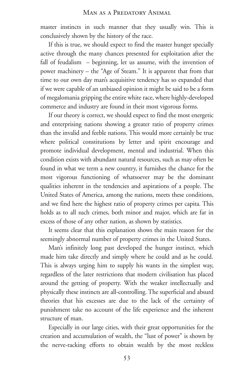### MAN AS A PREDATORY ANIMAL

master instincts in such manner that they usually win. This is conclusively shown by the history of the race.

If this is true, we should expect to find the master hunger specially active through the many chances presented for exploitation after the fall of feudalism – beginning, let us assume, with the invention of power machinery – the "Age of Steam." It is apparent that from that time to our own day man's acquisitive tendency has so expanded that if we were capable of an unbiased opinion it might be said to be a form of megalomania gripping the entire white race, where highly-developed commerce and industry are found in their most vigorous forms.

If our theory is correct, we should expect to find the most energetic and enterprising nations showing a greater ratio of property crimes than the invalid and feeble nations. This would more certainly be true where political constitutions by letter and spirit encourage and promote individual development, mental and industrial. When this condition exists with abundant natural resources, such as may often be found in what we term a new country, it furnishes the chance for the most vigorous functioning of whatsoever may be the dominant qualities inherent in the tendencies and aspirations of a people. The United States of America, among the nations, meets these conditions, and we find here the highest ratio of property crimes per capita. This holds as to all such crimes, both minor and major, which are far in excess of those of any other nation, as shown by statistics.

It seems clear that this explanation shows the main reason for the seemingly abnormal number of property crimes in the United States.

Man's infinitely long past developed the hunger instinct, which made him take directly and simply where he could and as he could. This is always urging him to supply his wants in the simplest way, regardless of the later restrictions that modern civilisation has placed around the getting of property. With the weaker intellectually and physically these instincts are all-controlling. The superficial and absurd theories that his excesses are due to the lack of the certainty of punishment take no account of the life experience and the inherent structure of man.

Especially in our large cities, with their great opportunities for the creation and accumulation of wealth, the "lust of power" is shown by the nerve-racking efforts to obtain wealth by the most reckless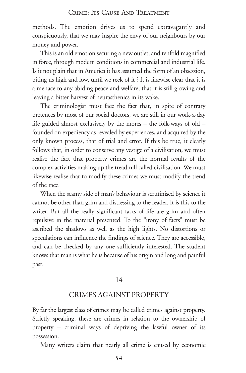methods. The emotion drives us to spend extravagantly and conspicuously, that we may inspire the envy of our neighbours by our money and power.

This is an old emotion securing a new outlet, and tenfold magnified in force, through modern conditions in commercial and industrial life. Is it not plain that in America it has assumed the form of an obsession, biting us high and low, until we reek of it ? It is likewise clear that it is a menace to any abiding peace and welfare; that it is still growing and leaving a bitter harvest of neurasthenics in its wake.

The criminologist must face the fact that, in spite of contrary pretences by most of our social doctors, we are still in our work-a-day life guided almost exclusively by the mores – the folk-ways of old – founded on expediency as revealed by experiences, and acquired by the only known process, that of trial and error. If this be true, it clearly follows that, in order to conserve any vestige of a civilisation, we must realise the fact that property crimes are the normal results of the complex activities making up the treadmill called civilisation. We must likewise realise that to modify these crimes we must modify the trend of the race.

When the seamy side of man's behaviour is scrutinised by science it cannot be other than grim and distressing to the reader. It is this to the writer. But all the really significant facts of life are grim and often repulsive in the material presented. To the "irony of facts" must be ascribed the shadows as well as the high lights. No distortions or speculations can influence the findings of science. They are accessible, and can be checked by any one sufficiently interested. The student knows that man is what he is because of his origin and long and painful past.

#### 14

### CRIMES AGAINST PROPERTY

By far the largest class of crimes may be called crimes against property. Strictly speaking, these are crimes in relation to the ownership of property – criminal ways of depriving the lawful owner of its possession.

Many writers claim that nearly all crime is caused by economic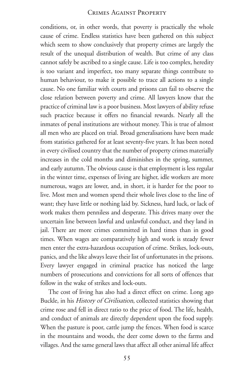### Crimes Against Property

conditions, or, in other words, that poverty is practically the whole cause of crime. Endless statistics have been gathered on this subject which seem to show conclusively that property crimes are largely the result of the unequal distribution of wealth. But crime of any class cannot safely be ascribed to a single cause. Life is too complex, heredity is too variant and imperfect, too many separate things contribute to human behaviour, to make it possible to trace all actions to a single cause. No one familiar with courts and prisons can fail to observe the close relation between poverty and crime. All lawyers know that the practice of criminal law is a poor business. Most lawyers of ability refuse such practice because it offers no financial rewards. Nearly all the inmates of penal institutions are without money. This is true of almost all men who are placed on trial. Broad generalisations have been made from statistics gathered for at least seventy-five years. It has been noted in every civilised country that the number of property crimes materially increases in the cold months and diminishes in the spring, summer, and early autumn. The obvious cause is that employment is less regular in the winter time, expenses of living are higher, idle workers are more numerous, wages are lower, and, in short, it is harder for the poor to live. Most men and women spend their whole lives close to the line of want; they have little or nothing laid by. Sickness, hard luck, or lack of work makes them penniless and desperate. This drives many over the uncertain line between lawful and unlawful conduct, and they land in jail. There are more crimes committed in hard times than in good times. When wages are comparatively high and work is steady fewer men enter the extra-hazardous occupation of crime. Strikes, lock-outs, panics, and the like always leave their list of unfortunates in the prisons. Every lawyer engaged in criminal practice has noticed the large numbers of prosecutions and convictions for all sorts of offences that follow in the wake of strikes and lock-outs.

The cost of living has also had a direct effect on crime. Long ago Buckle, in his *History of Civilisation*, collected statistics showing that crime rose and fell in direct ratio to the price of food. The life, health, and conduct of animals are directly dependent upon the food supply. When the pasture is poor, cattle jump the fences. When food is scarce in the mountains and woods, the deer come down to the farms and villages. And the same general laws that affect all other animal life affect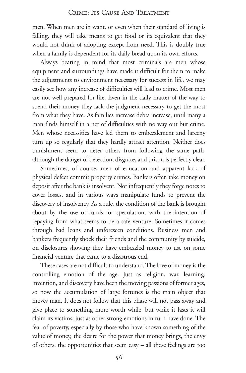## CRIME: ITS CAUSE AND TREATMENT

men. When men are in want, or even when their standard of living is falling, they will take means to get food or its equivalent that they would not think of adopting except from need. This is doubly true when a family is dependent for its daily bread upon its own efforts.

Always bearing in mind that most criminals are men whose equipment and surroundings have made it difficult for them to make the adjustments to environment necessary for success in life, we may easily see how any increase of difficulties will lead to crime. Most men are not well prepared for life. Even in the daily matter of the way to spend their money they lack the judgment necessary to get the most from what they have. As families increase debts increase, until many a man finds himself in a net of difficulties with no way out but crime. Men whose necessities have led them to embezzlement and larceny turn up so regularly that they hardly attract attention. Neither does punishment seem to deter others from following the same path, although the danger of detection, disgrace, and prison is perfectly clear.

Sometimes, of course, men of education and apparent lack of physical defect commit property crimes. Bankers often take money on deposit after the bank is insolvent. Not infrequently they forge notes to cover losses, and in various ways manipulate funds to prevent the discovery of insolvency. As a rule, the condition of the bank is brought about by the use of funds for speculation, with the intention of repaying from what seems to be a safe venture. Sometimes it comes through bad loans and unforeseen conditions. Business men and bankers frequently shock their friends and the community by suicide, on disclosures showing they have embezzled money to use on some financial venture that came to a disastrous end.

These cases are not difficult to understand. The love of money is the controlling emotion of the age. Just as religion, war, learning. invention, and discovery have been the moving passions of former ages, so now the accumulation of large fortunes is the main object that moves man. It does not follow that this phase will not pass away and give place to something more worth while, but while it lasts it will claim its victims, just as other strong emotions in turn have done. The fear of poverty, especially by those who have known something of the value of money, the desire for the power that money brings, the envy of others. the opportunities that seem easy – all these feelings are too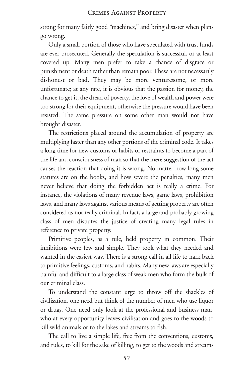## Crimes Against Property

strong for many fairly good "machines," and bring disaster when plans go wrong.

Only a small portion of those who have speculated with trust funds are ever prosecuted. Generally the speculation is successful, or at least covered up. Many men prefer to take a chance of disgrace or punishment or death rather than remain poor. These are not necessarily dishonest or bad. They may be more venturesome, or more unfortunate; at any rate, it is obvious that the passion for money, the chance to get it, the dread of poverty, the love of wealth and power were too strong for their equipment, otherwise the pressure would have been resisted. The same pressure on some other man would not have brought disaster.

The restrictions placed around the accumulation of property are multiplying faster than any other portions of the criminal code. It takes a long time for new customs or habits or restraints to become a part of the life and consciousness of man so that the mere suggestion of the act causes the reaction that doing it is wrong. No matter how long some statutes are on the books, and how severe the penalties, many men never believe that doing the forbidden act is really a crime. For instance, the violations of many revenue laws, game laws, prohibition laws, and many laws against various means of getting property are often considered as not really criminal. In fact, a large and probably growing class of men disputes the justice of creating many legal rules in reference to private property.

Primitive peoples, as a rule, held property in common. Their inhibitions were few and simple. They took what they needed and wanted in the easiest way. There is a strong call in all life to hark back to primitive feelings, customs, and habits. Many new laws are especially painful and difficult to a large class of weak men who form the bulk of our criminal class.

To understand the constant urge to throw off the shackles of civilisation, one need but think of the number of men who use liquor or drugs. One need only look at the professional and business man, who at every opportunity leaves civilisation and goes to the woods to kill wild animals or to the lakes and streams to fish.

The call to live a simple life, free from the conventions, customs, and rules, to kill for the sake of killing, to get to the woods and streams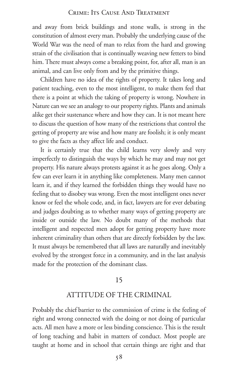and away from brick buildings and stone walls, is strong in the constitution of almost every man. Probably the underlying cause of the World War was the need of man to relax from the hard and growing strain of the civilisation that is continually weaving new fetters to bind him. There must always come a breaking point, for, after all, man is an animal, and can live only from and by the primitive things.

Children have no idea of the rights of property. It takes long and patient teaching, even to the most intelligent, to make them feel that there is a point at which the taking of property is wrong. Nowhere in Nature can we see an analogy to our property rights. Plants and animals alike get their sustenance where and how they can. It is not meant here to discuss the question of how many of the restrictions that control the getting of property are wise and how many are foolish; it is only meant to give the facts as they affect life and conduct.

It is certainly true that the child learns very slowly and very imperfectly to distinguish the ways by which he may and may not get property. His nature always protests against it as he goes along. Only a few can ever learn it in anything like completeness. Many men cannot learn it, and if they learned the forbidden things they would have no feeling that to disobey was wrong. Even the most intelligent ones never know or feel the whole code, and, in fact, lawyers are for ever debating and judges doubting as to whether many ways of getting property are inside or outside the law. No doubt many of the methods that intelligent and respected men adopt for getting property have more inherent criminality than others that are directly forbidden by the law. It must always be remembered that all laws are naturally and inevitably evolved by the strongest force in a community, and in the last analysis made for the protection of the dominant class.

#### 15

#### ATTITUDE OF THE CRIMINAL

Probably the chief barrier to the commission of crime is the feeling of right and wrong connected with the doing or not doing of particular acts. All men have a more or less binding conscience. This is the result of long teaching and habit in matters of conduct. Most people are taught at home and in school that certain things are right and that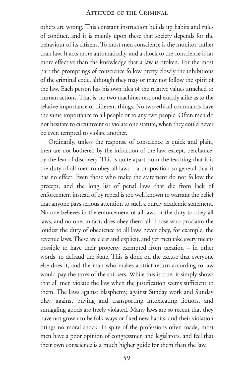## ATTITUDE OF THE CRIMINAL

others are wrong. This constant instruction builds up habits and rules of conduct, and it is mainly upon these that society depends for the behaviour of its citizens. To most men conscience is the monitor, rather than law. It acts more automatically, and a shock to the conscience is far more effective than the knowledge that a law is broken. For the most part the promptings of conscience follow pretty closely the inhibitions of the criminal code, although they may or may not follow the spirit of the law. Each person has his own idea of the relative values attached to human actions. That is, no two machines respond exactly alike as to the relative importance of different things. No two ethical commands have the same importance to all people or to any two people. Often men do not hesitate to circumvent or violate one statute, when they could never be even tempted to violate another.

Ordinarily, unless the response of conscience is quick and plain, men are not bothered by the infraction of the law, except, perchance, by the fear of discovery. This is quite apart from the teaching that it is the duty of all men to obey all laws – a proposition so general that it has no effect. Even those who make the statement do not follow the precept, and the long list of penal laws that die from lack of enforcement instead of by repeal is too well known to warrant the belief that anyone pays serious attention to such a purely academic statement. No one believes in the enforcement of all laws or the duty to obey all laws, and no one, in fact, does obey them all. Those who proclaim the loudest the duty of obedience to all laws never obey, for example, the revenue laws. These are clear and explicit, and yet men take every means possible to have their property exempted from taxation – in other words, to defraud the State. This is done on the excuse that everyone else does it, and the man who makes a strict return according to law would pay the taxes of the shirkers. While this is true, it simply shows that all men violate the law when the justification seems sufficient to them. The laws against blasphemy, against Sunday work and Sunday play, against buying and transporting intoxicating liquors, and smuggling goods are freely violated. Many laws are so recent that they have not grown to be folk-ways or fixed new habits, and their violation brings no moral shock. In spite of the professions often made, most men have a poor opinion of congressmen and legislators, and feel that their own conscience is a much higher guide for them than the law.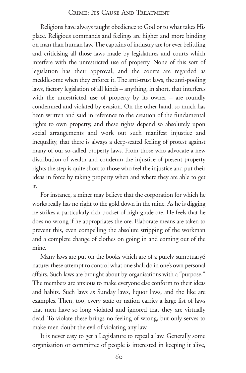## CRIME: ITS CAUSE AND TREATMENT

Religions have always taught obedience to God or to what takes His place. Religious commands and feelings are higher and more binding on man than human law. The captains of industry are for ever belittling and criticising all those laws made by legislatures and courts which interfere with the unrestricted use of property. None of this sort of legislation has their approval, and the courts are regarded as meddlesome when they enforce it. The anti-trust laws, the anti-pooling laws, factory legislation of all kinds – anything, in short, that interferes with the unrestricted use of property by its owner – are roundly condemned and violated by evasion. On the other hand, so much has been written and said in reference to the creation of the fundamental rights to own property, and these rights depend so absolutely upon social arrangements and work out such manifest injustice and inequality, that there is always a deep-seated feeling of protest against many of our so-called property laws. From those who advocate a new distribution of wealth and condemn the injustice of present property rights the step is quite short to those who feel the injustice and put their ideas in force by taking property when and where they are able to get it.

For instance, a miner may believe that the corporation for which he works really has no right to the gold down in the mine. As he is digging he strikes a particularly rich pocket of high-grade ore. He feels that he does no wrong if he appropriates the ore. Elaborate means are taken to prevent this, even compelling the absolute stripping of the workman and a complete change of clothes on going in and coming out of the mine.

Many laws are put on the books which are of a purely sumptuary6 nature; these attempt to control what one shall do in one's own personal affairs. Such laws are brought about by organisations with a "purpose." The members are anxious to make everyone else conform to their ideas and habits. Such laws as Sunday laws, liquor laws, and the like are examples. Then, too, every state or nation carries a large list of laws that men have so long violated and ignored that they are virtually dead. To violate these brings no feeling of wrong, but only serves to make men doubt the evil of violating any law.

It is never easy to get a Legislature to repeal a law. Generally some organisation or committee of people is interested in keeping it alive,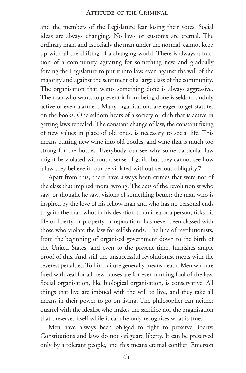## ATTITUDE OF THE CRIMINAL

and the members of the Legislature fear losing their votes. Social ideas are always changing. No laws or customs are eternal. The ordinary man, and especially the man under the normal, cannot keep up with all the shifting of a changing world. There is always a fraction of a community agitating for something new and gradually forcing the Legislature to put it into law, even against the will of the majority and against the sentiment of a large class of the community. The organisation that wants something done is always aggressive. The man who wants to prevent it from being done is seldom unduly active or even alarmed. Many organisations are eager to get statutes on the books. One seldom hears of a society or club that is active in getting laws repealed. The constant change of law, the constant fixing of new values in place of old ones, is necessary to social life. This means putting new wine into old bottles, and wine that is much too strong for the bottles. Everybody can see why some particular law might be violated without a sense of guilt, but they cannot see how a law they believe in can be violated without serious obliquity.7

Apart from this, there have always been crimes that were not of the class that implied moral wrong. The acts of the revolutionist who saw, or thought he saw, visions of something better; the man who is inspired by the love of his fellow-man and who has no personal ends to gain; the man who, in his devotion to an idea or a person, risks his life or liberty or property or reputation, has never been classed with those who violate the law for selfish ends. The line of revolutionists, from the beginning of organised government down to the birth of the United States, and even to the present time, furnishes ample proof of this. And still the unsuccessful revolutionist meets with the severest penalties. To him failure generally means death. Men who are fired with zeal for all new causes are for ever running foul of the law. Social organisation, like biological organisation, is conservative. All things that live are imbued with the will to live, and they take all means in their power to go on living. The philosopher can neither quarrel with the idealist who makes the sacrifice nor the organisation that preserves itself while it can; he only recognises what is true.

Men have always been obliged to fight to preserve liberty. Constitutions and laws do not safeguard liberty. It can be preserved only by a tolerant people, and this means eternal conflict. Emerson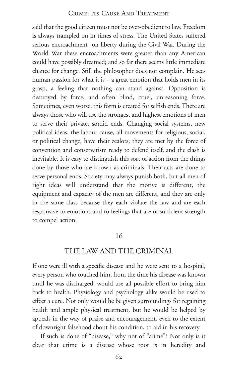## CRIME: ITS CAUSE AND TREATMENT

said that the good citizen must not be over-obedient to law. Freedom is always trampled on in times of stress. The United States suffered serious encroachment on liberty during the Civil War. During the World War these encroachments were greater than any American could have possibly dreamed; and so far there seems little immediate chance for change. Still the philosopher does not complain. He sees human passion for what it is – a great emotion that holds men in its grasp, a feeling that nothing can stand against. Opposition is destroyed by force, and often blind, cruel, unreasoning force. Sometimes, even worse, this form is created for selfish ends. There are always those who will use the strongest and highest emotions of men to serve their private, sordid ends. Changing social systems, new political ideas, the labour cause, all movements for religious, social, or political change, have their zealots; they are met by the force of convention and conservatism ready to defend itself, and the clash is inevitable. It is easy to distinguish this sort of action from the things done by those who are known as criminals. Their acts are done to serve personal ends. Society may always punish both, but all men of right ideas will understand that the motive is different, the equipment and capacity of the men are different, and they are only in the same class because they each violate the law and are each responsive to emotions and to feelings that are of sufficient strength to compel action.

## 16

## THE LAW AND THE CRIMINAL

If one were ill with a specific disease and he were sent to a hospital, every person who touched him, from the time his disease was known until he was discharged, would use all possible effort to bring him back to health. Physiology and psychology alike would be used to effect a cure. Not only would he be given surroundings for regaining health and ample physical treatment, but he would be helped by appeals in the way of praise and encouragement, even to the extent of downright falsehood about his condition, to aid in his recovery.

If such is done of "disease," why not of "crime"? Not only is it clear that crime is a disease whose root is in heredity and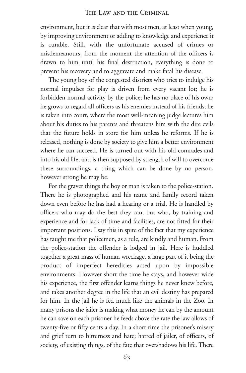# The Law and the Criminal

environment, but it is clear that with most men, at least when young, by improving environment or adding to knowledge and experience it is curable. Still, with the unfortunate accused of crimes or misdemeanours, from the moment the attention of the officers is drawn to him until his final destruction, everything is done to prevent his recovery and to aggravate and make fatal his disease.

The young boy of the congested districts who tries to indulge his normal impulses for play is driven from every vacant lot; he is forbidden normal activity by the police; he has no place of his own; he grows to regard all officers as his enemies instead of his friends; he is taken into court, where the most well-meaning judge lectures him about his duties to his parents and threatens him with the dire evils that the future holds in store for him unless he reforms. If he is released, nothing is done by society to give him a better environment where he can succeed. He is turned out with his old comrades and into his old life, and is then supposed by strength of will to overcome these surroundings, a thing which can be done by no person, however strong he may be.

For the graver things the boy or man is taken to the police-station. There he is photographed and his name and family record taken down even before he has had a hearing or a trial. He is handled by officers who may do the best they can, but who, by training and experience and for lack of time and facilities, are not fitted for their important positions. I say this in spite of the fact that my experience has taught me that policemen, as a rule, are kindly and human. From the police-station the offender is lodged in jail. Here is huddled together a great mass of human wreckage, a large part of it being the product of imperfect heredities acted upon by impossible environments. However short the time he stays, and however wide his experience, the first offender learns things he never knew before, and takes another degree in the life that an evil destiny has prepared for him. In the jail he is fed much like the animals in the Zoo. In many prisons the jailer is making what money he can by the amount he can save on each prisoner he feeds above the rate the law allows of twenty-five or fifty cents a day. In a short time the prisoner's misery and grief turn to bitterness and hate; hatred of jailer, of officers, of society, of existing things, of the fate that overshadows his life. There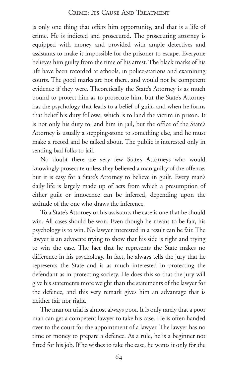is only one thing that offers him opportunity, and that is a life of crime. He is indicted and prosecuted. The prosecuting attorney is equipped with money and provided with ample detectives and assistants to make it impossible for the prisoner to escape. Everyone believes him guilty from the time of his arrest. The black marks of his life have been recorded at schools, in police-stations and examining courts. The good marks are not there, and would not be competent evidence if they were. Theoretically the State's Attorney is as much bound to protect him as to prosecute him, but the State's Attorney has the psychology that leads to a belief of guilt, and when he forms that belief his duty follows, which is to land the victim in prison. It is not only his duty to land him in jail, but the office of the State's Attorney is usually a stepping-stone to something else, and he must make a record and be talked about. The public is interested only in sending bad folks to jail.

No doubt there are very few State's Attorneys who would knowingly prosecute unless they believed a man guilty of the offence, but it is easy for a State's Attorney to believe in guilt. Every man's daily life is largely made up of acts from which a presumption of either guilt or innocence can be inferred, depending upon the attitude of the one who draws the inference.

To a State's Attorney or his assistants the case is one that he should win. All cases should be won. Even though he means to be fair, his psychology is to win. No lawyer interested in a result can be fair. The lawyer is an advocate trying to show that his side is right and trying to win the case. The fact that he represents the State makes no difference in his psychology. In fact, he always tells the jury that he represents the State and is as much interested in protecting the defendant as in protecting society. He does this so that the jury will give his statements more weight than the statements of the lawyer for the defence, and this very remark gives him an advantage that is neither fair nor right.

The man on trial is almost always poor. It is only rarely that a poor man can get a competent lawyer to take his case. He is often handed over to the court for the appointment of a lawyer. The lawyer has no time or money to prepare a defence. As a rule, he is a beginner not fitted for his job. If he wishes to take the case, he wants it only for the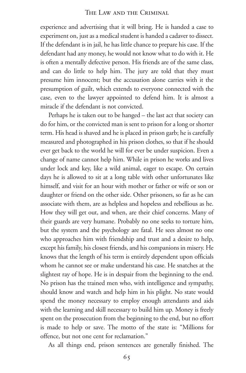## The Law and the Criminal

experience and advertising that it will bring. He is handed a case to experiment on, just as a medical student is handed a cadaver to dissect. If the defendant is in jail, he has little chance to prepare his case. If the defendant had any money, he would not know what to do with it. He is often a mentally defective person. His friends are of the same class, and can do little to help him. The jury are told that they must presume him innocent; but the accusation alone carries with it the presumption of guilt, which extends to everyone connected with the case, even to the lawyer appointed to defend him. It is almost a miracle if the defendant is not convicted.

Perhaps he is taken out to be hanged – the last act that society can do for him, or the convicted man is sent to prison for a long or shorter term. His head is shaved and he is placed in prison garb; he is carefully measured and photographed in his prison clothes, so that if he should ever get back to the world he will for ever be under suspicion. Even a change of name cannot help him. While in prison he works and lives under lock and key, like a wild animal, eager to escape. On certain days he is allowed to sit at a long table with other unfortunates like himself, and visit for an hour with mother or father or wife or son or daughter or friend on the other side. Other prisoners, so far as he can associate with them, are as helpless and hopeless and rebellious as he. How they will get out, and when, are their chief concerns. Many of their guards are very humane. Probably no one seeks to torture him, but the system and the psychology are fatal. He sees almost no one who approaches him with friendship and trust and a desire to help, except his family, his closest friends, and his companions in misery. He knows that the length of his term is entirely dependent upon officials whom he cannot see or make understand his case. He snatches at the slightest ray of hope. He is in despair from the beginning to the end. No prison has the trained men who, with intelligence and sympathy, should know and watch and help him in his plight. No state would spend the money necessary to employ enough attendants and aids with the learning and skill necessary to build him up. Money is freely spent on the prosecution from the beginning to the end, but no effort is made to help or save. The motto of the state is: "Millions for offence, but not one cent for reclamation."

As all things end, prison sentences are generally finished. The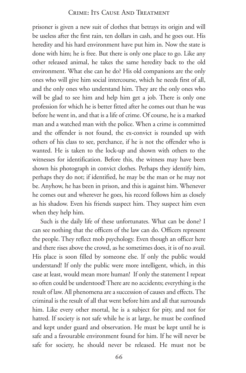prisoner is given a new suit of clothes that betrays its origin and will be useless after the first rain, ten dollars in cash, and he goes out. His heredity and his hard environment have put him in. Now the state is done with him; he is free. But there is only one place to go. Like any other released animal, he takes the same heredity back to the old environment. What else can he do? His old companions are the only ones who will give him social intercourse, which he needs first of all, and the only ones who understand him. They are the only ones who will be glad to see him and help him get a job. There is only one profession for which he is better fitted after he comes out than he was before he went in, and that is a life of crime. Of course, he is a marked man and a watched man with the police. When a crime is committed and the offender is not found, the ex-convict is rounded up with others of his class to see, perchance, if he is not the offender who is wanted. He is taken to the lock-up and shown with others to the witnesses for identification. Before this, the witness may have been shown his photograph in convict clothes. Perhaps they identify him, perhaps they do not; if identified, he may be the man or he may not be. Anyhow, he has been in prison, and this is against him. Whenever he comes out and wherever he goes, his record follows him as closely as his shadow. Even his friends suspect him. They suspect him even when they help him.

Such is the daily life of these unfortunates. What can be done? I can see nothing that the officers of the law can do. Officers represent the people. They reflect mob psychology. Even though an officer here and there rises above the crowd, as he sometimes does, it is of no avail. His place is soon filled by someone else. If only the public would understand! If only the public were more intelligent, which, in this case at least, would mean more human! If only the statement I repeat so often could be understood! There are no accidents; everything is the result of law. All phenomena are a succession of causes and effects. The criminal is the result of all that went before him and all that surrounds him. Like every other mortal, he is a subject for pity, and not for hatred. If society is not safe while he is at large, he must be confined and kept under guard and observation. He must be kept until he is safe and a favourable environment found for him. If he will never be safe for society, he should never be released. He must not be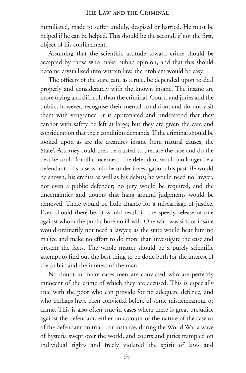# The Law and the Criminal

humiliated, made to suffer unduly, despised or harried. He must be helped if he can be helped. This should be the second, if not the first, object of his confinement.

Assuming that the scientific attitude toward crime should be accepted by those who make public opinion, and that this should become crystallised into written law, the problem would be easy.

The officers of the state can, as a rule, be depended upon to deal properly and considerately with the known insane. The insane are more trying and difficult than the criminal. Courts and juries and the public, however, recognise their mental condition, and do not visit them with vengeance. It is appreciated and understood that they cannot with safety be left at large; but they are given the care and consideration that their condition demands. If the criminal should be looked upon as are the creatures insane from natural causes, the State's Attorney could then be trusted to prepare the case and do the best he could for all concerned. The defendant would no longer be a defendant. His case would be under investigation; his past life would be shown, his credits as well as his debits; he would need no lawyer, not even a public defender; no jury would be required, and the uncertainties and doubts that hang around judgments would be removed. There would be little chance for a miscarriage of justice. Even should there be, it would result in the speedy release of one against whom the public bore no ill-will. One who was sick or insane would ordinarily not need a lawyer, as the state would bear him no malice and make no effort to do more than investigate the case and present the facts. The whole matter should be a purely scientific attempt to find out the best thing to be done both for the interest of the public and the interest of the man.

No doubt in many cases men are convicted who are perfectly innocent of the crime of which they are accused. This is especially true with the poor who can provide for no adequate defence, and who perhaps have been convicted before of some misdemeanour or crime. This is also often true in cases where there is great prejudice against the defendant, either on account of the nature of the case or of the defendant on trial. For instance, during the World War a wave of hysteria swept over the world, and courts and juries trampled on individual rights and freely violated the spirit of laws and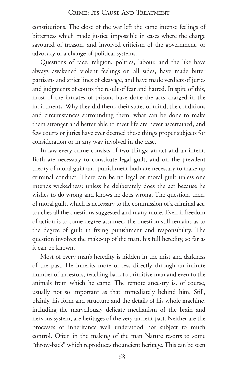constitutions. The close of the war left the same intense feelings of bitterness which made justice impossible in cases where the charge savoured of treason, and involved criticism of the government, or advocacy of a change of political systems.

Questions of race, religion, politics, labour, and the like have always awakened violent feelings on all sides, have made bitter partisans and strict lines of cleavage, and have made verdicts of juries and judgments of courts the result of fear and hatred. In spite of this, most of the inmates of prisons have done the acts charged in the indictments. Why they did them, their states of mind, the conditions and circumstances surrounding them, what can be done to make them stronger and better able to meet life are never ascertained, and few courts or juries have ever deemed these things proper subjects for consideration or in any way involved in the case.

In law every crime consists of two things: an act and an intent. Both are necessary to constitute legal guilt, and on the prevalent theory of moral guilt and punishment both are necessary to make up criminal conduct. There can be no legal or moral guilt unless one intends wickedness; unless he deliberately does the act because he wishes to do wrong and knows he does wrong. The question, then, of moral guilt, which is necessary to the commission of a criminal act, touches all the questions suggested and many more. Even if freedom of action is to some degree assumed, the question still remains as to the degree of guilt in fixing punishment and responsibility. The question involves the make-up of the man, his full heredity, so far as it can be known.

Most of every man's heredity is hidden in the mist and darkness of the past. He inherits more or less directly through an infinite number of ancestors, reaching back to primitive man and even to the animals from which he came. The remote ancestry is, of course, usually not so important as that immediately behind him. Still, plainly, his form and structure and the details of his whole machine, including the marvellously delicate mechanism of the brain and nervous system, are heritages of the very ancient past. Neither are the processes of inheritance well understood nor subject to much control. Often in the making of the man Nature resorts to some "throw-back" which reproduces the ancient heritage. This can be seen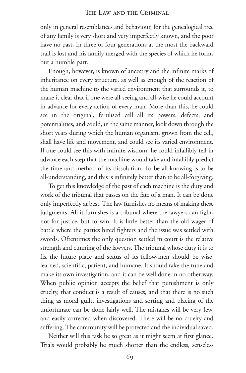# The Law and the Criminal

only in general resemblances and behaviour, for the genealogical tree of any family is very short and very imperfectly known, and the poor have no past. In three or four generations at the most the backward trail is lost and his family merged with the species of which he forms but a humble part.

Enough, however, is known of ancestry and the infinite marks of inheritance on every structure, as well as enough of the reaction of the human machine to the varied environment that surrounds it, to make it clear that if one were all-seeing and all-wise he could account in advance for every action of every man. More than this, he could see in the original, fertilised cell all its powers, defects, and potentialities, and could, in the same manner, look down through the short years during which the human organism, grown from the cell, shall have life and movement, and could see its varied environment. If one could see this with infinite wisdom, he could infallibly tell in advance each step that the machine would take and infallibly predict the time and method of its dissolution. To be all-knowing is to be all-understanding, and this is infinitely better than to be all-forgiving.

To get this knowledge of the past of each machine is the duty and work of the tribunal that passes on the fate of a man. It can be done only imperfectly at best. The law furnishes no means of making these judgments. All it furnishes is a tribunal where the lawyers can fight, not for justice, but to win. It is little better than the old wager of battle where the parties hired fighters and the issue was settled with swords. Oftentimes the only question settled m court is the relative strength and cunning of the lawyers. The tribunal whose duty it is to fix the future place and status of its fellow-men should be wise, learned, scientific, patient, and humane. It should take the tune and make its own investigation, and it can be well done in no other way. When public opinion accepts the belief that punishment is only cruelty, that conduct is a result of causes, and that there is no such thing as moral guilt, investigations and sorting and placing of the unfortunate can be done fairly well. The mistakes will be very few, and easily corrected when discovered. There will be no cruelty and suffering. The community will be protected and the individual saved.

Neither will this task be so great as it might seem at first glance. Trials would probably be much shorter than the endless, senseless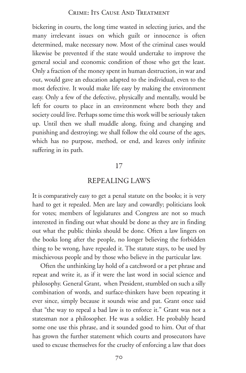## CRIME: ITS CAUSE AND TREATMENT

bickering in courts, the long time wasted in selecting juries, and the many irrelevant issues on which guilt or innocence is often determined, make necessary now. Most of the criminal cases would likewise be prevented if the state would undertake to improve the general social and economic condition of those who get the least. Only a fraction of the money spent in human destruction, in war and out, would gave an education adapted to the individual, even to the most defective. It would make life easy by making the environment easy. Only a few of the defective, physically and mentally, would be left for courts to place in an environment where both they and society could live. Perhaps some time this work will be seriously taken up. Until then we shall muddle along, fixing and changing and punishing and destroying; we shall follow the old course of the ages, which has no purpose, method, or end, and leaves only infinite suffering in its path.

### 17

# REPEALING LAWS

It is comparatively easy to get a penal statute on the books; it is very hard to get it repealed. Men are lazy and cowardly; politicians look for votes; members of legislatures and Congress are not so much interested in finding out what should be done as they are in finding out what the public thinks should be done. Often a law lingers on the books long after the people, no longer believing the forbidden thing to be wrong, have repealed it. The statute stays, to be used by mischievous people and by those who believe in the particular law.

Often the unthinking lay hold of a catchword or a pet phrase and repeat and write it, as if it were the last word in social science and philosophy. General Grant, when President, stumbled on such a silly combination of words, and surface-thinkers have been repeating it ever since, simply because it sounds wise and pat. Grant once said that "the way to repeal a bad law is to enforce it." Grant was not a statesman nor a philosopher. He was a soldier. He probably heard some one use this phrase, and it sounded good to him. Out of that has grown the further statement which courts and prosecutors have used to excuse themselves for the cruelty of enforcing a law that does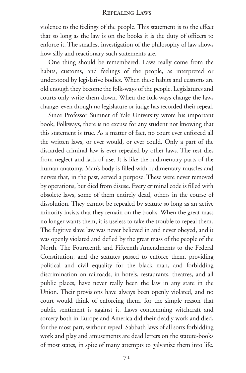### Repealing Laws

violence to the feelings of the people. This statement is to the effect that so long as the law is on the books it is the duty of officers to enforce it. The smallest investigation of the philosophy of law shows how silly and reactionary such statements are.

One thing should be remembered. Laws really come from the habits, customs, and feelings of the people, as interpreted or understood by legislative bodies. When these habits and customs are old enough they become the folk-ways of the people. Legislatures and courts only write them down. When the folk-ways change the laws change, even though no legislature or judge has recorded their repeal.

Since Professor Sumner of Yale University wrote his important book, Folkways, there is no excuse for any student not knowing that this statement is true. As a matter of fact, no court ever enforced all the written laws, or ever would, or ever could. Only a part of the discarded criminal law is ever repealed by other laws. The rest dies from neglect and lack of use. It is like the rudimentary parts of the human anatomy. Man's body is filled with rudimentary muscles and nerves that, in the past, served a purpose. These were never removed by operations, but died from disuse. Every criminal code is filled with obsolete laws, some of them entirely dead, others in the course of dissolution. They cannot be repealed by statute so long as an active minority insists that they remain on the books. When the great mass no longer wants them, it is useless to take the trouble to repeal them. The fugitive slave law was never believed in and never obeyed, and it was openly violated and defied by the great mass of the people of the North. The Fourteenth and Fifteenth Amendments to the Federal Constitution, and the statutes passed to enforce them, providing political and civil equality for the black man, and forbidding discrimination on railroads, in hotels, restaurants, theatres, and all public places, have never really been the law in any state in the Union. Their provisions have always been openly violated, and no court would think of enforcing them, for the simple reason that public sentiment is against it. Laws condemning witchcraft and sorcery both in Europe and America did their deadly work and died, for the most part, without repeal. Sabbath laws of all sorts forbidding work and play and amusements are dead letters on the statute-books of most states, in spite of many attempts to galvanize them into life.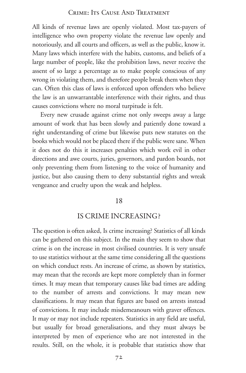All kinds of revenue laws are openly violated. Most tax-payers of intelligence who own property violate the revenue law openly and notoriously, and all courts and officers, as well as the public, know it. Many laws which interfere with the habits, customs, and beliefs of a large number of people, like the prohibition laws, never receive the assent of so large a percentage as to make people conscious of any wrong in violating them, and therefore people break them when they can. Often this class of laws is enforced upon offenders who believe the law is an unwarrantable interference with their rights, and thus causes convictions where no moral turpitude is felt.

Every new crusade against crime not only sweeps away a large amount of work that has been slowly and patiently done toward a right understanding of crime but likewise puts new statutes on the books which would not be placed there if the public were sane. When it does not do this it increases penalties which work evil in other directions and awe courts, juries, governors, and pardon boards, not only preventing them from listening to the voice of humanity and justice, but also causing them to deny substantial rights and wreak vengeance and cruelty upon the weak and helpless.

#### 18

# IS CRIME INCREASING?

The question is often asked, Is crime increasing? Statistics of all kinds can be gathered on this subject. In the main they seem to show that crime is on the increase in most civilised countries. It is very unsafe to use statistics without at the same time considering all the questions on which conduct rests. An increase of crime, as shown by statistics, may mean that the records are kept more completely than in former times. It may mean that temporary causes like bad times are adding to the number of arrests and convictions. It may mean new classifications. It may mean that figures are based on arrests instead of convictions. It may include misdemeanours with graver offences. It may or may not include repeaters. Statistics in any field are useful, but usually for broad generalisations, and they must always be interpreted by men of experience who are not interested in the results. Still, on the whole, it is probable that statistics show that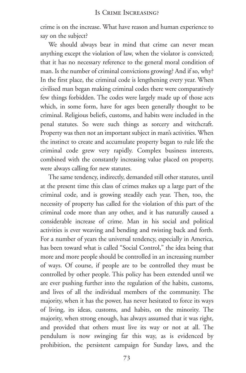crime is on the increase. What have reason and human experience to say on the subject?

We should always bear in mind that crime can never mean anything except the violation of law, when the violator is convicted; that it has no necessary reference to the general moral condition of man. Is the number of criminal convictions growing? And if so, why? In the first place, the criminal code is lengthening every year. When civilised man began making criminal codes there were comparatively few things forbidden. The codes were largely made up of those acts which, in some form, have for ages been generally thought to be criminal. Religious beliefs, customs, and habits were included in the penal statutes. So were such things as sorcery and witchcraft. Property was then not an important subject in man's activities. When the instinct to create and accumulate property began to rule life the criminal code grew very rapidly. Complex business interests, combined with the constantly increasing value placed on property, were always calling for new statutes.

The same tendency, indirectly, demanded still other statutes, until at the present time this class of crimes makes up a large part of the criminal code, and is growing steadily each year. Then, too, the necessity of property has called for the violation of this part of the criminal code more than any other, and it has naturally caused a considerable increase of crime. Man in his social and political activities is ever weaving and bending and twisting back and forth. For a number of years the universal tendency, especially in America, has been toward what is called "Social Control," the idea being that more and more people should be controlled in an increasing number of ways. Of course, if people are to be controlled they must be controlled by other people. This policy has been extended until we are ever pushing further into the regulation of the habits, customs, and lives of all the individual members of the community. The majority, when it has the power, has never hesitated to force its ways of living, its ideas, customs, and habits, on the minority. The majority, when strong enough, has always assumed that it was right, and provided that others must live its way or not at all. The pendulum is now swinging far this way, as is evidenced by prohibition, the persistent campaign for Sunday laws, and the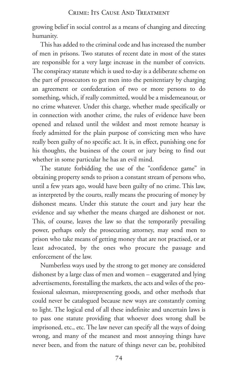## CRIME: ITS CAUSE AND TREATMENT

growing belief in social control as a means of changing and directing humanity.

This has added to the criminal code and has increased the number of men in prisons. Two statutes of recent date in most of the states are responsible for a very large increase in the number of convicts. The conspiracy statute which is used to-day is a deliberate scheme on the part of prosecutors to get men into the penitentiary by charging an agreement or confederation of two or more persons to do something, which, if really committed, would be a misdemeanour, or no crime whatever. Under this charge, whether made specifically or in connection with another crime, the rules of evidence have been opened and relaxed until the wildest and most remote hearsay is freely admitted for the plain purpose of convicting men who have really been guilty of no specific act. It is, in effect, punishing one for his thoughts, the business of the court or jury being to find out whether in some particular he has an evil mind.

The statute forbidding the use of the "confidence game" in obtaining property sends to prison a constant stream of persons who, until a few years ago, would have been guilty of no crime. This law, as interpreted by the courts, really means the procuring of money by dishonest means. Under this statute the court and jury hear the evidence and say whether the means charged are dishonest or not. This, of course, leaves the law so that the temporarily prevailing power, perhaps only the prosecuting attorney, may send men to prison who take means of getting money that are not practised, or at least advocated, by the ones who procure the passage and enforcement of the law.

Numberless ways used by the strong to get money are considered dishonest by a large class of men and women – exaggerated and lying advertisements, forestalling the markets, the acts and wiles of the professional salesman, misrepresenting goods, and other methods that could never be catalogued because new ways are constantly coming to light. The logical end of all these indefinite and uncertain laws is to pass one statute providing that whoever does wrong shall be imprisoned, etc., etc. The law never can specify all the ways of doing wrong, and many of the meanest and most annoying things have never been, and from the nature of things never can be, prohibited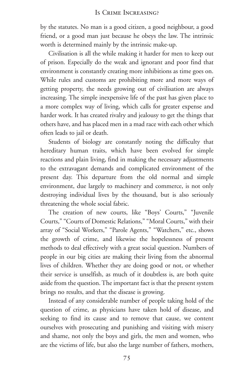## Is Crime Increasing?

by the statutes. No man is a good citizen, a good neighbour, a good friend, or a good man just because he obeys the law. The intrinsic worth is determined mainly by the intrinsic make-up.

Civilisation is all the while making it harder for men to keep out of prison. Especially do the weak and ignorant and poor find that environment is constantly creating more inhibitions as time goes on. While rules and customs are prohibiting more and more ways of getting property, the needs growing out of civilisation are always increasing. The simple inexpensive life of the past has given place to a more complex way of living, which calls for greater expense and harder work. It has created rivalry and jealousy to get the things that others have, and has placed men in a mad race with each other which often leads to jail or death.

Students of biology are constantly noting the difficulty that hereditary human traits, which have been evolved for simple reactions and plain living, find in making the necessary adjustments to the extravagant demands and complicated environment of the present day. This departure from the old normal and simple environment, due largely to machinery and commerce, is not only destroying individual lives by the thousand, but is also seriously threatening the whole social fabric.

The creation of new courts, like "Boys' Courts," "Juvenile Courts," "Courts of Domestic Relations," "Moral Courts," with their array of "Social Workers," "Parole Agents," "Watchers," etc., shows the growth of crime, and likewise the hopelessness of present methods to deal effectively with a great social question. Numbers of people in our big cities are making their living from the abnormal lives of children. Whether they are doing good or not, or whether their service is unselfish, as much of it doubtless is, are both quite aside from the question. The important fact is that the present system brings no results, and that the disease is growing.

Instead of any considerable number of people taking hold of the question of crime, as physicians have taken hold of disease, and seeking to find its cause and to remove that cause, we content ourselves with prosecuting and punishing and visiting with misery and shame, not only the boys and girls, the men and women, who are the victims of life, but also the large number of fathers, mothers,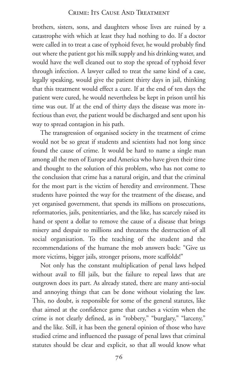## CRIME: ITS CAUSE AND TREATMENT

brothers, sisters, sons, and daughters whose lives are ruined by a catastrophe with which at least they had nothing to do. If a doctor were called in to treat a case of typhoid fever, he would probably find out where the patient got his milk supply and his drinking water, and would have the well cleaned out to stop the spread of typhoid fever through infection. A lawyer called to treat the same kind of a case, legally speaking, would give the patient thirty days in jail, thinking that this treatment would effect a cure. If at the end of ten days the patient were cured, he would nevertheless be kept in prison until his time was out. If at the end of thirty days the disease was more infectious than ever, the patient would be discharged and sent upon his way to spread contagion in his path.

The transgression of organised society in the treatment of crime would not be so great if students and scientists had not long since found the cause of crime. It would be hard to name a single man among all the men of Europe and America who have given their time and thought to the solution of this problem, who has not come to the conclusion that crime has a natural origin, and that the criminal for the most part is the victim of heredity and environment. These students have pointed the way for the treatment of the disease, and yet organised government, that spends its millions on prosecutions, reformatories, jails, penitentiaries, and the like, has scarcely raised its hand or spent a dollar to remove the cause of a disease that brings misery and despair to millions and threatens the destruction of all social organisation. To the teaching of the student and the recommendations of the humane the mob answers back: "Give us more victims, bigger jails, stronger prisons, more scaffolds!"

Not only has the constant multiplication of penal laws helped without avail to fill jails, but the failure to repeal laws that are outgrown does its part. As already stated, there are many anti-social and annoying things that can be done without violating the law. This, no doubt, is responsible for some of the general statutes, like that aimed at the confidence game that catches a victim when the crime is not clearly defined, as in "robbery," "burglary," "larceny," and the like. Still, it has been the general opinion of those who have studied crime and influenced the passage of penal laws that criminal statutes should be clear and explicit, so that all would know what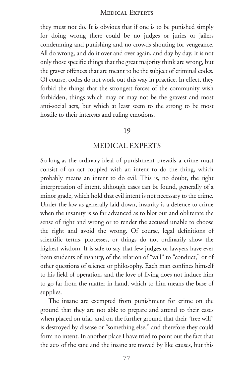### Medical Experts

they must not do. It is obvious that if one is to be punished simply for doing wrong there could be no judges or juries or jailers condemning and punishing and no crowds shouting for vengeance. All do wrong, and do it over and over again, and day by day. It is not only those specific things that the great majority think are wrong, but the graver offences that are meant to be the subject of criminal codes. Of course, codes do not work out this way in practice. In effect, they forbid the things that the strongest forces of the community wish forbidden, things which may or may not be the gravest and most anti-social acts, but which at least seem to the strong to be most hostile to their interests and ruling emotions.

#### 19

#### MEDICAL EXPERTS

So long as the ordinary ideal of punishment prevails a crime must consist of an act coupled with an intent to do the thing, which probably means an intent to do evil. This is, no doubt, the right interpretation of intent, although cases can be found, generally of a minor grade, which hold that evil intent is not necessary to the crime. Under the law as generally laid down, insanity is a defence to crime when the insanity is so far advanced as to blot out and obliterate the sense of right and wrong or to render the accused unable to choose the right and avoid the wrong. Of course, legal definitions of scientific terms, processes, or things do not ordinarily show the highest wisdom. It is safe to say that few judges or lawyers have ever been students of insanity, of the relation of "will" to "conduct," or of other questions of science or philosophy. Each man confines himself to his field of operation, and the love of living does not induce him to go far from the matter in hand, which to him means the base of supplies.

The insane are exempted from punishment for crime on the ground that they are not able to prepare and attend to their cases when placed on trial, and on the further ground that their "free will" is destroyed by disease or "something else," and therefore they could form no intent. In another place I have tried to point out the fact that the acts of the sane and the insane are moved by like causes, but this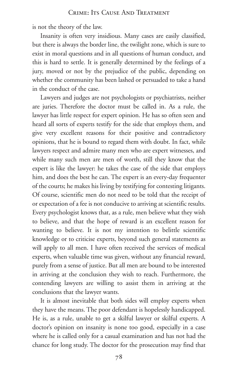is not the theory of the law.

Insanity is often very insidious. Many cases are easily classified, but there is always the border line, the twilight zone, which is sure to exist in moral questions and in all questions of human conduct, and this is hard to settle. It is generally determined by the feelings of a jury, moved or not by the prejudice of the public, depending on whether the community has been lashed or persuaded to take a hand in the conduct of the case.

Lawyers and judges are not psychologists or psychiatrists, neither are juries. Therefore the doctor must be called in. As a rule, the lawyer has little respect for expert opinion. He has so often seen and heard all sorts of experts testify for the side that employs them, and give very excellent reasons for their positive and contradictory opinions, that he is bound to regard them with doubt. In fact, while lawyers respect and admire many men who are expert witnesses, and while many such men are men of worth, still they know that the expert is like the lawyer: he takes the case of the side that employs him, and does the best he can. The expert is an every-day frequenter of the courts; he makes his living by testifying for contesting litigants. Of course, scientific men do not need to be told that the receipt of or expectation of a fee is not conducive to arriving at scientific results. Every psychologist knows that, as a rule, men believe what they wish to believe, and that the hope of reward is an excellent reason for wanting to believe. It is not my intention to belittle scientific knowledge or to criticise experts, beyond such general statements as will apply to all men. I have often received the services of medical experts, when valuable time was given, without any financial reward, purely from a sense of justice. But all men are bound to be interested in arriving at the conclusion they wish to reach. Furthermore, the contending lawyers are willing to assist them in arriving at the conclusions that the lawyer wants.

It is almost inevitable that both sides will employ experts when they have the means. The poor defendant is hopelessly handicapped. He is, as a rule, unable to get a skilful lawyer or skilful experts. A doctor's opinion on insanity is none too good, especially in a case where he is called only for a casual examination and has not had the chance for long study. The doctor for the prosecution may find that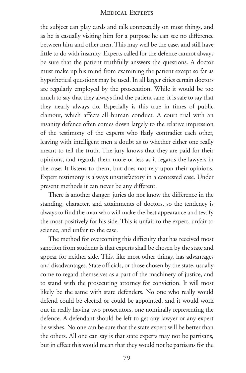## Medical Experts

the subject can play cards and talk connectedly on most things, and as he is casually visiting him for a purpose he can see no difference between him and other men. This may well be the case, and still have little to do with insanity. Experts called for the defence cannot always be sure that the patient truthfully answers the questions. A doctor must make up his mind from examining the patient except so far as hypothetical questions may be used. In all larger cities certain doctors are regularly employed by the prosecution. While it would be too much to say that they always find the patient sane, it is safe to say that they nearly always do. Especially is this true in times of public clamour, which affects all human conduct. A court trial with an insanity defence often comes down largely to the relative impression of the testimony of the experts who flatly contradict each other, leaving with intelligent men a doubt as to whether either one really meant to tell the truth. The jury knows that they are paid for their opinions, and regards them more or less as it regards the lawyers in the case. It listens to them, but does not rely upon their opinions. Expert testimony is always unsatisfactory in a contested case. Under present methods it can never be any different.

There is another danger: juries do not know the difference in the standing, character, and attainments of doctors, so the tendency is always to find the man who will make the best appearance and testify the most positively for his side. This is unfair to the expert, unfair to science, and unfair to the case.

The method for overcoming this difficulty that has received most sanction from students is that experts shall be chosen by the state and appear for neither side. This, like most other things, has advantages and disadvantages. State officials, or those chosen by the state, usually come to regard themselves as a part of the machinery of justice, and to stand with the prosecuting attorney for conviction. It will most likely be the same with state defenders. No one who really would defend could be elected or could be appointed, and it would work out in really having two prosecutors, one nominally representing the defence. A defendant should be left to get any lawyer or any expert he wishes. No one can be sure that the state expert will be better than the others. All one can say is that state experts may not be partisans, but in effect this would mean that they would not be partisans for the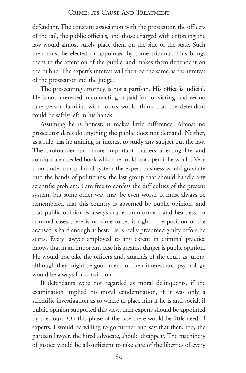defendant. The constant association with the prosecutor, the officers of the jail, the public officials, and those charged with enforcing the law would almost surely place them on the side of the state. Such men must be elected or appointed by some tribunal. This brings them to the attention of the public, and makes them dependent on the public. The expert's interest will then be the same as the interest of the prosecutor and the judge.

The prosecuting attorney is not a partisan. His office is judicial. He is not interested in convicting or paid for convicting, and yet no sane person familiar with courts would think that the defendant could be safely left in his hands.

Assuming he is honest, it makes little difference. Almost no prosecutor dares do anything the public does not demand. Neither, as a rule, has he training or interest to study any subject but the law. The profounder and more important matters affecting life and conduct are a sealed book which he could not open if he would. Very soon under our political system the expert business would gravitate into the hands of politicians, the last group that should handle any scientific problem. I am free to confess the difficulties of the present system, but some other way may be even worse. It must always be remembered that this country is governed by public opinion, and that public opinion is always crude, uninformed, and heartless. In criminal cases there is no time to set it right. The position of the accused is hard enough at best. He is really presumed guilty before he starts. Every lawyer employed to any extent in criminal practice knows that in an important case his greatest danger is public opinion. He would not take the officers and, attachés of the court as jurors, although they might be good men, for their interest and psychology would be always for conviction.

If defendants were not regarded as moral delinquents, if the examination implied no moral condemnation, if it was only a scientific investigation as to where to place him if he is anti-social, if public opinion supported this view, then experts should be appointed by the court. On this phase of the case there would be little need of experts. I would be willing to go further and say that then, too, the partisan lawyer, the hired advocate, should disappear. The machinery of justice would be all-sufficient to take care of the liberties of every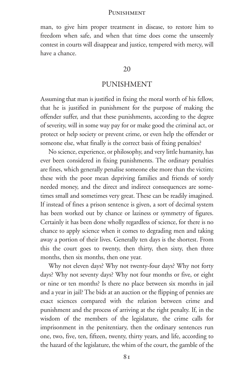#### **PUNISHMENT**

man, to give him proper treatment in disease, to restore him to freedom when safe, and when that time does come the unseemly contest in courts will disappear and justice, tempered with mercy, will have a chance.

#### 20

## PUNISHMENT

Assuming that man is justified in fixing the moral worth of his fellow, that he is justified in punishment for the purpose of making the offender suffer, and that these punishments, according to the degree of severity, will in some way pay for or make good the criminal act, or protect or help society or prevent crime, or even help the offender or someone else, what finally is the correct basis of fixing penalties?

No science, experience, or philosophy, and very little humanity, has ever been considered in fixing punishments. The ordinary penalties are fines, which generally penalise someone else more than the victim; these with the poor mean depriving families and friends of sorely needed money, and the direct and indirect consequences are sometimes small and sometimes very great. These can be readily imagined. If instead of fines a prison sentence is given, a sort of decimal system has been worked out by chance or laziness or symmetry of figures. Certainly it has been done wholly regardless of science, for there is no chance to apply science when it comes to degrading men and taking away a portion of their lives. Generally ten days is the shortest. From this the court goes to twenty, then thirty, then sixty, then three months, then six months, then one year.

Why not eleven days? Why not twenty-four days? Why not forty days? Why not seventy days? Why not four months or five, or eight or nine or ten months? Is there no place between six months in jail and a year in jail? The bids at an auction or the flipping of pennies are exact sciences compared with the relation between crime and punishment and the process of arriving at the right penalty. If, in the wisdom of the members of the legislature, the crime calls for imprisonment in the penitentiary, then the ordinary sentences run one, two, five, ten, fifteen, twenty, thirty years, and life, according to the hazard of the legislature, the whim of the court, the gamble of the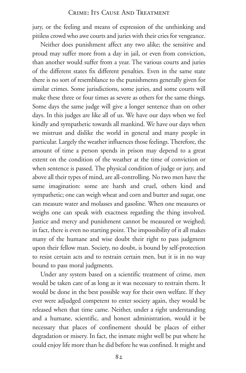jury, or the feeling and means of expression of the unthinking and pitiless crowd who awe courts and juries with their cries for vengeance.

Neither does punishment affect any two alike; the sensitive and proud may suffer more from a day in jail, or even from conviction, than another would suffer from a year. The various courts and juries of the different states fix different penalties. Even in the same state there is no sort of resemblance to the punishments generally given for similar crimes. Some jurisdictions, some juries, and some courts will make these three or four times as severe as others for the same things. Some days the same judge will give a longer sentence than on other days. In this judges are like all of us. We have our days when we feel kindly and sympathetic towards all mankind. We have our days when we mistrust and dislike the world in general and many people in particular. Largely the weather influences those feelings. Therefore, the amount of time a person spends in prison may depend to a great extent on the condition of the weather at the time of conviction or when sentence is passed. The physical condition of judge or jury, and above all their types of mind, are all-controlling. No two men have the same imagination: some are harsh and cruel, others kind and sympathetic; one can weigh wheat and corn and butter and sugar, one can measure water and molasses and gasoline. When one measures or weighs one can speak with exactness regarding the thing involved. Justice and mercy and punishment cannot be measured or weighed; in fact, there is even no starting point. The impossibility of it all makes many of the humane and wise doubt their right to pass judgment upon their fellow man. Society, no doubt, is bound by self-protection to resist certain acts and to restrain certain men, but it is in no way bound to pass moral judgments.

Under any system based on a scientific treatment of crime, men would be taken care of as long as it was necessary to restrain them. It would be done in the best possible way for their own welfare. If they ever were adjudged competent to enter society again, they would be released when that time came. Neither, under a right understanding and a humane, scientific, and honest administration, would it be necessary that places of confinement should be places of either degradation or misery. In fact, the inmate might well be put where he could enjoy life more than he did before he was confined. It might and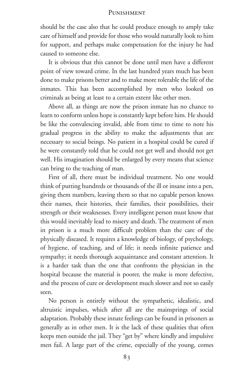### **PUNISHMENT**

should be the case also that he could produce enough to amply take care of himself and provide for those who would naturally look to him for support, and perhaps make compensation for the injury he had caused to someone else.

It is obvious that this cannot be done until men have a different point of view toward crime. In the last hundred years much has been done to make prisons better and to make more tolerable the life of the inmates. This has been accomplished by men who looked on criminals as being at least to a certain extent like other men.

Above all, as things are now the prison inmate has no chance to learn to conform unless hope is constantly kept before him. He should be like the convalescing invalid, able from time to time to note his gradual progress in the ability to make the adjustments that are necessary to social beings. No patient in a hospital could be cured if he were constantly told that he could not get well and should not get well. His imagination should be enlarged by every means that science can bring to the teaching of man.

First of all, there must be individual treatment. No one would think of putting hundreds or thousands of the ill or insane into a pen, giving them numbers, leaving them so that no capable person knows their names, their histories, their families, their possibilities, their strength or their weaknesses. Every intelligent person must know that this would inevitably lead to misery and death. The treatment of men in prison is a much more difficult problem than the care of the physically diseased. It requires a knowledge of biology, of psychology, of hygiene, of teaching, and of life; it needs infinite patience and sympathy; it needs thorough acquaintance and constant attention. It is a harder task than the one that confronts the physician in the hospital because the material is poorer, the make is more defective, and the process of cure or development much slower and not so easily seen.

No person is entirely without the sympathetic, idealistic, and altruistic impulses, which after all are the mainsprings of social adaptation. Probably these innate feelings can be found in prisoners as generally as in other men. It is the lack of these qualities that often keeps men outside the jail. They "get by" where kindly and impulsive men fail. A large part of the crime, especially of the young, comes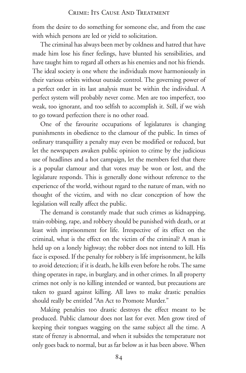from the desire to do something for someone else, and from the ease with which persons are led or yield to solicitation.

The criminal has always been met by coldness and hatred that have made him lose his finer feelings, have blunted his sensibilities, and have taught him to regard all others as his enemies and not his friends. The ideal society is one where the individuals move harmoniously in their various orbits without outside control. The governing power of a perfect order in its last analysis must be within the individual. A perfect system will probably never come. Men are too imperfect, too weak, too ignorant, and too selfish to accomplish it. Still, if we wish to go toward perfection there is no other road.

One of the favourite occupations of legislatures is changing punishments in obedience to the clamour of the public. In times of ordinary tranquillity a penalty may even be modified or reduced, but let the newspapers awaken public opinion to crime by the judicious use of headlines and a hot campaign, let the members feel that there is a popular clamour and that votes may be won or lost, and the legislature responds. This is generally done without reference to the experience of the world, without regard to the nature of man, with no thought of the victim, and with no clear conception of how the legislation will really affect the public.

The demand is constantly made that such crimes as kidnapping, train-robbing, rape, and robbery should be punished with death, or at least with imprisonment for life. Irrespective of its effect on the criminal, what is the effect on the victim of the criminal? A man is held up on a lonely highway; the robber does not intend to kill. His face is exposed. If the penalty for robbery is life imprisonment, he kills to avoid detection; if it is death, he kills even before he robs. The same thing operates in rape, in burglary, and in other crimes. In all property crimes not only is no killing intended or wanted, but precautions are taken to guard against killing. All laws to make drastic penalties should really be entitled "An Act to Promote Murder."

Making penalties too drastic destroys the effect meant to be produced. Public clamour does not last for ever. Men grow tired of keeping their tongues wagging on the same subject all the time. A state of frenzy is abnormal, and when it subsides the temperature not only goes back to normal, but as far below as it has been above. When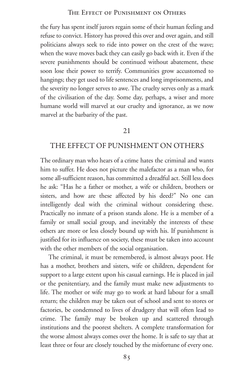## The Effect of Punishment on Others

the fury has spent itself jurors regain some of their human feeling and refuse to convict. History has proved this over and over again, and still politicians always seek to ride into power on the crest of the wave; when the wave moves back they can easily go back with it. Even if the severe punishments should be continued without abatement, these soon lose their power to terrify. Communities grow accustomed to hangings; they get used to life sentences and long imprisonments, and the severity no longer serves to awe. The cruelty serves only as a mark of the civilisation of the day. Some day, perhaps, a wiser and more humane world will marvel at our cruelty and ignorance, as we now marvel at the barbarity of the past.

### 21

#### THE EFFECT OF PUNISHMENT ON OTHERS

The ordinary man who hears of a crime hates the criminal and wants him to suffer. He does not picture the malefactor as a man who, for some all-sufficient reason, has committed a dreadful act. Still less does he ask: "Has he a father or mother, a wife or children, brothers or sisters, and how are these affected by his deed?" No one can intelligently deal with the criminal without considering these. Practically no inmate of a prison stands alone. He is a member of a family or small social group, and inevitably the interests of these others are more or less closely bound up with his. If punishment is justified for its influence on society, these must be taken into account with the other members of the social organisation.

The criminal, it must be remembered, is almost always poor. He has a mother, brothers and sisters, wife or children, dependent for support to a large extent upon his casual earnings. He is placed in jail or the penitentiary, and the family must make new adjustments to life. The mother or wife may go to work at hard labour for a small return; the children may be taken out of school and sent to stores or factories, be condemned to lives of drudgery that will often lead to crime. The family may be broken up and scattered through institutions and the poorest shelters. A complete transformation for the worse almost always comes over the home. It is safe to say that at least three or four are closely touched by the misfortune of every one.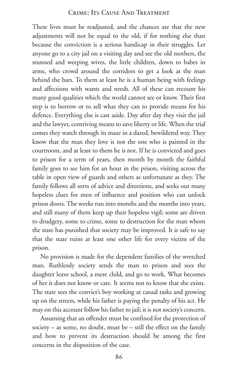## CRIME: ITS CAUSE AND TREATMENT

These lives must be readjusted, and the chances are that the new adjustments will not be equal to the old, if for nothing else than because the conviction is a serious handicap in their struggles. Let anyone go to a city jail on a visiting day and see the old mothers, the stunned and weeping wives, the little children, down to babes in arms, who crowd around the corridors to get a look at the man behind the bars. To them at least he is a human being with feelings and affections with wants and needs. All of these can recount his many good qualities which the world cannot see or know. Their first step is to borrow or to sell what they can to provide means for his defence. Everything else is cast aside. Day after day they visit the jail and the lawyer, contriving means to save liberty or life. When the trial comes they watch through its maze in a dazed, bewildered way. They know that the man they love is not the one who is painted in the courtroom, and at least to them he is not. If he is convicted and goes to prison for a term of years, then month by month the faithful family goes to see him for an hour in the prison, visiting across the table in open view of guards and others as unfortunate as they. The family follows all sorts of advice and directions, and seeks out many hopeless clues for men of influence and position who can unlock prison doors. The weeks run into months and the months into years, and still many of them keep up their hopeless vigil; some are driven to drudgery, some to crime, some to destruction for the man whom the state has punished that society may be improved. It is safe to say that the state ruins at least one other life for every victim of the prison.

No provision is made for the dependent families of the wretched man. Ruthlessly society sends the man to prison and sees the daughter leave school, a mere child, and go to work. What becomes of her it does not know or care. It seems not to know that she exists. The state sees the convict's boy working at casual tasks and growing up on the streets, while his father is paying the penalty of his act. He may on this account follow his father to jail; it is not society's concern.

Assuming that an offender must be confined for the protection of society – as some, no doubt, must be – still the effect on the family and how to prevent its destruction should be among the first concerns in the disposition of the case.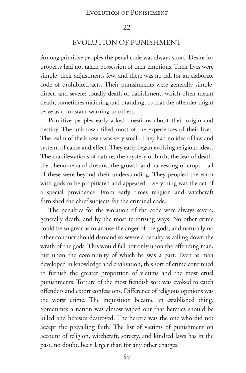#### Evolution of Punishment

#### 22

### EVOLUTION OF PUNISHMENT

Among primitive peoples the penal code was always short. Desire for property had not taken possession of their emotions. Their lives were simple, their adjustments few, and there was no call for an elaborate code of prohibited acts. Their punishments were generally simple, direct, and severe: usually death or banishment, which often meant death, sometimes maiming and branding, so that the offender might serve as a constant warning to others.

Primitive peoples early asked questions about their origin and destiny. The unknown filled most of the experiences of their lives. The realm of the known was very small. They had no idea of law and system, of cause and effect. They early began evolving religious ideas. The manifestations of nature, the mystery of birth, the fear of death, the phenomena of dreams, the growth and harvesting of crops – all of these were beyond their understanding. They peopled the earth with gods to be propitiated and appeased. Everything was the act of a special providence. From early times religion and witchcraft furnished the chief subjects for the criminal code.

The penalties for the violation of the code were always severe, generally death, and by the most terrorising ways. No other crime could be so great as to arouse the anger of the gods, and naturally no other conduct should demand so severe a penalty as calling down the wrath of the gods. This would fall not only upon the offending man, but upon the community of which he was a part. Even as man developed in knowledge and civilisation, this sort of crime continued to furnish the greater proportion of victims and the most cruel punishments. Torture of the most fiendish sort was evoked to catch offenders and extort confessions. Difference of religious opinions was the worst crime. The inquisition became an established thing. Sometimes a nation was almost wiped out that heretics should be killed and heresies destroyed. The heretic was the one who did not accept the prevailing faith. The list of victims of punishment on account of religion, witchcraft, sorcery, and kindred laws has in the past, no doubt, been larger than for any other charges.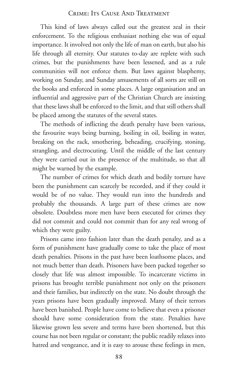# CRIME: ITS CAUSE AND TREATMENT

This kind of laws always called out the greatest zeal in their enforcement. To the religious enthusiast nothing else was of equal importance. It involved not only the life of man on earth, but also his life through all eternity. Our statutes to-day are replete with such crimes, but the punishments have been lessened, and as a rule communities will not enforce them. But laws against blasphemy, working on Sunday, and Sunday amusements of all sorts are still on the books and enforced in some places. A large organisation and an influential and aggressive part of the Christian Church are insisting that these laws shall be enforced to the limit, and that still others shall be placed among the statutes of the several states.

The methods of inflicting the death penalty have been various, the favourite ways being burning, boiling in oil, boiling in water, breaking on the rack, smothering, beheading, crucifying, stoning, strangling, and electrocuting. Until the middle of the last century they were carried out in the presence of the multitude, so that all might be warned by the example.

The number of crimes for which death and bodily torture have been the punishment can scarcely be recorded, and if they could it would be of no value. They would run into the hundreds and probably the thousands. A large part of these crimes are now obsolete. Doubtless more men have been executed for crimes they did not commit and could not commit than for any real wrong of which they were guilty.

Prisons came into fashion later than the death penalty, and as a form of punishment have gradually come to take the place of most death penalties. Prisons in the past have been loathsome places, and not much better than death. Prisoners have been packed together so closely that life was almost impossible. To incarcerate victims in prisons has brought terrible punishment not only on the prisoners and their families, but indirectly on the state. No doubt through the years prisons have been gradually improved. Many of their terrors have been banished. People have come to believe that even a prisoner should have some consideration from the state. Penalties have likewise grown less severe and terms have been shortened, but this course has not been regular or constant; the public readily relaxes into hatred and vengeance, and it is easy to arouse these feelings in men,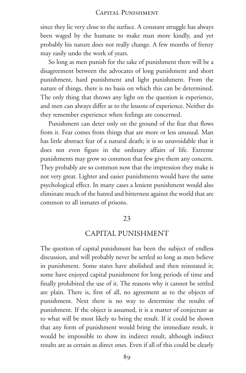## Capital Punishment

since they lie very close to the surface. A constant struggle has always been waged by the humane to make man more kindly, and yet probably his nature does not really change. A few months of frenzy may easily undo the work of years.

So long as men punish for the sake of punishment there will be a disagreement between the advocates of long punishment and short punishment, hard punishment and light punishment. From the nature of things, there is no basis on which this can be determined. The only thing that throws any light on the question is experience, and men can always differ as to the lessons of experience. Neither do they remember experience when feelings are concerned.

Punishment can deter only on the ground of the fear that flows from it. Fear comes from things that are more or less unusual. Man has little abstract fear of a natural death; it is so unavoidable that it does not even figure in the ordinary affairs of life. Extreme punishments may grow so common that few give them any concern. They probably are so common now that the impression they make is not very great. Lighter and easier punishments would have the same psychological effect. In many cases a lenient punishment would also eliminate much of the hatred and bitterness against the world that are common to all inmates of prisons.

### 23

# CAPITAL PUNISHMENT

The question of capital punishment has been the subject of endless discussion, and will probably never be settled so long as men believe in punishment. Some states have abolished and then reinstated it; some have enjoyed capital punishment for long periods of time and finally prohibited the use of it. The reasons why it cannot be settled are plain. There is, first of all, no agreement as to the objects of punishment. Next there is no way to determine the results of punishment. If the object is assumed, it is a matter of conjecture as to what will be most likely to bring the result. If it could be shown that any form of punishment would bring the immediate result, it would be impossible to show its indirect result, although indirect results are as certain as direct ones. Even if all of this could be clearly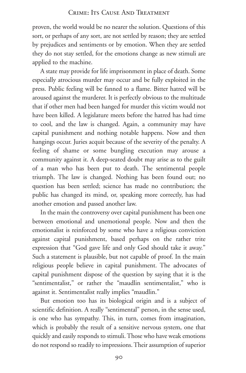## CRIME: ITS CAUSE AND TREATMENT

proven, the world would be no nearer the solution. Questions of this sort, or perhaps of any sort, are not settled by reason; they are settled by prejudices and sentiments or by emotion. When they are settled they do not stay settled, for the emotions change as new stimuli are applied to the machine.

A state may provide for life imprisonment in place of death. Some especially atrocious murder may occur and be fully exploited in the press. Public feeling will be fanned to a flame. Bitter hatred will be aroused against the murderer. It is perfectly obvious to the multitude that if other men had been hanged for murder this victim would not have been killed. A legislature meets before the hatred has had time to cool, and the law is changed. Again, a community may have capital punishment and nothing notable happens. Now and then hangings occur. Juries acquit because of the severity of the penalty. A feeling of shame or some bungling execution may arouse a community against it. A deep-seated doubt may arise as to the guilt of a man who has been put to death. The sentimental people triumph. The law is changed. Nothing has been found out; no question has been settled; science has made no contribution; the public has changed its mind, or, speaking more correctly, has had another emotion and passed another law.

In the main the controversy over capital punishment has been one between emotional and unemotional people. Now and then the emotionalist is reinforced by some who have a religious conviction against capital punishment, based perhaps on the rather trite expression that "God gave life and only God should take it away." Such a statement is plausible, but not capable of proof. In the main religious people believe in capital punishment. The advocates of capital punishment dispose of the question by saying that it is the "sentimentalist," or rather the "maudlin sentimentalist," who is against it. Sentimentalist really implies "maudlin."

But emotion too has its biological origin and is a subject of scientific definition. A really "sentimental" person, in the sense used, is one who has sympathy. This, in turn, comes from imagination, which is probably the result of a sensitive nervous system, one that quickly and easily responds to stimuli. Those who have weak emotions do not respond so readily to impressions. Their assumption of superior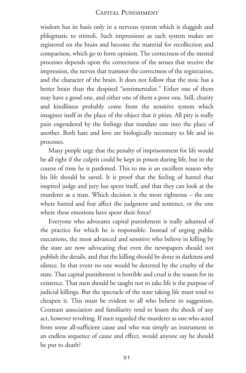## Capital Punishment

wisdom has its basis only in a nervous system which is sluggish and phlegmatic to stimuli. Such impressions as each system makes are registered on the brain and become the material for recollection and comparison, which go to form opinion. The correctness of the mental processes depends upon the correctness of the senses that receive the impression, the nerves that transmit the correctness of the registration, and the character of the brain. It does not follow that the stoic has a better brain than the despised "sentimentalist." Either one of them may have a good one, and either one of them a poor one. Still, charity and kindliness probably come from the sensitive system which imagines itself in the place of the object that it pities. All pity is really pain engendered by the feelings that translate one into the place of another. Both hate and love are biologically necessary to life and its processes.

Many people urge that the penalty of imprisonment for life would be all right if the culprit could be kept in prison during life, but in the course of time he is pardoned. This to me is an excellent reason why his life should be saved. It is proof that the feeling of hatred that inspired judge and jury has spent itself, and that they can look at the murderer as a man. Which decision is the more righteous – the one where hatred and fear affect the judgment and sentence, or the one where these emotions have spent their force?

Everyone who advocates capital punishment is really ashamed of the practice for which he is responsible. Instead of urging public executions, the most advanced and sensitive who believe in killing by the state are now advocating that even the newspapers should not publish the details, and that the killing should be done in darkness and silence. In that event no one would be deterred by the cruelty of the state. That capital punishment is horrible and cruel is the reason for its existence. That men should be taught not to take life is the purpose of judicial killings. But the spectacle of the state taking life must tend to cheapen it. This must be evident to all who believe in suggestion. Constant association and familiarity tend to lessen the shock of any act, however revolting. If men regarded the murderer as one who acted from some all-sufficient cause and who was simply an instrument in an endless sequence of cause and effect, would anyone say he should be put to death?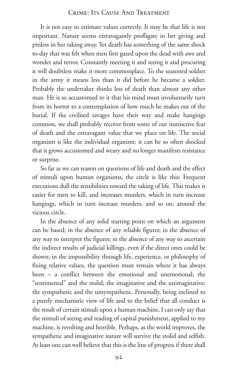It is not easy to estimate values correctly. It may be that life is not important. Nature seems extravagantly profligate in her giving and pitiless in her taking away. Yet death has something of the same shock to-day that was felt when men first gazed upon the dead with awe and wonder and terror. Constantly meeting it and seeing it and procuring it will doubtless make it more commonplace. To the seasoned soldier in the army it means less than it did before he became a soldier. Probably the undertaker thinks less of death than almost any other man. He is so accustomed to it that his mind must involuntarily turn from its horror to a contemplation of how much he makes out of the burial. If the civilised savages have their way and make hangings common, we shall probably recover from some of our instinctive fear of death and the extravagant value that we place on life. The social organism is like the individual organism: it can be so often shocked that it grows accustomed and weary and no longer manifests resistance or surprise.

So far as we can reason on questions of life and death and the effect of stimuli upon human organisms, the circle is like this: Frequent executions dull the sensibilities toward the taking of life. This makes it easier for men to kill, and increases murders, which in turn increase hangings, which in turn increase murders, and so on, around the vicious circle.

In the absence of any solid starting point on which an argument can be based; in the absence of any reliable figures; in the absence of any way to interpret the figures; in the absence of any way to ascertain the indirect results of judicial killings, even if the direct ones could be shown; in the impossibility through life, experience, or philosophy of fixing relative values, the question must remain where it has always been – a conflict between the emotional and unemotional; the "sentimental" and the stolid; the imaginative and the unimaginative; the sympathetic and the unsympathetic. Personally, being inclined to a purely mechanistic view of life and to the belief that all conduct is the result of certain stimuli upon a human machine, I can only say that the stimuli of seeing and reading of capital punishment, applied to my machine, is revolting and horrible. Perhaps, as the world improves, the sympathetic and imaginative nature will survive the stolid and selfish. At least one can well believe that this is the line of progress if there shall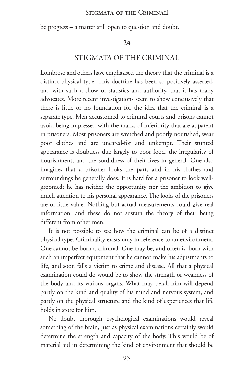## Stigmata of the Criminall

be progress – a matter still open to question and doubt.

## 24

# STIGMATA OF THE CRIMINAL

Lombroso and others have emphasised the theory that the criminal is a distinct physical type. This doctrine has been so positively asserted, and with such a show of statistics and authority, that it has many advocates. More recent investigations seem to show conclusively that there is little or no foundation for the idea that the criminal is a separate type. Men accustomed to criminal courts and prisons cannot avoid being impressed with the marks of inferiority that are apparent in prisoners. Most prisoners are wretched and poorly nourished, wear poor clothes and are uncared-for and unkempt. Their stunted appearance is doubtless due largely to poor food, the irregularity of nourishment, and the sordidness of their lives in general. One also imagines that a prisoner looks the part, and in his clothes and surroundings he generally does. It is hard for a prisoner to look wellgroomed; he has neither the opportunity nor the ambition to give much attention to his personal appearance. The looks of the prisoners are of little value. Nothing but actual measurements could give real information, and these do not sustain the theory of their being different from other men.

It is not possible to see how the criminal can be of a distinct physical type. Criminality exists only in reference to an environment. One cannot be born a criminal. One may be, and often is, born with such an imperfect equipment that he cannot make his adjustments to life, and soon falls a victim to crime and disease. All that a physical examination could do would be to show the strength or weakness of the body and its various organs. What may befall him will depend partly on the kind and quality of his mind and nervous system, and partly on the physical structure and the kind of experiences that life holds in store for him.

No doubt thorough psychological examinations would reveal something of the brain, just as physical examinations certainly would determine the strength and capacity of the body. This would be of material aid in determining the kind of environment that should be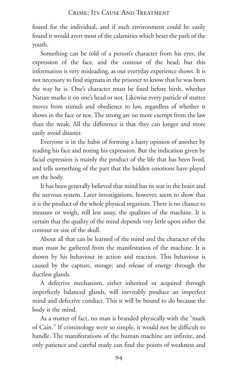found for the individual, and if such environment could be easily found it would avert most of the calamities which beset the path of the youth.

Something can be told of a person's character from his eyes, the expression of the face, and the contour of the head; but this information is very misleading, as our everyday experience shows. It is not necessary to find stigmata in the prisoner to know that he was born the way he is. One's character must be fixed before birth, whether Nature marks it on one's head or not. Likewise every particle of matter moves from stimuli and obedience to law, regardless of whether it shows in the face or not. The strong are no more exempt from the law than the weak. All the difference is that they can longer and more easily avoid disaster.

Everyone is in the habit of forming a hasty opinion of another by reading his face and noting his expression. But the indication given by facial expression is mainly the product of the life that has been lived, and tells something of the part that the hidden emotions have played on the body.

It has been generally believed that mind has its seat in the brain and the nervous system. Later investigations, however, seem to show that it is the product of the whole physical organism. There is no chance to measure or weigh, still less assay, the qualities of the machine. It is certain that the quality of the mind depends very little upon either the contour or size of the skull.

About all that can be learned of the mind and the character of the man must be gathered from the manifestation of the machine. It is shown by his behaviour in action and reaction. This behaviour is caused by the capture, storage, and release of energy through the ductless glands.

A defective mechanism, either inherited or acquired through imperfectly balanced glands, will inevitably produce an imperfect mind and defective conduct. This it will be bound to do because the body is the mind.

As a matter of fact, no man is branded physically with the "mark of Cain." If criminology were so simple, it would not be difficult to handle. The manifestations of the human machine are infinite, and only patience and careful study can find the points of weakness and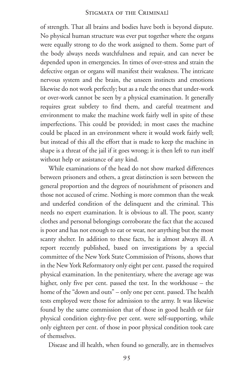## STIGMATA OF THE CRIMINALI

of strength. That all brains and bodies have both is beyond dispute. No physical human structure was ever put together where the organs were equally strong to do the work assigned to them. Some part of the body always needs watchfulness and repair, and can never be depended upon in emergencies. In times of over-stress and strain the defective organ or organs will manifest their weakness. The intricate nervous system and the brain, the unseen instincts and emotions likewise do not work perfectly; but as a rule the ones that under-work or over-work cannot be seen by a physical examination. It generally requires great subtlety to find them, and careful treatment and environment to make the machine work fairly well in spite of these imperfections. This could be provided; in most cases the machine could be placed in an environment where it would work fairly well; but instead of this all the effort that is made to keep the machine in shape is a threat of the jail if it goes wrong; it is then left to run itself without help or assistance of any kind.

While examinations of the head do not show marked differences between prisoners and others, a great distinction is seen between the general proportion and the degrees of nourishment of prisoners and those not accused of crime. Nothing is more common than the weak and underfed condition of the delinquent and the criminal. This needs no expert examination. It is obvious to all. The poor, scanty clothes and personal belongings corroborate the fact that the accused is poor and has not enough to eat or wear, nor anything but the most scanty shelter. In addition to these facts, he is almost always ill. A report recently published, based on investigations by a special committee of the New York State Commission of Prisons, shows that in the New York Reformatory only eight per cent. passed the required physical examination. In the penitentiary, where the average age was higher, only five per cent. passed the test. In the workhouse – the home of the "down and outs" – only one per cent. passed. The health tests employed were those for admission to the army. It was likewise found by the same commission that of those in good health or fair physical condition eighty-five per cent. were self-supporting, while only eighteen per cent. of those in poor physical condition took care of themselves.

Disease and ill health, when found so generally, are in themselves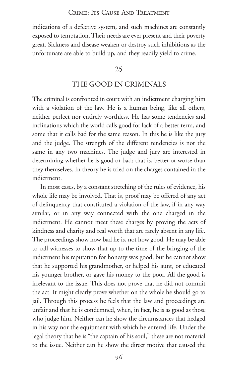indications of a defective system, and such machines are constantly exposed to temptation. Their needs are ever present and their poverty great. Sickness and disease weaken or destroy such inhibitions as the unfortunate are able to build up, and they readily yield to crime.

# 25

# THE GOOD IN CRIMINALS

The criminal is confronted in court with an indictment charging him with a violation of the law. He is a human being, like all others, neither perfect nor entirely worthless. He has some tendencies and inclinations which the world calls good for lack of a better term, and some that it calls bad for the same reason. In this he is like the jury and the judge. The strength of the different tendencies is not the same in any two machines. The judge and jury are interested in determining whether he is good or bad; that is, better or worse than they themselves. In theory he is tried on the charges contained in the indictment.

In most cases, by a constant stretching of the rules of evidence, his whole life may be involved. That is, proof may be offered of any act of delinquency that constituted a violation of the law, if in any way similar, or in any way connected with the one charged in the indictment. He cannot meet these charges by proving the acts of kindness and charity and real worth that are rarely absent in any life. The proceedings show how bad he is, not how good. He may be able to call witnesses to show that up to the time of the bringing of the indictment his reputation for honesty was good; but he cannot show that he supported his grandmother, or helped his aunt, or educated his younger brother, or gave his money to the poor. All the good is irrelevant to the issue. This does not prove that he did not commit the act. It might clearly prove whether on the whole he should go to jail. Through this process he feels that the law and proceedings are unfair and that he is condemned, when, in fact, he is as good as those who judge him. Neither can he show the circumstances that hedged in his way nor the equipment with which he entered life. Under the legal theory that he is "the captain of his soul," these are not material to the issue. Neither can he show the direct motive that caused the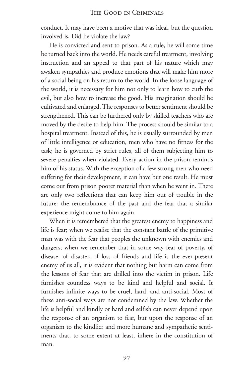conduct. It may have been a motive that was ideal, but the question involved is, Did he violate the law?

He is convicted and sent to prison. As a rule, he will some time be turned back into the world. He needs careful treatment, involving instruction and an appeal to that part of his nature which may awaken sympathies and produce emotions that will make him more of a social being on his return to the world. In the loose language of the world, it is necessary for him not only to learn how to curb the evil, but also how to increase the good. His imagination should be cultivated and enlarged. The responses to better sentiment should be strengthened. This can be furthered only by skilled teachers who are moved by the desire to help him. The process should be similar to a hospital treatment. Instead of this, he is usually surrounded by men of little intelligence or education, men who have no fitness for the task; he is governed by strict rules, all of them subjecting him to severe penalties when violated. Every action in the prison reminds him of his status. With the exception of a few strong men who need suffering for their development, it can have but one result. He must come out from prison poorer material than when he went in. There are only two reflections that can keep him out of trouble in the future: the remembrance of the past and the fear that a similar experience might come to him again.

When it is remembered that the greatest enemy to happiness and life is fear; when we realise that the constant battle of the primitive man was with the fear that peoples the unknown with enemies and dangers; when we remember that in some way fear of poverty, of disease, of disaster, of loss of friends and life is the ever-present enemy of us all, it is evident that nothing but harm can come from the lessons of fear that are drilled into the victim in prison. Life furnishes countless ways to be kind and helpful and social. It furnishes infinite ways to be cruel, hard, and anti-social. Most of these anti-social ways are not condemned by the law. Whether the life is helpful and kindly or hard and selfish can never depend upon the response of an organism to fear, but upon the response of an organism to the kindlier and more humane and sympathetic sentiments that, to some extent at least, inhere in the constitution of man.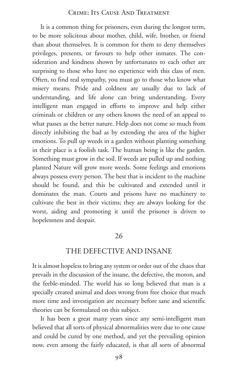It is a common thing for prisoners, even during the longest term, to be more solicitous about mother, child, wife, brother, or friend than about themselves. It is common for them to deny themselves privileges, presents, or favours to help other inmates. The consideration and kindness shown by unfortunates to each other are surprising to those who have no experience with this class of men. Often, to find real sympathy, you must go to those who know what misery means. Pride and coldness are usually due to lack of understanding, and life alone can bring understanding. Every intelligent man engaged in efforts to improve and help either criminals or children or any others knows the need of an appeal to what passes as the better nature. Help does not come so much from directly inhibiting the bad as by extending the area of the higher emotions. To pull up weeds in a garden without planting something in their place is a foolish task. The human being is like the garden. Something must grow in the soil. If weeds are pulled up and nothing planted Nature will grow more weeds. Some feelings and emotions always possess every person. The best that is incident to the machine should be found, and this be cultivated and extended until it dominates the man. Courts and prisons have no machinery to cultivate the best in their victims; they are always looking for the worst, aiding and promoting it until the prisoner is driven to hopelessness and despair.

## 26

# THE DEFECTIVE AND INSANE

It is almost hopeless to bring any system or order out of the chaos that prevails in the discussion of the insane, the defective, the moron, and the feeble-minded. The world has so long believed that man is a specially created animal and does wrong from free choice that much more time and investigation are necessary before sane and scientific theories can be formulated on this subject.

It has been a great many years since any semi-intelligent man believed that all sorts of physical abnormalities were due to one cause and could be cured by one method, and yet the prevailing opinion now, even among the fairly educated, is that all sorts of abnormal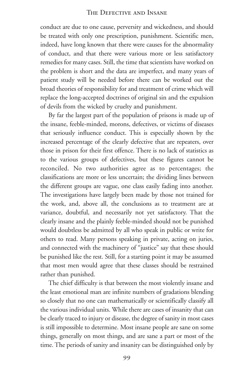# The Defective and Insane

conduct are due to one cause, perversity and wickedness, and should be treated with only one prescription, punishment. Scientific men, indeed, have long known that there were causes for the abnormality of conduct, and that there were various more or less satisfactory remedies for many cases. Still, the time that scientists have worked on the problem is short and the data are imperfect, and many years of patient study will be needed before there can be worked out the broad theories of responsibility for and treatment of crime which will replace the long-accepted doctrines of original sin and the expulsion of devils from the wicked by cruelty and punishment.

By far the largest part of the population of prisons is made up of the insane, feeble-minded, morons, defectives, or victims of diseases that seriously influence conduct. This is especially shown by the increased percentage of the clearly defective that are repeaters, over those in prison for their first offence. There is no lack of statistics as to the various groups of defectives, but these figures cannot be reconciled. No two authorities agree as to percentages; the classifications are more or less uncertain; the dividing lines between the different groups are vague, one class easily fading into another. The investigations have largely been made by those not trained for the work, and, above all, the conclusions as to treatment are at variance, doubtful, and necessarily not yet satisfactory. That the clearly insane and the plainly feeble-minded should not be punished would doubtless be admitted by all who speak in public or write for others to read. Many persons speaking in private, acting on juries, and connected with the machinery of "justice" say that these should be punished like the rest. Still, for a starting point it may be assumed that most men would agree that these classes should be restrained rather than punished.

The chief difficulty is that between the most violently insane and the least emotional man are infinite numbers of gradations blending so closely that no one can mathematically or scientifically classify all the various individual units. While there are cases of insanity that can be clearly traced to injury or disease, the degree of sanity in most cases is still impossible to determine. Most insane people are sane on some things, generally on most things, and are sane a part or most of the time. The periods of sanity and insanity can be distinguished only by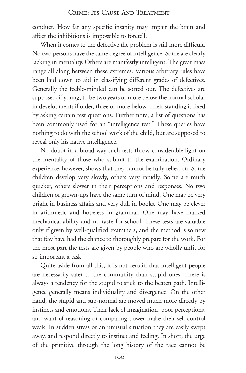conduct. How far any specific insanity may impair the brain and affect the inhibitions is impossible to foretell.

When it comes to the defective the problem is still more difficult. No two persons have the same degree of intelligence. Some are clearly lacking in mentality. Others are manifestly intelligent. The great mass range all along between these extremes. Various arbitrary rules have been laid down to aid in classifying different grades of defectives. Generally the feeble-minded can be sorted out. The defectives are supposed, if young, to be two years or more below the normal scholar in development; if older, three or more below. Their standing is fixed by asking certain test questions. Furthermore, a list of questions has been commonly used for an "intelligence test." These queries have nothing to do with the school work of the child, but are supposed to reveal only his native intelligence.

No doubt in a broad way such tests throw considerable light on the mentality of those who submit to the examination. Ordinary experience, however, shows that they cannot be fully relied on. Some children develop very slowly, others very rapidly. Some are much quicker, others slower in their perceptions and responses. No two children or grown-ups have the same turn of mind. One may be very bright in business affairs and very dull in books. One may be clever in arithmetic and hopeless in grammar. One may have marked mechanical ability and no taste for school. These tests are valuable only if given by well-qualified examiners, and the method is so new that few have had the chance to thoroughly prepare for the work. For the most part the tests are given by people who are wholly unfit for so important a task.

Quite aside from all this, it is not certain that intelligent people are necessarily safer to the community than stupid ones. There is always a tendency for the stupid to stick to the beaten path. Intelligence generally means individuality and divergence. On the other hand, the stupid and sub-normal are moved much more directly by instincts and emotions. Their lack of imagination, poor perceptions, and want of reasoning or comparing power make their self-control weak. In sudden stress or an unusual situation they are easily swept away, and respond directly to instinct and feeling. In short, the urge of the primitive through the long history of the race cannot be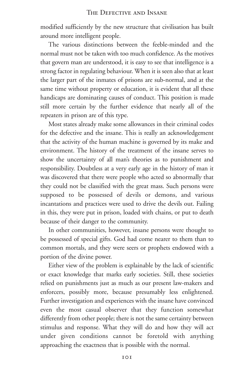## The Defective and Insane

modified sufficiently by the new structure that civilisation has built around more intelligent people.

The various distinctions between the feeble-minded and the normal must not be taken with too much confidence. As the motives that govern man are understood, it is easy to see that intelligence is a strong factor in regulating behaviour. When it is seen also that at least the larger part of the inmates of prisons are sub-normal, and at the same time without property or education, it is evident that all these handicaps are dominating causes of conduct. This position is made still more certain by the further evidence that nearly all of the repeaters in prison are of this type.

Most states already make some allowances in their criminal codes for the defective and the insane. This is really an acknowledgement that the activity of the human machine is governed by its make and environment. The history of the treatment of the insane serves to show the uncertainty of all man's theories as to punishment and responsibility. Doubtless at a very early age in the history of man it was discovered that there were people who acted so abnormally that they could not be classified with the great mass. Such persons were supposed to be possessed of devils or demons, and various incantations and practices were used to drive the devils out. Failing in this, they were put in prison, loaded with chains, or put to death because of their danger to the community.

In other communities, however, insane persons were thought to be possessed of special gifts. God had come nearer to them than to common mortals, and they were seers or prophets endowed with a portion of the divine power.

Either view of the problem is explainable by the lack of scientific or exact knowledge that marks early societies. Still, these societies relied on punishments just as much as our present law-makers and enforcers, possibly more, because presumably less enlightened. Further investigation and experiences with the insane have convinced even the most casual observer that they function somewhat differently from other people; there is not the same certainty between stimulus and response. What they will do and how they will act under given conditions cannot be foretold with anything approaching the exactness that is possible with the normal.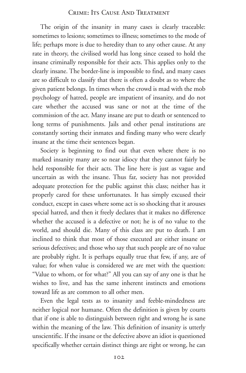The origin of the insanity in many cases is clearly traceable: sometimes to lesions; sometimes to illness; sometimes to the mode of life; perhaps more is due to heredity than to any other cause. At any rate in theory, the civilised world has long since ceased to hold the insane criminally responsible for their acts. This applies only to the clearly insane. The border-line is impossible to find, and many cases are so difficult to classify that there is often a doubt as to where the given patient belongs. In times when the crowd is mad with the mob psychology of hatred, people are impatient of insanity, and do not care whether the accused was sane or not at the time of the commission of the act. Many insane are put to death or sentenced to long terms of punishments. Jails and other penal institutions are constantly sorting their inmates and finding many who were clearly insane at the time their sentences began.

Society is beginning to find out that even where there is no marked insanity many are so near idiocy that they cannot fairly be held responsible for their acts. The line here is just as vague and uncertain as with the insane. Thus far, society has not provided adequate protection for the public against this class; neither has it properly cared for these unfortunates. It has simply excused their conduct, except in cases where some act is so shocking that it arouses special hatred, and then it freely declares that it makes no difference whether the accused is a defective or not; he is of no value to the world, and should die. Many of this class are put to death. I am inclined to think that most of those executed are either insane or serious defectives; and those who say that such people are of no value are probably right. It is perhaps equally true that few, if any, are of value; for when value is considered we are met with the question: "Value to whom, or for what?" All you can say of any one is that he wishes to live, and has the same inherent instincts and emotions toward life as are common to all other men.

Even the legal tests as to insanity and feeble-mindedness are neither logical nor humane. Often the definition is given by courts that if one is able to distinguish between right and wrong he is sane within the meaning of the law. This definition of insanity is utterly unscientific. If the insane or the defective above an idiot is questioned specifically whether certain distinct things are right or wrong, he can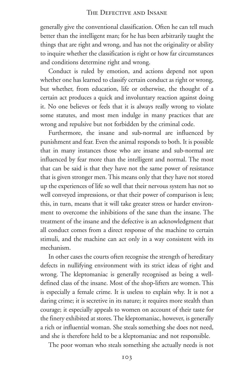## The Defective and Insane

generally give the conventional classification. Often he can tell much better than the intelligent man; for he has been arbitrarily taught the things that are right and wrong, and has not the originality or ability to inquire whether the classification is right or how far circumstances and conditions determine right and wrong.

Conduct is ruled by emotion, and actions depend not upon whether one has learned to classify certain conduct as right or wrong, but whether, from education, life or otherwise, the thought of a certain act produces a quick and involuntary reaction against doing it. No one believes or feels that it is always really wrong to violate some statutes, and most men indulge in many practices that are wrong and repulsive but not forbidden by the criminal code.

Furthermore, the insane and sub-normal are influenced by punishment and fear. Even the animal responds to both. It is possible that in many instances those who are insane and sub-normal are influenced by fear more than the intelligent and normal. The most that can be said is that they have not the same power of resistance that is given stronger men. This means only that they have not stored up the experiences of life so well that their nervous system has not so well conveyed impressions, or that their power of comparison is less; this, in turn, means that it will take greater stress or harder environment to overcome the inhibitions of the sane than the insane. The treatment of the insane and the defective is an acknowledgment that all conduct comes from a direct response of the machine to certain stimuli, and the machine can act only in a way consistent with its mechanism.

In other cases the courts often recognise the strength of hereditary defects in nullifying environment with its strict ideas of right and wrong. The kleptomaniac is generally recognised as being a welldefined class of the insane. Most of the shop-lifters are women. This is especially a female crime. It is useless to explain why. It is not a daring crime; it is secretive in its nature; it requires more stealth than courage; it especially appeals to women on account of their taste for the finery exhibited at stores. The kleptomaniac, however, is generally a rich or influential woman. She steals something she does not need, and she is therefore held to be a kleptomaniac and not responsible.

The poor woman who steals something she actually needs is not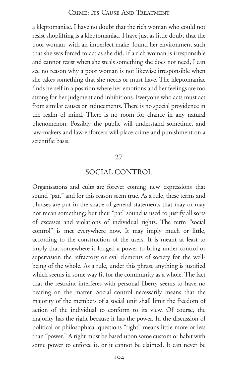a kleptomaniac. I have no doubt that the rich woman who could not resist shoplifting is a kleptomaniac. I have just as little doubt that the poor woman, with an imperfect make, found her environment such that she was forced to act as she did. If a rich woman is irresponsible and cannot resist when she steals something she does not need, I can see no reason why a poor woman is not likewise irresponsible when she takes something that she needs or must have. The kleptomaniac finds herself in a position where her emotions and her feelings are too strong for her judgment and inhibitions. Everyone who acts must act from similar causes or inducements. There is no special providence in the realm of mind. There is no room for chance in any natural phenomenon. Possibly the public will understand sometime, and law-makers and law-enforcers will place crime and punishment on a scientific basis.

## 27

## SOCIAL CONTROL

Organisations and cults are forever coining new expressions that sound "pat," and for this reason seem true. As a rule, these terms and phrases are put in the shape of general statements that may or may not mean something; but their "pat" sound is used to justify all sorts of excesses and violations of individual rights. The term "social control" is met everywhere now. It may imply much or little, according to the construction of the users. It is meant at least to imply that somewhere is lodged a power to bring under control or supervision the refractory or evil elements of society for the wellbeing of the whole. As a rule, under this phrase anything is justified which seems in some way fit for the community as a whole. The fact that the restraint interferes with personal liberty seems to have no bearing on the matter. Social control necessarily means that the majority of the members of a social unit shall limit the freedom of action of the individual to conform to its view. Of course, the majority has the right because it has the power. In the discussion of political or philosophical questions "right" means little more or less than "power." A right must be based upon some custom or habit with some power to enforce it, or it cannot be claimed. It can never be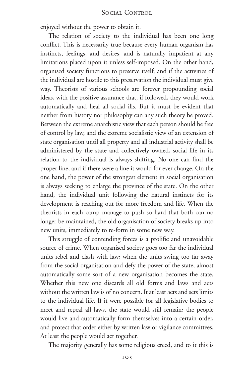enjoyed without the power to obtain it.

The relation of society to the individual has been one long conflict. This is necessarily true because every human organism has instincts, feelings, and desires, and is naturally impatient at any limitations placed upon it unless self-imposed. On the other hand, organised society functions to preserve itself, and if the activities of the individual are hostile to this preservation the individual must give way. Theorists of various schools are forever propounding social ideas, with the positive assurance that, if followed, they would work automatically and heal all social ills. But it must be evident that neither from history nor philosophy can any such theory be proved. Between the extreme anarchistic view that each person should be free of control by law, and the extreme socialistic view of an extension of state organisation until all property and all industrial activity shall be administered by the state and collectively owned, social life in its relation to the individual is always shifting. No one can find the proper line, and if there were a line it would for ever change. On the one hand, the power of the strongest element in social organisation is always seeking to enlarge the province of the state. On the other hand, the individual unit following the natural instincts for its development is reaching out for more freedom and life. When the theorists in each camp manage to push so hard that both can no longer be maintained, the old organisation of society breaks up into new units, immediately to re-form in some new way.

This struggle of contending forces is a prolific and unavoidable source of crime. When organised society goes too far the individual units rebel and clash with law; when the units swing too far away from the social organisation and defy the power of the state, almost automatically some sort of a new organisation becomes the state. Whether this new one discards all old forms and laws and acts without the written law is of no concern. It at least acts and sets limits to the individual life. If it were possible for all legislative bodies to meet and repeal all laws, the state would still remain; the people would live and automatically form themselves into a certain order, and protect that order either by written law or vigilance committees. At least the people would act together.

The majority generally has some religious creed, and to it this is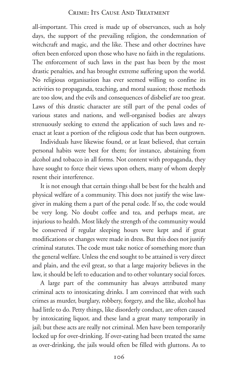## CRIME: ITS CAUSE AND TREATMENT

all-important. This creed is made up of observances, such as holy days, the support of the prevailing religion, the condemnation of witchcraft and magic, and the like. These and other doctrines have often been enforced upon those who have no faith in the regulations. The enforcement of such laws in the past has been by the most drastic penalties, and has brought extreme suffering upon the world. No religious organisation has ever seemed willing to confine its activities to propaganda, teaching, and moral suasion; those methods are too slow, and the evils and consequences of disbelief are too great. Laws of this drastic character are still part of the penal codes of various states and nations, and well-organised bodies are always strenuously seeking to extend the application of such laws and reenact at least a portion of the religious code that has been outgrown.

Individuals have likewise found, or at least believed, that certain personal habits were best for them; for instance, abstaining from alcohol and tobacco in all forms. Not content with propaganda, they have sought to force their views upon others, many of whom deeply resent their interference.

It is not enough that certain things shall be best for the health and physical welfare of a community. This does not justify the wise lawgiver in making them a part of the penal code. If so, the code would be very long. No doubt coffee and tea, and perhaps meat, are injurious to health. Most likely the strength of the community would be conserved if regular sleeping hours were kept and if great modifications or changes were made in dress. But this does not justify criminal statutes. The code must take notice of something more than the general welfare. Unless the end sought to be attained is very direct and plain, and the evil great, so that a large majority believes in the law, it should be left to education and to other voluntary social forces.

A large part of the community has always attributed many criminal acts to intoxicating drinks. I am convinced that with such crimes as murder, burglary, robbery, forgery, and the like, alcohol has had little to do. Petty things, like disorderly conduct, are often caused by intoxicating liquor, and these land a great many temporarily in jail; but these acts are really not criminal. Men have been temporarily locked up for over-drinking. If over-eating had been treated the same as over-drinking, the jails would often be filled with gluttons. As to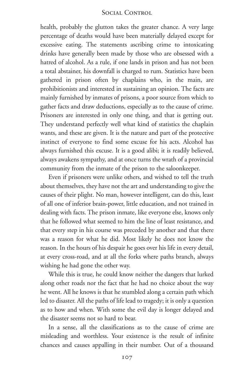### SOCIAL CONTROL

health, probably the glutton takes the greater chance. A very large percentage of deaths would have been materially delayed except for excessive eating. The statements ascribing crime to intoxicating drinks have generally been made by those who are obsessed with a hatred of alcohol. As a rule, if one lands in prison and has not been a total abstainer, his downfall is charged to rum. Statistics have been gathered in prison often by chaplains who, in the main, are prohibitionists and interested in sustaining an opinion. The facts are mainly furnished by inmates of prisons, a poor source from which to gather facts and draw deductions, especially as to the cause of crime. Prisoners are interested in only one thing, and that is getting out. They understand perfectly well what kind of statistics the chaplain wants, and these are given. It is the nature and part of the protective instinct of everyone to find some excuse for his acts. Alcohol has always furnished this excuse. It is a good alibi; it is readily believed, always awakens sympathy, and at once turns the wrath of a provincial community from the inmate of the prison to the saloonkeeper.

Even if prisoners were unlike others, and wished to tell the truth about themselves, they have not the art and understanding to give the causes of their plight. No man, however intelligent, can do this, least of all one of inferior brain-power, little education, and not trained in dealing with facts. The prison inmate, like everyone else, knows only that he followed what seemed to him the line of least resistance, and that every step in his course was preceded by another and that there was a reason for what he did. Most likely he does not know the reason. In the hours of his despair he goes over his life in every detail, at every cross-road, and at all the forks where paths branch, always wishing he had gone the other way.

While this is true, he could know neither the dangers that lurked along other roads nor the fact that he had no choice about the way he went. All he knows is that he stumbled along a certain path which led to disaster. All the paths of life lead to tragedy; it is only a question as to how and when. With some the evil day is longer delayed and the disaster seems not so hard to bear.

In a sense, all the classifications as to the cause of crime are misleading and worthless. Your existence is the result of infinite chances and causes appalling in their number. Out of a thousand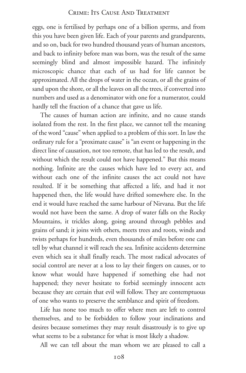eggs, one is fertilised by perhaps one of a billion sperms, and from this you have been given life. Each of your parents and grandparents, and so on, back for two hundred thousand years of human ancestors, and back to infinity before man was born, was the result of the same seemingly blind and almost impossible hazard. The infinitely microscopic chance that each of us had for life cannot be approximated. All the drops of water in the ocean, or all the grains of sand upon the shore, or all the leaves on all the trees, if converted into numbers and used as a denominator with one for a numerator, could hardly tell the fraction of a chance that gave us life.

The causes of human action are infinite, and no cause stands isolated from the rest. In the first place, we cannot tell the meaning of the word "cause" when applied to a problem of this sort. In law the ordinary rule for a "proximate cause" is "an event or happening in the direct line of causation, not too remote, that has led to the result, and without which the result could not have happened." But this means nothing. Infinite are the causes which have led to every act, and without each one of the infinite causes the act could not have resulted. If it be something that affected a life, and had it not happened then, the life would have drifted somewhere else. In the end it would have reached the same harbour of Nirvana. But the life would not have been the same. A drop of water falls on the Rocky Mountains, it trickles along, going around through pebbles and grains of sand; it joins with others, meets trees and roots, winds and twists perhaps for hundreds, even thousands of miles before one can tell by what channel it will reach the sea. Infinite accidents determine even which sea it shall finally reach. The most radical advocates of social control are never at a loss to lay their fingers on causes, or to know what would have happened if something else had not happened; they never hesitate to forbid seemingly innocent acts because they are certain that evil will follow. They are contemptuous of one who wants to preserve the semblance and spirit of freedom.

Life has none too much to offer where men are left to control themselves, and to be forbidden to follow your inclinations and desires because sometimes they may result disastrously is to give up what seems to be a substance for what is most likely a shadow.

All we can tell about the man whom we are pleased to call a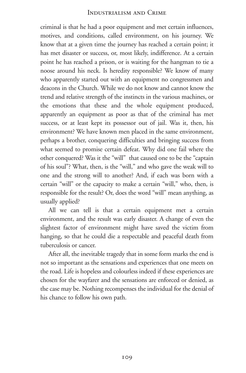## Industrialism and Crime

criminal is that he had a poor equipment and met certain influences, motives, and conditions, called environment, on his journey. We know that at a given time the journey has reached a certain point; it has met disaster or success, or, most likely, indifference. At a certain point he has reached a prison, or is waiting for the hangman to tie a noose around his neck. Is heredity responsible? We know of many who apparently started out with an equipment no congressmen and deacons in the Church. While we do not know and cannot know the trend and relative strength of the instincts in the various machines, or the emotions that these and the whole equipment produced, apparently an equipment as poor as that of the criminal has met success, or at least kept its possessor out of jail. Was it, then, his environment? We have known men placed in the same environment, perhaps a brother, conquering difficulties and bringing success from what seemed to promise certain defeat. Why did one fail where the other conquered? Was it the "will" that caused one to be the "captain of his soul"? What, then, is the "will," and who gave the weak will to one and the strong will to another? And, if each was born with a certain "will" or the capacity to make a certain "will," who, then, is responsible for the result? Or, does the word "will" mean anything, as usually applied?

All we can tell is that a certain equipment met a certain environment, and the result was early disaster. A change of even the slightest factor of environment might have saved the victim from hanging, so that he could die a respectable and peaceful death from tuberculosis or cancer.

After all, the inevitable tragedy that in some form marks the end is not so important as the sensations and experiences that one meets on the road. Life is hopeless and colourless indeed if these experiences are chosen for the wayfarer and the sensations are enforced or denied, as the case may be. Nothing recompenses the individual for the denial of his chance to follow his own path.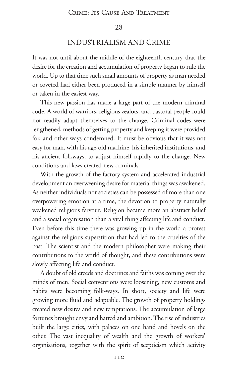#### 28

## INDUSTRIALISM AND CRIME

It was not until about the middle of the eighteenth century that the desire for the creation and accumulation of property began to rule the world. Up to that time such small amounts of property as man needed or coveted had either been produced in a simple manner by himself or taken in the easiest way.

This new passion has made a large part of the modern criminal code. A world of warriors, religious zealots, and pastoral people could not readily adapt themselves to the change. Criminal codes were lengthened, methods of getting property and keeping it were provided for, and other ways condemned. It must be obvious that it was not easy for man, with his age-old machine, his inherited institutions, and his ancient folkways, to adjust himself rapidly to the change. New conditions and laws created new criminals.

With the growth of the factory system and accelerated industrial development an overweening desire for material things was awakened. As neither individuals nor societies can be possessed of more than one overpowering emotion at a time, the devotion to property naturally weakened religious fervour. Religion became more an abstract belief and a social organisation than a vital thing affecting life and conduct. Even before this time there was growing up in the world a protest against the religious superstition that had led to the cruelties of the past. The scientist and the modern philosopher were making their contributions to the world of thought, and these contributions were slowly affecting life and conduct.

A doubt of old creeds and doctrines and faiths was coming over the minds of men. Social conventions were loosening, new customs and habits were becoming folk-ways. In short, society and life were growing more fluid and adaptable. The growth of property holdings created new desires and new temptations. The accumulation of large fortunes brought envy and hatred and ambition. The rise of industries built the large cities, with palaces on one hand and hovels on the other. The vast inequality of wealth and the growth of workers' organisations, together with the spirit of scepticism which activity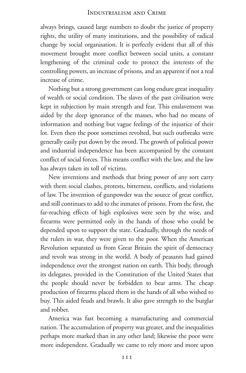## Industrialism and Crime

always brings, caused large numbers to doubt the justice of property rights, the utility of many institutions, and the possibility of radical change by social organisation. It is perfectly evident that all of this movement brought more conflict between social units, a constant lengthening of the criminal code to protect the interests of the controlling powers, an increase of prisons, and an apparent if not a real increase of crime.

Nothing but a strong government can long endure great inequality of wealth or social condition. The slaves of the past civilisation were kept in subjection by main strength and fear. This enslavement was aided by the deep ignorance of the masses, who had no means of information and nothing but vague feelings of the injustice of their lot. Even then the poor sometimes revolted, but such outbreaks were generally easily put down by the sword. The growth of political power and industrial independence has been accompanied by the constant conflict of social forces. This means conflict with the law, and the law has always taken its toll of victims.

New inventions and methods that bring power of any sort carry with them social clashes, protests, bitterness, conflicts, and violations of law. The invention of gunpowder was the source of great conflict, and still continues to add to the inmates of prisons. From the first, the far-reaching effects of high explosives were seen by the wise, and firearms were permitted only in the hands of those who could be depended upon to support the state. Gradually, through the needs of the rulers in war, they were given to the poor. When the American Revolution separated us from Great Britain the spirit of democracy and revolt was strong in the world. A body of peasants had gained independence over the strongest nation on earth. This body, through its delegates, provided in the Constitution of the United States that the people should never be forbidden to bear arms. The cheap production of firearms placed them in the hands of all who wished to buy. This aided feuds and brawls. It also gave strength to the burglar and robber.

America was fast becoming a manufacturing and commercial nation. The accumulation of property was greater, and the inequalities perhaps more marked than in any other land; likewise the poor were more independent. Gradually we came to rely more and more upon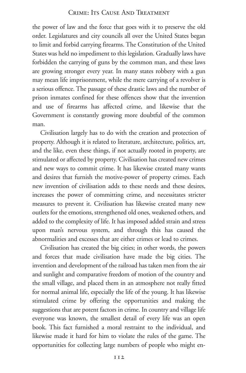## CRIME: ITS CAUSE AND TREATMENT

the power of law and the force that goes with it to preserve the old order. Legislatures and city councils all over the United States began to limit and forbid carrying firearms. The Constitution of the United States was held no impediment to this legislation. Gradually laws have forbidden the carrying of guns by the common man, and these laws are growing stronger every year. In many states robbery with a gun may mean life imprisonment, while the mere carrying of a revolver is a serious offence. The passage of these drastic laws and the number of prison inmates confined for these offences show that the invention and use of firearms has affected crime, and likewise that the Government is constantly growing more doubtful of the common man.

Civilisation largely has to do with the creation and protection of property. Although it is related to literature, architecture, politics, art, and the like, even these things, if not actually rooted in property, are stimulated or affected by property. Civilisation has created new crimes and new ways to commit crime. It has likewise created many wants and desires that furnish the motive-power of property crimes. Each new invention of civilisation adds to these needs and these desires, increases the power of committing crime, and necessitates stricter measures to prevent it. Civilisation has likewise created many new outlets for the emotions, strengthened old ones, weakened others, and added to the complexity of life. It has imposed added strain and stress upon man's nervous system, and through this has caused the abnormalities and excesses that are either crimes or lead to crimes.

Civilisation has created the big cities; in other words, the powers and forces that made civilisation have made the big cities. The invention and development of the railroad has taken men from the air and sunlight and comparative freedom of motion of the country and the small village, and placed them in an atmosphere not really fitted for normal animal life, especially the life of the young. It has likewise stimulated crime by offering the opportunities and making the suggestions that are potent factors in crime. In country and village life everyone was known, the smallest detail of every life was an open book. This fact furnished a moral restraint to the individual, and likewise made it hard for him to violate the rules of the game. The opportunities for collecting large numbers of people who might en-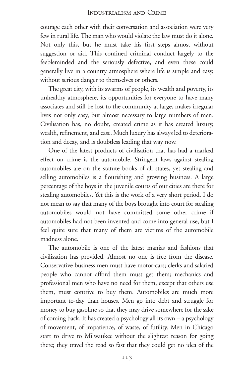## Industrialism and Crime

courage each other with their conversation and association were very few in rural life. The man who would violate the law must do it alone. Not only this, but he must take his first steps almost without suggestion or aid. This confined criminal conduct largely to the feebleminded and the seriously defective, and even these could generally live in a country atmosphere where life is simple and easy, without serious danger to themselves or others.

The great city, with its swarms of people, its wealth and poverty, its unhealthy atmosphere, its opportunities for everyone to have many associates and still be lost to the community at large, makes irregular lives not only easy, but almost necessary to large numbers of men. Civilisation has, no doubt, created crime as it has created luxury, wealth, refinement, and ease. Much luxury has always led to deterioration and decay, and is doubtless leading that way now.

One of the latest products of civilisation that has had a marked effect on crime is the automobile. Stringent laws against stealing automobiles are on the statute books of all states, yet stealing and selling automobiles is a flourishing and growing business. A large percentage of the boys in the juvenile courts of our cities are there for stealing automobiles. Yet this is the work of a very short period. I do not mean to say that many of the boys brought into court for stealing automobiles would not have committed some other crime if automobiles had not been invented and come into general use, but I feel quite sure that many of them are victims of the automobile madness alone.

The automobile is one of the latest manias and fashions that civilisation has provided. Almost no one is free from the disease. Conservative business men must have motor-cars; clerks and salaried people who cannot afford them must get them; mechanics and professional men who have no need for them, except that others use them, must contrive to buy them. Automobiles are much more important to-day than houses. Men go into debt and struggle for money to buy gasoline so that they may drive somewhere for the sake of coming back. It has created a psychology all its own – a psychology of movement, of impatience, of waste, of futility. Men in Chicago start to drive to Milwaukee without the slightest reason for going there; they travel the road so fast that they could get no idea of the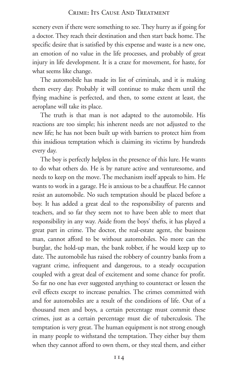scenery even if there were something to see. They hurry as if going for a doctor. They reach their destination and then start back home. The specific desire that is satisfied by this expense and waste is a new one, an emotion of no value in the life processes, and probably of great injury in life development. It is a craze for movement, for haste, for what seems like change.

The automobile has made its list of criminals, and it is making them every day. Probably it will continue to make them until the flying machine is perfected, and then, to some extent at least, the aeroplane will take its place.

The truth is that man is not adapted to the automobile. His reactions are too simple; his inherent needs are not adjusted to the new life; he has not been built up with barriers to protect him from this insidious temptation which is claiming its victims by hundreds every day.

The boy is perfectly helpless in the presence of this lure. He wants to do what others do. He is by nature active and venturesome, and needs to keep on the move. The mechanism itself appeals to him. He wants to work in a garage. He is anxious to be a chauffeur. He cannot resist an automobile. No such temptation should be placed before a boy. It has added a great deal to the responsibility of parents and teachers, and so far they seem not to have been able to meet that responsibility in any way. Aside from the boys' thefts, it has played a great part in crime. The doctor, the real-estate agent, the business man, cannot afford to be without automobiles. No more can the burglar, the hold-up man, the bank robber, if he would keep up to date. The automobile has raised the robbery of country banks from a vagrant crime, infrequent and dangerous, to a steady occupation coupled with a great deal of excitement and some chance for profit. So far no one has ever suggested anything to counteract or lessen the evil effects except to increase penalties. The crimes committed with and for automobiles are a result of the conditions of life. Out of a thousand men and boys, a certain percentage must commit these crimes, just as a certain percentage must die of tuberculosis. The temptation is very great. The human equipment is not strong enough in many people to withstand the temptation. They either buy them when they cannot afford to own them, or they steal them, and either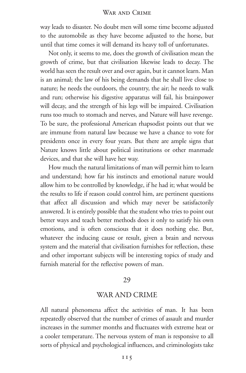### War and Crime

way leads to disaster. No doubt men will some time become adjusted to the automobile as they have become adjusted to the horse, but until that time comes it will demand its heavy toll of unfortunates.

Not only, it seems to me, does the growth of civilisation mean the growth of crime, but that civilisation likewise leads to decay. The world has seen the result over and over again, but it cannot learn. Man is an animal; the law of his being demands that he shall live close to nature; he needs the outdoors, the country, the air; he needs to walk and run; otherwise his digestive apparatus will fail, his brainpower will decay, and the strength of his legs will be impaired. Civilisation runs too much to stomach and nerves, and Nature will have revenge. To be sure, the professional American rhapsodist points out that we are immune from natural law because we have a chance to vote for presidents once in every four years. But there are ample signs that Nature knows little about political institutions or other manmade devices, and that she will have her way.

How much the natural limitations of man will permit him to learn and understand; how far his instincts and emotional nature would allow him to be controlled by knowledge, if he had it; what would be the results to life if reason could control him, are pertinent questions that affect all discussion and which may never be satisfactorily answered. It is entirely possible that the student who tries to point out better ways and teach better methods does it only to satisfy his own emotions, and is often conscious that it does nothing else. But, whatever the inducing cause or result, given a brain and nervous system and the material that civilisation furnishes for reflection, these and other important subjects will be interesting topics of study and furnish material for the reflective powers of man.

### 29

### WAR AND CRIME

All natural phenomena affect the activities of man. It has been repeatedly observed that the number of crimes of assault and murder increases in the summer months and fluctuates with extreme heat or a cooler temperature. The nervous system of man is responsive to all sorts of physical and psychological influences, and criminologists take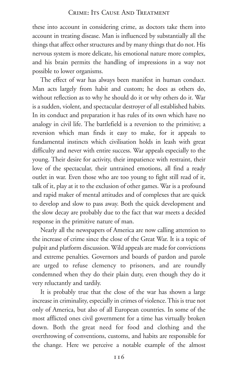these into account in considering crime, as doctors take them into account in treating disease. Man is influenced by substantially all the things that affect other structures and by many things that do not. His nervous system is more delicate, his emotional nature more complex, and his brain permits the handling of impressions in a way not possible to lower organisms.

The effect of war has always been manifest in human conduct. Man acts largely from habit and custom; he does as others do, without reflection as to why he should do it or why others do it. War is a sudden, violent, and spectacular destroyer of all established habits. In its conduct and preparation it has rules of its own which have no analogy in civil life. The battlefield is a reversion to the primitive; a reversion which man finds it easy to make, for it appeals to fundamental instincts which civilisation holds in leash with great difficulty and never with entire success. War appeals especially to the young. Their desire for activity, their impatience with restraint, their love of the spectacular, their untrained emotions, all find a ready outlet in war. Even those who are too young to fight still read of it, talk of it, play at it to the exclusion of other games. War is a profound and rapid maker of mental attitudes and of complexes that are quick to develop and slow to pass away. Both the quick development and the slow decay are probably due to the fact that war meets a decided response in the primitive nature of man.

Nearly all the newspapers of America are now calling attention to the increase of crime since the close of the Great War. It is a topic of pulpit and platform discussion. Wild appeals are made for convictions and extreme penalties. Governors and boards of pardon and parole are urged to refuse clemency to prisoners, and are roundly condemned when they do their plain duty, even though they do it very reluctantly and tardily.

It is probably true that the close of the war has shown a large increase in criminality, especially in crimes of violence. This is true not only of America, but also of all European countries. In some of the most afflicted ones civil government for a time has virtually broken down. Both the great need for food and clothing and the overthrowing of conventions, customs, and habits are responsible for the change. Here we perceive a notable example of the almost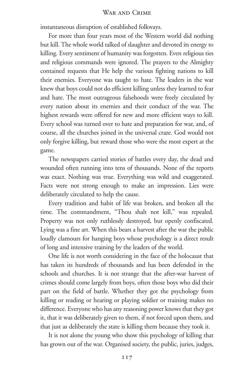### War and Crime

instantaneous disruption of established folkways.

For more than four years most of the Western world did nothing but kill. The whole world talked of slaughter and devoted its energy to killing. Every sentiment of humanity was forgotten. Even religious ties and religious commands were ignored. The prayers to the Almighty contained requests that He help the various fighting nations to kill their enemies. Everyone was taught to hate. The leaders in the war knew that boys could not do efficient killing unless they learned to fear and hate. The most outrageous falsehoods were freely circulated by every nation about its enemies and their conduct of the war. The highest rewards were offered for new and more efficient ways to kill. Every school was turned over to hate and preparation for war, and, of course, all the churches joined in the universal craze. God would not only forgive killing, but reward those who were the most expert at the game.

The newspapers carried stories of battles every day, the dead and wounded often running into tens of thousands. None of the reports was exact. Nothing was true. Everything was wild and exaggerated. Facts were not strong enough to make an impression. Lies were deliberately circulated to help the cause.

Every tradition and habit of life was broken, and broken all the time. The commandment, "Thou shalt not kill," was repealed. Property was not only ruthlessly destroyed, but openly confiscated. Lying was a fine art. When this bears a harvest after the war the public loudly clamours for hanging boys whose psychology is a direct result of long and intensive training by the leaders of the world.

One life is not worth considering in the face of the holocaust that has taken its hundreds of thousands and has been defended in the schools and churches. It is not strange that the after-war harvest of crimes should come largely from boys, often those boys who did their part on the field of battle. Whether they got the psychology from killing or reading or hearing or playing soldier or training makes no difference. Everyone who has any reasoning power knows that they got it, that it was deliberately given to them, if not forced upon them, and that just as deliberately the state is killing them because they took it.

It is not alone the young who show this psychology of killing that has grown out of the war. Organised society, the public, juries, judges,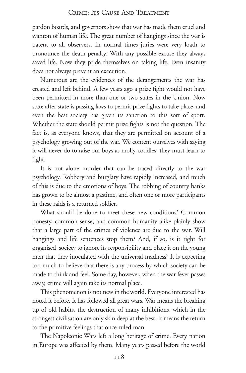pardon boards, and governors show that war has made them cruel and wanton of human life. The great number of hangings since the war is patent to all observers. In normal times juries were very loath to pronounce the death penalty. With any possible excuse they always saved life. Now they pride themselves on taking life. Even insanity does not always prevent an execution.

Numerous are the evidences of the derangements the war has created and left behind. A few years ago a prize fight would not have been permitted in more than one or two states in the Union. Now state after state is passing laws to permit prize fights to take place, and even the best society has given its sanction to this sort of sport. Whether the state should permit prize fights is not the question. The fact is, as everyone knows, that they are permitted on account of a psychology growing out of the war. We content ourselves with saying it will never do to raise our boys as molly-coddles; they must learn to fight.

It is not alone murder that can be traced directly to the war psychology. Robbery and burglary have rapidly increased, and much of this is due to the emotions of boys. The robbing of country banks has grown to be almost a pastime, and often one or more participants in these raids is a returned soldier.

What should be done to meet these new conditions? Common honesty, common sense, and common humanity alike plainly show that a large part of the crimes of violence are due to the war. Will hangings and life sentences stop them? And, if so, is it right for organised society to ignore its responsibility and place it on the young men that they inoculated with the universal madness? It is expecting too much to believe that there is any process by which society can be made to think and feel. Some day, however, when the war fever passes away, crime will again take its normal place.

This phenomenon is not new in the world. Everyone interested has noted it before. It has followed all great wars. War means the breaking up of old habits, the destruction of many inhibitions, which in the strongest civilisation are only skin deep at the best. It means the return to the primitive feelings that once ruled man.

The Napoleonic Wars left a long heritage of crime. Every nation in Europe was affected by them. Many years passed before the world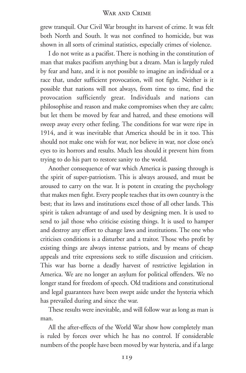## War and Crime

grew tranquil. Our Civil War brought its harvest of crime. It was felt both North and South. It was not confined to homicide, but was shown in all sorts of criminal statistics, especially crimes of violence.

I do not write as a pacifist. There is nothing in the constitution of man that makes pacifism anything but a dream. Man is largely ruled by fear and hate, and it is not possible to imagine an individual or a race that, under sufficient provocation, will not fight. Neither is it possible that nations will not always, from time to time, find the provocation sufficiently great. Individuals and nations can philosophise and reason and make compromises when they are calm; but let them be moved by fear and hatred, and these emotions will sweep away every other feeling. The conditions for war were ripe in 1914, and it was inevitable that America should be in it too. This should not make one wish for war, nor believe in war, nor close one's eyes to its horrors and results. Much less should it prevent him from trying to do his part to restore sanity to the world.

Another consequence of war which America is passing through is the spirit of super-patriotism. This is always aroused, and must be aroused to carry on the war. It is potent in creating the psychology that makes men fight. Every people teaches that its own country is the best; that its laws and institutions excel those of all other lands. This spirit is taken advantage of and used by designing men. It is used to send to jail those who criticise existing things. It is used to hamper and destroy any effort to change laws and institutions. The one who criticises conditions is a disturber and a traitor. Those who profit by existing things are always intense patriots, and by means of cheap appeals and trite expressions seek to stifle discussion and criticism. This war has borne a deadly harvest of restrictive legislation in America. We are no longer an asylum for political offenders. We no longer stand for freedom of speech. Old traditions and constitutional and legal guarantees have been swept aside under the hysteria which has prevailed during and since the war.

These results were inevitable, and will follow war as long as man is man.

All the after-effects of the World War show how completely man is ruled by forces over which he has no control. If considerable numbers of the people have been moved by war hysteria, and if a large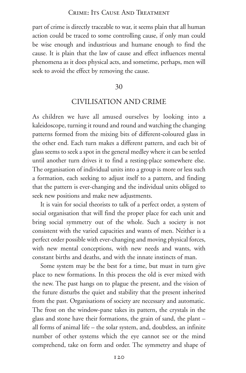part of crime is directly traceable to war, it seems plain that all human action could be traced to some controlling cause, if only man could be wise enough and industrious and humane enough to find the cause. It is plain that the law of cause and effect influences mental phenomena as it does physical acts, and sometime, perhaps, men will seek to avoid the effect by removing the cause.

#### 30

# CIVILISATION AND CRIME

As children we have all amused ourselves by looking into a kaleidoscope, turning it round and round and watching the changing patterns formed from the mixing bits of different-coloured glass in the other end. Each turn makes a different pattern, and each bit of glass seems to seek a spot in the general medley where it can be settled until another turn drives it to find a resting-place somewhere else. The organisation of individual units into a group is more or less such a formation, each seeking to adjust itself to a pattern, and finding that the pattern is ever-changing and the individual units obliged to seek new positions and make new adjustments.

It is vain for social theorists to talk of a perfect order, a system of social organisation that will find the proper place for each unit and bring social symmetry out of the whole. Such a society is not consistent with the varied capacities and wants of men. Neither is a perfect order possible with ever-changing and moving physical forces, with new mental conceptions, with new needs and wants, with constant births and deaths, and with the innate instincts of man.

Some system may be the best for a time, but must in turn give place to new formations. In this process the old is ever mixed with the new. The past hangs on to plague the present, and the vision of the future disturbs the quiet and stability that the present inherited from the past. Organisations of society are necessary and automatic. The frost on the window-pane takes its pattern, the crystals in the glass and stone have their formations, the grain of sand, the plant – all forms of animal life – the solar system, and, doubtless, an infinite number of other systems which the eye cannot see or the mind comprehend, take on form and order. The symmetry and shape of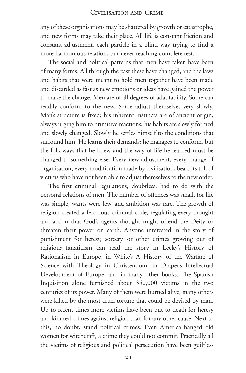## Civilisation and Crime

any of these organisations may be shattered by growth or catastrophe, and new forms may take their place. All life is constant friction and constant adjustment, each particle in a blind way trying to find a more harmonious relation, but never reaching complete rest.

The social and political patterns that men have taken have been of many forms. All through the past these have changed, and the laws and habits that were meant to hold men together have been made and discarded as fast as new emotions or ideas have gained the power to make the change. Men are of all degrees of adaptability. Some can readily conform to the new. Some adjust themselves very slowly. Man's structure is fixed; his inherent instincts are of ancient origin, always urging him to primitive reactions; his habits are slowly formed and slowly changed. Slowly he settles himself to the conditions that surround him. He learns their demands; he manages to conform, but the folk-ways that he knew and the way of life he learned must be changed to something else. Every new adjustment, every change of organisation, every modification made by civilisation, bears its toll of victims who have not been able to adjust themselves to the new order.

The first criminal regulations, doubtless, had to do with the personal relations of men. The number of offences was small, for life was simple, wants were few, and ambition was rare. The growth of religion created a ferocious criminal code, regulating every thought and action that God's agents thought might offend the Deity or threaten their power on earth. Anyone interested in the story of punishment for heresy, sorcery, or other crimes growing out of religious fanaticism can read the story in Lecky's History of Rationalism in Europe, in White's A History of the Warfare of Science with Theology in Christendom, in Draper's Intellectual Development of Europe, and in many other books. The Spanish Inquisition alone furnished about 350,000 victims in the two centuries of its power. Many of them were burned alive, many others were killed by the most cruel torture that could be devised by man. Up to recent times more victims have been put to death for heresy and kindred crimes against religion than for any other cause. Next to this, no doubt, stand political crimes. Even America hanged old women for witchcraft, a crime they could not commit. Practically all the victims of religious and political persecution have been guiltless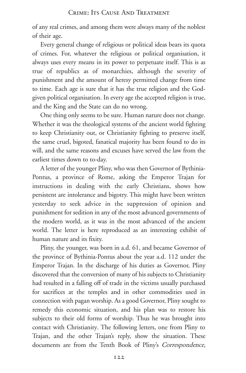## CRIME: ITS CAUSE AND TREATMENT

of any real crimes, and among them were always many of the noblest of their age.

Every general change of religious or political ideas bears its quota of crimes. For, whatever the religious or political organisation, it always uses every means in its power to perpetuate itself. This is as true of republics as of monarchies, although the severity of punishment and the amount of heresy permitted change from time to time. Each age is sure that it has the true religion and the Godgiven political organisation. In every age the accepted religion is true, and the King and the State can do no wrong.

One thing only seems to be sure. Human nature does not change. Whether it was the theological systems of the ancient world fighting to keep Christianity out, or Christianity fighting to preserve itself, the same cruel, bigoted, fanatical majority has been found to do its will, and the same reasons and excuses have served the law from the earliest times down to to-day.

A letter of the younger Pliny, who was then Governor of Bythinia-Pontus, a province of Rome, asking the Emperor Trajan for instructions in dealing with the early Christians, shows how persistent are intolerance and bigotry. This might have been written yesterday to seek advice in the suppression of opinion and punishment for sedition in any of the most advanced governments of the modern world, as it was in the most advanced of the ancient world. The letter is here reproduced as an interesting exhibit of human nature and its fixity.

Pliny, the younger, was born in a.d. 61, and became Governor of the province of Bythinia-Pontus about the year a.d. 112 under the Emperor Trajan. In the discharge of his duties as Governor, Pliny discovered that the conversion of many of his subjects to Christianity had resulted in a falling off of trade in the victims usually purchased for sacrifices at the temples and in other commodities used in connection with pagan worship. As a good Governor, Pliny sought to remedy this economic situation, and his plan was to restore his subjects to their old forms of worship. Thus he was brought into contact with Christianity. The following letters, one from Pliny to Trajan, and the other Trajan's reply, show the situation. These documents are from the Tenth Book of Pliny's *Correspondence*,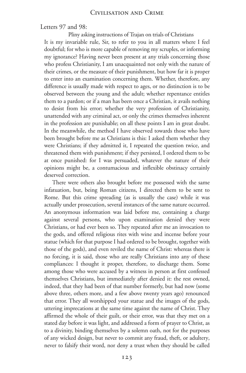Letters 97 and 98:

Pliny asking instructions of Trajan on trials of Christians It is my invariable rule, Sir, to refer to you in all matters where I feel doubtful; for who is more capable of removing my scruples, or informing my ignorance? Having never been present at any trials concerning those who profess Christianity, I am unacquainted not only with the nature of their crimes, or the measure of their punishment, but how far it is proper to enter into an examination concerning them. Whether, therefore, any difference is usually made with respect to ages, or no distinction is to be observed between the young and the adult; whether repentance entitles them to a pardon; or if a man has been once a Christian, it avails nothing to desist from his error; whether the very profession of Christianity, unattended with any criminal act, or only the crimes themselves inherent in the profession are punishable; on all these points I am in great doubt. In the meanwhile, the method I have observed towards those who have been brought before me as Christians is this: I asked them whether they were Christians; if they admitted it, I repeated the question twice, and threatened them with punishment; if they persisted, I ordered them to be at once punished: for I was persuaded, whatever the nature of their opinions might be, a contumacious and inflexible obstinacy certainly deserved correction.

There were others also brought before me possessed with the same infatuation, but, being Roman citizens, I directed them to be sent to Rome. But this crime spreading (as is usually the case) while it was actually under prosecution, several instances of the same nature occurred. An anonymous information was laid before me, containing a charge against several persons, who upon examination denied they were Christians, or had ever been so. They repeated after me an invocation to the gods, and offered religious rites with wine and incense before your statue (which for that purpose I had ordered to be brought, together with those of the gods), and even reviled the name of Christ: whereas there is no forcing, it is said, those who are really Christians into any of these compliances: I thought it proper, therefore, to discharge them. Some among those who were accused by a witness in person at first confessed themselves Christians, but immediately after denied it: the rest owned, indeed, that they had been of that number formerly, but had now (some above three, others more, and a few above twenty years ago) renounced that error. They all worshipped your statue and the images of the gods, uttering imprecations at the same time against the name of Christ. They affirmed the whole of their guilt, or their error, was that they met on a stated day before it was light, and addressed a form of prayer to Christ, as to a divinity, binding themselves by a solemn oath, not for the purposes of any wicked design, but never to commit any fraud, theft, or adultery, never to falsify their word, nor deny a trust when they should be called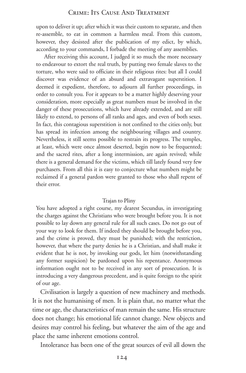# CRIME: ITS CAUSE AND TREATMENT

upon to deliver it up; after which it was their custom to separate, and then re-assemble, to eat in common a harmless meal. From this custom, however, they desisted after the publication of my edict, by which, according to your commands, I forbade the meeting of any assemblies.

After receiving this account, I judged it so much the more necessary to endeavour to extort the real truth, by putting two female slaves to the torture, who were said to officiate in their religious rites: but all I could discover was evidence of an absurd and extravagant superstition. I deemed it expedient, therefore, to adjourn all further proceedings, in order to consult you. For it appears to be a matter highly deserving your consideration, more especially as great numbers must be involved in the danger of these prosecutions, which have already extended, and are still likely to extend, to persons of all ranks and ages, and even of both sexes. In fact, this contagious superstition is not confined to the cities only, but has spread its infection among the neighbouring villages and country. Nevertheless, it still seems possible to restrain its progress. The temples, at least, which were once almost deserted, begin now to be frequented; and the sacred rites, after a long intermission, are again revived; while there is a general demand for the victims, which till lately found very few purchasers. From all this it is easy to conjecture what numbers might be reclaimed if a general pardon were granted to those who shall repent of their error.

#### Trajan to Pliny

You have adopted a right course, my dearest Secundus, in investigating the charges against the Christians who were brought before you. It is not possible to lay down any general rule for all such cases. Do not go out of your way to look for them. If indeed they should be brought before you, and the crime is proved, they must be punished; with the restriction, however, that where the party denies he is a Christian, and shall make it evident that he is not, by invoking our gods, let him (notwithstanding any former suspicion) be pardoned upon his repentance. Anonymous information ought not to be received in any sort of prosecution. It is introducing a very dangerous precedent, and is quite foreign to the spirit of our age.

Civilisation is largely a question of new machinery and methods. It is not the humanising of men. It is plain that, no matter what the time or age, the characteristics of man remain the same. His structure does not change; his emotional life cannot change. New objects and desires may control his feeling, but whatever the aim of the age and place the same inherent emotions control.

Intolerance has been one of the great sources of evil all down the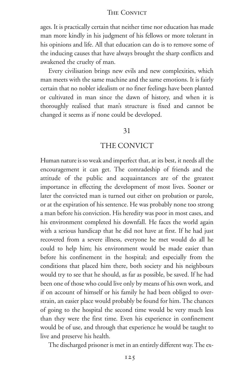### **THE CONVICT**

ages. It is practically certain that neither time nor education has made man more kindly in his judgment of his fellows or more tolerant in his opinions and life. All that education can do is to remove some of the inducing causes that have always brought the sharp conflicts and awakened the cruelty of man.

Every civilisation brings new evils and new complexities, which man meets with the same machine and the same emotions. It is fairly certain that no nobler idealism or no finer feelings have been planted or cultivated in man since the dawn of history, and when it is thoroughly realised that man's structure is fixed and cannot be changed it seems as if none could be developed.

## 31

## THE CONVICT

Human nature is so weak and imperfect that, at its best, it needs all the encouragement it can get. The comradeship of friends and the attitude of the public and acquaintances are of the greatest importance in effecting the development of most lives. Sooner or later the convicted man is turned out either on probation or parole, or at the expiration of his sentence. He was probably none too strong a man before his conviction. His heredity was poor in most cases, and his environment completed his downfall. He faces the world again with a serious handicap that he did not have at first. If he had just recovered from a severe illness, everyone he met would do all he could to help him; his environment would be made easier than before his confinement in the hospital; and especially from the conditions that placed him there, both society and his neighbours would try to see that he should, as far as possible, be saved. If he had been one of those who could live only by means of his own work, and if on account of himself or his family he had been obliged to overstrain, an easier place would probably be found for him. The chances of going to the hospital the second time would be very much less than they were the first time. Even his experience in confinement would be of use, and through that experience he would be taught to live and preserve his health.

The discharged prisoner is met in an entirely different way. The ex-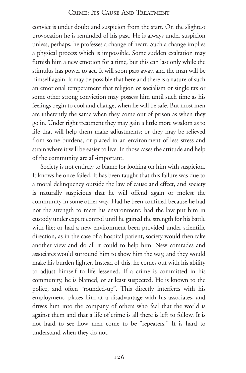## CRIME: ITS CAUSE AND TREATMENT

convict is under doubt and suspicion from the start. On the slightest provocation he is reminded of his past. He is always under suspicion unless, perhaps, he professes a change of heart. Such a change implies a physical process which is impossible. Some sudden exaltation may furnish him a new emotion for a time, but this can last only while the stimulus has power to act. It will soon pass away, and the man will be himself again. It may be possible that here and there is a nature of such an emotional temperament that religion or socialism or single tax or some other strong conviction may possess him until such time as his feelings begin to cool and change, when he will be safe. But most men are inherently the same when they come out of prison as when they go in. Under right treatment they may gain a little more wisdom as to life that will help them make adjustments; or they may be relieved from some burdens, or placed in an environment of less stress and strain where it will be easier to live. In those cases the attitude and help of the community are all-important.

Society is not entirely to blame for looking on him with suspicion. It knows he once failed. It has been taught that this failure was due to a moral delinquency outside the law of cause and effect, and society is naturally suspicious that he will offend again or molest the community in some other way. Had he been confined because he had not the strength to meet his environment; had the law put him in custody under expert control until he gained the strength for his battle with life; or had a new environment been provided under scientific direction, as in the case of a hospital patient, society would then take another view and do all it could to help him. New comrades and associates would surround him to show him the way, and they would make his burden lighter. Instead of this, he comes out with his ability to adjust himself to life lessened. If a crime is committed in his community, he is blamed, or at least suspected. He is known to the police, and often "rounded-up". This directly interferes with his employment, places him at a disadvantage with his associates, and drives him into the company of others who feel that the world is against them and that a life of crime is all there is left to follow. It is not hard to see how men come to be "repeaters." It is hard to understand when they do not.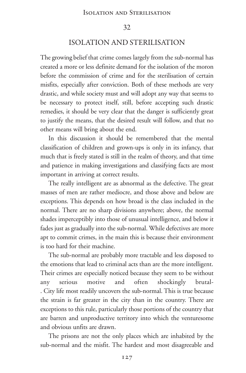#### Isolation and Sterilisation

#### 32

# ISOLATION AND STERILISATION

The growing belief that crime comes largely from the sub-normal has created a more or less definite demand for the isolation of the moron before the commission of crime and for the sterilisation of certain misfits, especially after conviction. Both of these methods are very drastic, and while society must and will adopt any way that seems to be necessary to protect itself, still, before accepting such drastic remedies, it should be very clear that the danger is sufficiently great to justify the means, that the desired result will follow, and that no other means will bring about the end.

In this discussion it should be remembered that the mental classification of children and grown-ups is only in its infancy, that much that is freely stated is still in the realm of theory, and that time and patience in making investigations and classifying facts are most important in arriving at correct results.

The really intelligent are as abnormal as the defective. The great masses of men are rather mediocre, and those above and below are exceptions. This depends on how broad is the class included in the normal. There are no sharp divisions anywhere; above, the normal shades imperceptibly into those of unusual intelligence, and below it fades just as gradually into the sub-normal. While defectives are more apt to commit crimes, in the main this is because their environment is too hard for their machine.

The sub-normal are probably more tractable and less disposed to the emotions that lead to criminal acts than are the more intelligent. Their crimes are especially noticed because they seem to be without any serious motive and often shockingly brutal- . City life most readily uncovers the sub-normal. This is true because the strain is far greater in the city than in the country. There are exceptions to this rule, particularly those portions of the country that are barren and unproductive territory into which the venturesome and obvious unfits are drawn.

The prisons are not the only places which are inhabited by the sub-normal and the misfit. The hardest and most disagreeable and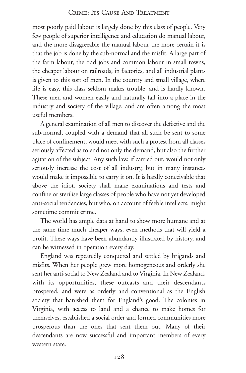most poorly paid labour is largely done by this class of people. Very few people of superior intelligence and education do manual labour, and the more disagreeable the manual labour the more certain it is that the job is done by the sub-normal and the misfit. A large part of the farm labour, the odd jobs and common labour in small towns, the cheaper labour on railroads, in factories, and all industrial plants is given to this sort of men. In the country and small village, where life is easy, this class seldom makes trouble, and is hardly known. These men and women easily and naturally fall into a place in the industry and society of the village, and are often among the most useful members.

A general examination of all men to discover the defective and the sub-normal, coupled with a demand that all such be sent to some place of confinement, would meet with such a protest from all classes seriously affected as to end not only the demand, but also the further agitation of the subject. Any such law, if carried out, would not only seriously increase the cost of all industry, but in many instances would make it impossible to carry it on. It is hardly conceivable that above the idiot, society shall make examinations and tests and confine or sterilise large classes of people who have not yet developed anti-social tendencies, but who, on account of feeble intellects, might sometime commit crime.

The world has ample data at hand to show more humane and at the same time much cheaper ways, even methods that will yield a profit. These ways have been abundantly illustrated by history, and can be witnessed in operation every day.

England was repeatedly conquered and settled by brigands and misfits. When her people grew more homogeneous and orderly she sent her anti-social to New Zealand and to Virginia. In New Zealand, with its opportunities, these outcasts and their descendants prospered, and were as orderly and conventional as the English society that banished them for England's good. The colonies in Virginia, with access to land and a chance to make homes for themselves, established a social order and formed communities more prosperous than the ones that sent them out. Many of their descendants are now successful and important members of every western state.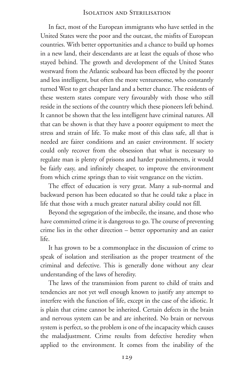## Isolation and Sterilisation

In fact, most of the European immigrants who have settled in the United States were the poor and the outcast, the misfits of European countries. With better opportunities and a chance to build up homes in a new land, their descendants are at least the equals of those who stayed behind. The growth and development of the United States westward from the Atlantic seaboard has been effected by the poorer and less intelligent, but often the more venturesome, who constantly turned West to get cheaper land and a better chance. The residents of these western states compare very favourably with those who still reside in the sections of the country which these pioneers left behind. It cannot be shown that the less intelligent have criminal natures. All that can be shown is that they have a poorer equipment to meet the stress and strain of life. To make most of this class safe, all that is needed are fairer conditions and an easier environment. If society could only recover from the obsession that what is necessary to regulate man is plenty of prisons and harder punishments, it would be fairly easy, and infinitely cheaper, to improve the environment from which crime springs than to visit vengeance on the victim.

The effect of education is very great. Many a sub-normal and backward person has been educated so that he could take a place in life that those with a much greater natural ability could not fill.

Beyond the segregation of the imbecile, the insane, and those who have committed crime it is dangerous to go. The course of preventing crime lies in the other direction – better opportunity and an easier life.

It has grown to be a commonplace in the discussion of crime to speak of isolation and sterilisation as the proper treatment of the criminal and defective. This is generally done without any clear understanding of the laws of heredity.

The laws of the transmission from parent to child of traits and tendencies are not yet well enough known to justify any attempt to interfere with the function of life, except in the case of the idiotic. It is plain that crime cannot be inherited. Certain defects in the brain and nervous system can be and are inherited. No brain or nervous system is perfect, so the problem is one of the incapacity which causes the maladjustment. Crime results from defective heredity when applied to the environment. It comes from the inability of the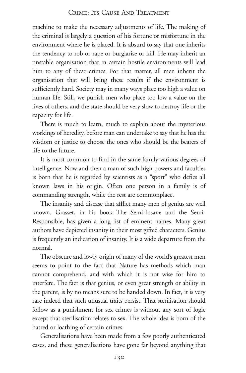machine to make the necessary adjustments of life. The making of the criminal is largely a question of his fortune or misfortune in the environment where he is placed. It is absurd to say that one inherits the tendency to rob or rape or burglarise or kill. He may inherit an unstable organisation that in certain hostile environments will lead him to any of these crimes. For that matter, all men inherit the organisation that will bring these results if the environment is sufficiently hard. Society may in many ways place too high a value on human life. Still, we punish men who place too low a value on the lives of others, and the state should be very slow to destroy life or the capacity for life.

There is much to learn, much to explain about the mysterious workings of heredity, before man can undertake to say that he has the wisdom or justice to choose the ones who should be the bearers of life to the future.

It is most common to find in the same family various degrees of intelligence. Now and then a man of such high powers and faculties is born that he is regarded by scientists as a "sport" who defies all known laws in his origin. Often one person in a family is of commanding strength, while the rest are commonplace.

The insanity and disease that afflict many men of genius are well known. Grasset, in his book The Semi-Insane and the Semi-Responsible, has given a long list of eminent names. Many great authors have depicted insanity in their most gifted characters. Genius is frequently an indication of insanity. It is a wide departure from the normal.

The obscure and lowly origin of many of the world's greatest men seems to point to the fact that Nature has methods which man cannot comprehend, and with which it is not wise for him to interfere. The fact is that genius, or even great strength or ability in the parent, is by no means sure to be handed down. In fact, it is very rare indeed that such unusual traits persist. That sterilisation should follow as a punishment for sex crimes is without any sort of logic except that sterilisation relates to sex. The whole idea is born of the hatred or loathing of certain crimes.

Generalisations have been made from a few poorly authenticated cases, and these generalisations have gone far beyond anything that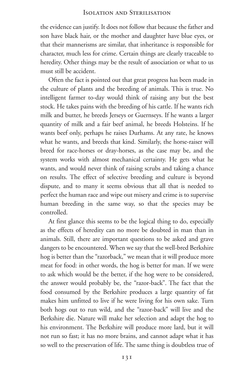## Isolation and Sterilisation

the evidence can justify. It does not follow that because the father and son have black hair, or the mother and daughter have blue eyes, or that their mannerisms are similar, that inheritance is responsible for character, much less for crime. Certain things are clearly traceable to heredity. Other things may be the result of association or what to us must still be accident.

Often the fact is pointed out that great progress has been made in the culture of plants and the breeding of animals. This is true. No intelligent farmer to-day would think of raising any but the best stock. He takes pains with the breeding of his cattle. If he wants rich milk and butter, he breeds Jerseys or Guernseys. If he wants a larger quantity of milk and a fair beef animal, he breeds Holsteins. If he wants beef only, perhaps he raises Durhams. At any rate, he knows what he wants, and breeds that kind. Similarly, the horse-raiser will breed for race-horses or dray-horses, as the case may be, and the system works with almost mechanical certainty. He gets what he wants, and would never think of raising scrubs and taking a chance on results. The effect of selective breeding and culture is beyond dispute, and to many it seems obvious that all that is needed to perfect the human race and wipe out misery and crime is to supervise human breeding in the same way, so that the species may be controlled.

At first glance this seems to be the logical thing to do, especially as the effects of heredity can no more be doubted in man than in animals. Still, there are important questions to be asked and grave dangers to be encountered. When we say that the well-bred Berkshire hog is better than the "razorback," we mean that it will produce more meat for food: in other words, the hog is better for man. If we were to ask which would be the better, if the hog were to be considered, the answer would probably be, the "razor-back". The fact that the food consumed by the Berkshire produces a large quantity of fat makes him unfitted to live if he were living for his own sake. Turn both hogs out to run wild, and the "razor-back" will live and the Berkshire die. Nature will make her selection and adapt the hog to his environment. The Berkshire will produce more lard, but it will not run so fast; it has no more brains, and cannot adapt what it has so well to the preservation of life. The same thing is doubtless true of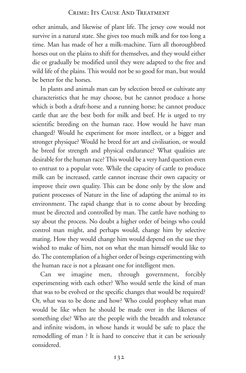## CRIME: ITS CAUSE AND TREATMENT

other animals, and likewise of plant life. The jersey cow would not survive in a natural state. She gives too much milk and for too long a time. Man has made of her a milk-machine. Turn all thoroughbred horses out on the plains to shift for themselves, and they would either die or gradually be modified until they were adapted to the free and wild life of the plains. This would not be so good for man, but would be better for the horses.

In plants and animals man can by selection breed or cultivate any characteristics that he may choose, but he cannot produce a horse which is both a draft-horse and a running horse; he cannot produce cattle that are the best both for milk and beef. He is urged to try scientific breeding on the human race. How would he have man changed? Would he experiment for more intellect, or a bigger and stronger physique? Would he breed for art and civilisation, or would he breed for strength and physical endurance? What qualities are desirable for the human race? This would be a very hard question even to entrust to a popular vote. While the capacity of cattle to produce milk can be increased, cattle cannot increase their own capacity or improve their own quality. This can be done only by the slow and patient processes of Nature in the line of adapting the animal to its environment. The rapid change that is to come about by breeding must be directed and controlled by man. The cattle have nothing to say about the process. No doubt a higher order of beings who could control man might, and perhaps would, change him by selective mating. How they would change him would depend on the use they wished to make of him, not on what the man himself would like to do. The contemplation of a higher order of beings experimenting with the human race is not a pleasant one for intelligent men.

Can we imagine men, through government, forcibly experimenting with each other? Who would settle the kind of man that was to be evolved or the specific changes that would be required? Or, what was to be done and how? Who could prophesy what man would be like when he should be made over in the likeness of something else? Who are the people with the breadth and tolerance and infinite wisdom, in whose hands it would be safe to place the remodelling of man ? It is hard to conceive that it can be seriously considered.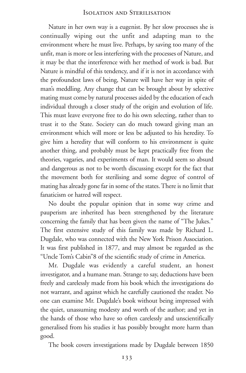## Isolation and Sterilisation

Nature in her own way is a eugenist. By her slow processes she is continually wiping out the unfit and adapting man to the environment where he must live. Perhaps, by saving too many of the unfit, man is more or less interfering with the processes of Nature, and it may be that the interference with her method of work is bad. But Nature is mindful of this tendency, and if it is not in accordance with the profoundest laws of being, Nature will have her way in spite of man's meddling. Any change that can be brought about by selective mating must come by natural processes aided by the education of each individual through a closer study of the origin and evolution of life. This must leave everyone free to do his own selecting, rather than to trust it to the State. Society can do much toward giving man an environment which will more or less be adjusted to his heredity. To give him a heredity that will conform to his environment is quite another thing, and probably must be kept practically free from the theories, vagaries, and experiments of man. It would seem so absurd and dangerous as not to be worth discussing except for the fact that the movement both for sterilising and some degree of control of mating has already gone far in some of the states. There is no limit that fanaticism or hatred will respect.

No doubt the popular opinion that in some way crime and pauperism are inherited has been strengthened by the literature concerning the family that has been given the name of "The Jukes." The first extensive study of this family was made by Richard L. Dugdale, who was connected with the New York Prison Association. It was first published in 1877, and may almost be regarded as the "Uncle Tom's Cabin"8 of the scientific study of crime in America.

Mr. Dugdale was evidently a careful student, an honest investigator, and a humane man. Strange to say, deductions have been freely and carelessly made from his book which the investigations do not warrant, and against which he carefully cautioned the reader. No one can examine Mr. Dugdale's book without being impressed with the quiet, unassuming modesty and worth of the author; and yet in the hands of those who have so often carelessly and unscientifically generalised from his studies it has possibly brought more harm than good.

The book covers investigations made by Dugdale between 1850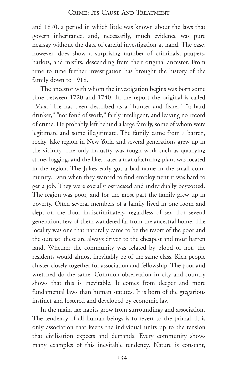and 1870, a period in which little was known about the laws that govern inheritance, and, necessarily, much evidence was pure hearsay without the data of careful investigation at hand. The case, however, does show a surprising number of criminals, paupers, harlots, and misfits, descending from their original ancestor. From time to time further investigation has brought the history of the family down to 1918.

The ancestor with whom the investigation begins was born some time between 1720 and 1740. In the report the original is called "Max." He has been described as a "hunter and fisher," "a hard drinker," "not fond of work," fairly intelligent, and leaving no record of crime. He probably left behind a large family, some of whom were legitimate and some illegitimate. The family came from a barren, rocky, lake region in New York, and several generations grew up in the vicinity. The only industry was rough work such as quarrying stone, logging, and the like. Later a manufacturing plant was located in the region. The Jukes early got a bad name in the small community. Even when they wanted to find employment it was hard to get a job. They were socially ostracised and individually boycotted. The region was poor, and for the most part the family grew up in poverty. Often several members of a family lived in one room and slept on the floor indiscriminately, regardless of sex. For several generations few of them wandered far from the ancestral home. The locality was one that naturally came to be the resort of the poor and the outcast; these are always driven to the cheapest and most barren land. Whether the community was related by blood or not, the residents would almost inevitably be of the same class. Rich people cluster closely together for association and fellowship. The poor and wretched do the same. Common observation in city and country shows that this is inevitable. It comes from deeper and more fundamental laws than human statutes. It is born of the gregarious instinct and fostered and developed by economic law.

In the main, lax habits grow from surroundings and association. The tendency of all human beings is to revert to the primal. It is only association that keeps the individual units up to the tension that civilisation expects and demands. Every community shows many examples of this inevitable tendency. Nature is constant,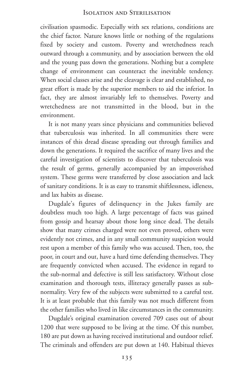## Isolation and Sterilisation

civilisation spasmodic. Especially with sex relations, conditions are the chief factor. Nature knows little or nothing of the regulations fixed by society and custom. Poverty and wretchedness reach outward through a community, and by association between the old and the young pass down the generations. Nothing but a complete change of environment can counteract the inevitable tendency. When social classes arise and the cleavage is clear and established, no great effort is made by the superior members to aid the inferior. In fact, they are almost invariably left to themselves. Poverty and wretchedness are not transmitted in the blood, but in the environment.

It is not many years since physicians and communities believed that tuberculosis was inherited. In all communities there were instances of this dread disease spreading out through families and down the generations. It required the sacrifice of many lives and the careful investigation of scientists to discover that tuberculosis was the result of germs, generally accompanied by an impoverished system. These germs were transferred by close association and lack of sanitary conditions. It is as easy to transmit shiftlessness, idleness, and lax habits as disease.

Dugdale's figures of delinquency in the Jukes family are doubtless much too high. A large percentage of facts was gained from gossip and hearsay about those long since dead. The details show that many crimes charged were not even proved, others were evidently not crimes, and in any small community suspicion would rest upon a member of this family who was accused. Then, too, the poor, in court and out, have a hard time defending themselves. They are frequently convicted when accused. The evidence in regard to the sub-normal and defective is still less satisfactory. Without close examination and thorough tests, illiteracy generally passes as subnormality. Very few of the subjects were submitted to a careful test. It is at least probable that this family was not much different from the other families who lived in like circumstances in the community.

Dugdale's original examination covered 709 cases out of about 1200 that were supposed to be living at the time. Of this number, 180 are put down as having received institutional and outdoor relief. The criminals and offenders are put down at 140. Habitual thieves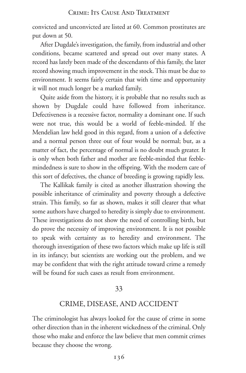convicted and unconvicted are listed at 60. Common prostitutes are put down at 50.

After Dugdale's investigation, the family, from industrial and other conditions, became scattered and spread out over many states. A record has lately been made of the descendants of this family, the later record showing much improvement in the stock. This must be due to environment. It seems fairly certain that with time and opportunity it will not much longer be a marked family.

Quite aside from the history, it is probable that no results such as shown by Dugdale could have followed from inheritance. Defectiveness is a recessive factor, normality a dominant one. If such were not true, this would be a world of feeble-minded. If the Mendelian law held good in this regard, from a union of a defective and a normal person three out of four would be normal; but, as a matter of fact, the percentage of normal is no doubt much greater. It is only when both father and mother are feeble-minded that feeblemindedness is sure to show in the offspring. With the modern care of this sort of defectives, the chance of breeding is growing rapidly less.

The Kallikak family is cited as another illustration showing the possible inheritance of criminality and poverty through a defective strain. This family, so far as shown, makes it still clearer that what some authors have charged to heredity is simply due to environment. These investigations do not show the need of controlling birth, but do prove the necessity of improving environment. It is not possible to speak with certainty as to heredity and environment. The thorough investigation of these two factors which make up life is still in its infancy; but scientists are working out the problem, and we may be confident that with the right attitude toward crime a remedy will be found for such cases as result from environment.

## 33

# CRIME, DISEASE, AND ACCIDENT

The criminologist has always looked for the cause of crime in some other direction than in the inherent wickedness of the criminal. Only those who make and enforce the law believe that men commit crimes because they choose the wrong.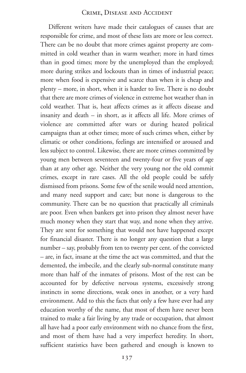# Crime, Disease and Accident

Different writers have made their catalogues of causes that are responsible for crime, and most of these lists are more or less correct. There can be no doubt that more crimes against property are committed in cold weather than in warm weather; more in hard times than in good times; more by the unemployed than the employed; more during strikes and lockouts than in times of industrial peace; more when food is expensive and scarce than when it is cheap and plenty – more, in short, when it is harder to live. There is no doubt that there are more crimes of violence in extreme hot weather than in cold weather. That is, heat affects crimes as it affects disease and insanity and death – in short, as it affects all life. More crimes of violence are committed after wars or during heated political campaigns than at other times; more of such crimes when, either by climatic or other conditions, feelings are intensified or aroused and less subject to control. Likewise, there are more crimes committed by young men between seventeen and twenty-four or five years of age than at any other age. Neither the very young nor the old commit crimes, except in rare cases. All the old people could be safely dismissed from prisons. Some few of the senile would need attention, and many need support and care; but none is dangerous to the community. There can be no question that practically all criminals are poor. Even when bankers get into prison they almost never have much money when they start that way, and none when they arrive. They are sent for something that would not have happened except for financial disaster. There is no longer any question that a large number – say, probably from ten to twenty per cent. of the convicted – are, in fact, insane at the time the act was committed, and that the demented, the imbecile, and the clearly sub-normal constitute many more than half of the inmates of prisons. Most of the rest can be accounted for by defective nervous systems, excessively strong instincts in some directions, weak ones in another, or a very hard environment. Add to this the facts that only a few have ever had any education worthy of the name, that most of them have never been trained to make a fair living by any trade or occupation, that almost all have had a poor early environment with no chance from the first, and most of them have had a very imperfect heredity. In short, sufficient statistics have been gathered and enough is known to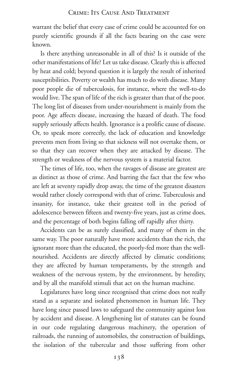warrant the belief that every case of crime could be accounted for on purely scientific grounds if all the facts bearing on the case were known.

Is there anything unreasonable in all of this? Is it outside of the other manifestations of life? Let us take disease. Clearly this is affected by heat and cold; beyond question it is largely the result of inherited susceptibilities. Poverty or wealth has much to do with disease. Many poor people die of tuberculosis, for instance, where the well-to-do would live. The span of life of the rich is greater than that of the poor. The long list of diseases from under-nourishment is mainly from the poor. Age affects disease, increasing the hazard of death. The food supply seriously affects health. Ignorance is a prolific cause of disease. Or, to speak more correctly, the lack of education and knowledge prevents men from living so that sickness will not overtake them, or so that they can recover when they are attacked by disease. The strength or weakness of the nervous system is a material factor.

The times of life, too, when the ravages of disease are greatest are as distinct as those of crime. And barring the fact that the few who are left at seventy rapidly drop away, the time of the greatest disasters would rather closely correspond with that of crime. Tuberculosis and insanity, for instance, take their greatest toll in the period of adolescence between fifteen and twenty-five years, just as crime does, and the percentage of both begins falling off rapidly after thirty.

Accidents can be as surely classified, and many of them in the same way. The poor naturally have more accidents than the rich, the ignorant more than the educated, the poorly-fed more than the wellnourished. Accidents are directly affected by climatic conditions; they are affected by human temperaments, by the strength and weakness of the nervous system, by the environment, by heredity, and by all the manifold stimuli that act on the human machine.

Legislatures have long since recognised that crime does not really stand as a separate and isolated phenomenon in human life. They have long since passed laws to safeguard the community against loss by accident and disease. A lengthening list of statutes can be found in our code regulating dangerous machinery, the operation of railroads, the running of automobiles, the construction of buildings, the isolation of the tubercular and those suffering from other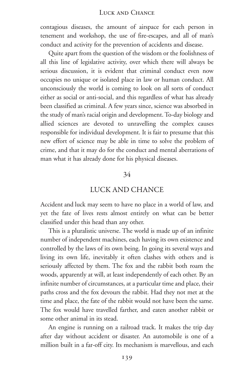#### Luck and Chance

contagious diseases, the amount of airspace for each person in tenement and workshop, the use of fire-escapes, and all of man's conduct and activity for the prevention of accidents and disease.

Quite apart from the question of the wisdom or the foolishness of all this line of legislative activity, over which there will always be serious discussion, it is evident that criminal conduct even now occupies no unique or isolated place in law or human conduct. All unconsciously the world is coming to look on all sorts of conduct either as social or anti-social, and this regardless of what has already been classified as criminal. A few years since, science was absorbed in the study of man's racial origin and development. To-day biology and allied sciences are devoted to unravelling the complex causes responsible for individual development. It is fair to presume that this new effort of science may be able in time to solve the problem of crime, and that it may do for the conduct and mental aberrations of man what it has already done for his physical diseases.

#### 34

## LUCK AND CHANCE

Accident and luck may seem to have no place in a world of law, and yet the fate of lives rests almost entirely on what can be better classified under this head than any other.

This is a pluralistic universe. The world is made up of an infinite number of independent machines, each having its own existence and controlled by the laws of its own being. In going its several ways and living its own life, inevitably it often clashes with others and is seriously affected by them. The fox and the rabbit both roam the woods, apparently at will, at least independently of each other. By an infinite number of circumstances, at a particular time and place, their paths cross and the fox devours the rabbit. Had they not met at the time and place, the fate of the rabbit would not have been the same. The fox would have travelled farther, and eaten another rabbit or some other animal in its stead.

An engine is running on a railroad track. It makes the trip day after day without accident or disaster. An automobile is one of a million built in a far-off city. Its mechanism is marvellous, and each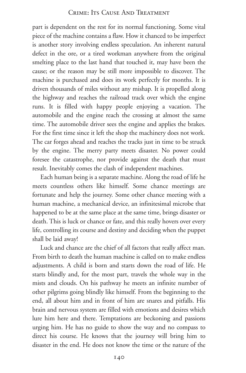part is dependent on the rest for its normal functioning. Some vital piece of the machine contains a flaw. How it chanced to be imperfect is another story involving endless speculation. An inherent natural defect in the ore, or a tired workman anywhere from the original smelting place to the last hand that touched it, may have been the cause; or the reason may be still more impossible to discover. The machine is purchased and does its work perfectly for months. It is driven thousands of miles without any mishap. It is propelled along the highway and reaches the railroad track over which the engine runs. It is filled with happy people enjoying a vacation. The automobile and the engine reach the crossing at almost the same time. The automobile driver sees the engine and applies the brakes. For the first time since it left the shop the machinery does not work. The car forges ahead and reaches the tracks just in time to be struck by the engine. The merry party meets disaster. No power could foresee the catastrophe, nor provide against the death that must result. Inevitably comes the clash of independent machines.

Each human being is a separate machine. Along the road of life he meets countless others like himself. Some chance meetings are fortunate and help the journey. Some other chance meeting with a human machine, a mechanical device, an infinitesimal microbe that happened to be at the same place at the same time, brings disaster or death. This is luck or chance or fate, and this really hovers over every life, controlling its course and destiny and deciding when the puppet shall be laid away!

Luck and chance are the chief of all factors that really affect man. From birth to death the human machine is called on to make endless adjustments. A child is born and starts down the road of life. He starts blindly and, for the most part, travels the whole way in the mists and clouds. On his pathway he meets an infinite number of other pilgrims going blindly like himself. From the beginning to the end, all about him and in front of him are snares and pitfalls. His brain and nervous system are filled with emotions and desires which lure him here and there. Temptations are beckoning and passions urging him. He has no guide to show the way and no compass to direct his course. He knows that the journey will bring him to disaster in the end. He does not know the time or the nature of the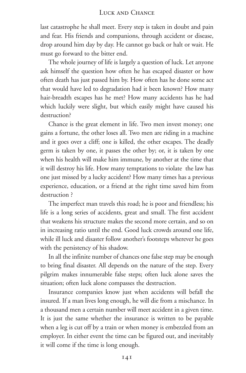#### Luck and Chance

last catastrophe he shall meet. Every step is taken in doubt and pain and fear. His friends and companions, through accident or disease, drop around him day by day. He cannot go back or halt or wait. He must go forward to the bitter end.

The whole journey of life is largely a question of luck. Let anyone ask himself the question how often he has escaped disaster or how often death has just passed him by. How often has he done some act that would have led to degradation had it been known? How many hair-breadth escapes has he met? How many accidents has he had which luckily were slight, but which easily might have caused his destruction?

Chance is the great element in life. Two men invest money; one gains a fortune, the other loses all. Two men are riding in a machine and it goes over a cliff; one is killed, the other escapes. The deadly germ is taken by one, it passes the other by; or, it is taken by one when his health will make him immune, by another at the time that it will destroy his life. How many temptations to violate the law has one just missed by a lucky accident? How many times has a previous experience, education, or a friend at the right time saved him from destruction ?

The imperfect man travels this road; he is poor and friendless; his life is a long series of accidents, great and small. The first accident that weakens his structure makes the second more certain, and so on in increasing ratio until the end. Good luck crowds around one life, while ill luck and disaster follow another's footsteps wherever he goes with the persistency of his shadow.

In all the infinite number of chances one false step may be enough to bring final disaster. All depends on the nature of the step. Every pilgrim makes innumerable false steps; often luck alone saves the situation; often luck alone compasses the destruction.

Insurance companies know just when accidents will befall the insured. If a man lives long enough, he will die from a mischance. In a thousand men a certain number will meet accident in a given time. It is just the same whether the insurance is written to be payable when a leg is cut off by a train or when money is embezzled from an employer. In either event the time can be figured out, and inevitably it will come if the time is long enough.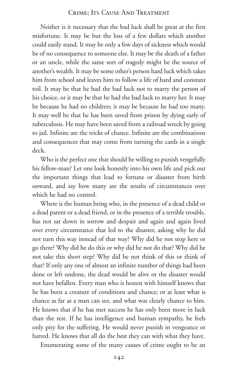Neither is it necessary that the bad luck shall be great at the first misfortune. It may be but the loss of a few dollars which another could easily stand. It may be only a few days of sickness which would be of no consequence to someone else. It may be the death of a father or an uncle, while the same sort of tragedy might be the source of another's wealth. It may be some other's person hard luck which takes him from school and leaves him to follow a life of hard and constant toil. It may be that he had the bad luck not to marry the person of his choice, or it may be that he had the bad luck to marry her. It may be because he had no children; it may be because he had too many. It may well be that he has been saved from prison by dying early of tuberculosis. He may have been saved from a railroad wreck by going to jail. Infinite are the tricks of chance. Infinite are the combinations and consequences that may come from turning the cards in a single deck.

Who is the perfect one that should be willing to punish vengefully his fellow-man? Let one look honestly into his own life and pick out the important things that lead to fortune or disaster from birth onward, and say how many are the results of circumstances over which he had no control.

Where is the human being who, in the presence of a dead child or a dead parent or a dead friend, or in the presence of a terrible trouble, has not sat down in sorrow and despair and again and again lived over every circumstance that led to the disaster, asking why he did not turn this way instead of that way? Why did he not stop here or go there? Why did he do this or why did he not do that? Why did he not take this short step? Why did he not think of this or think of that? If only any one of almost an infinite number of things had been done or left undone, the dead would be alive or the disaster would not have befallen. Every man who is honest with himself knows that he has been a creature of conditions and chance; or at least what is chance as far as a man can see, and what was clearly chance to him. He knows that if he has met success he has only been more in luck than the rest. If he has intelligence and human sympathy, he feels only pity for the suffering. He would never punish in vengeance or hatred. He knows that all do the best they can with what they have.

Enumerating some of the many causes of crime ought to be an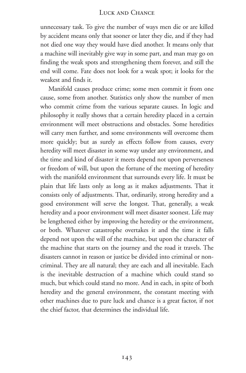# Luck and Chance

unnecessary task. To give the number of ways men die or are killed by accident means only that sooner or later they die, and if they had not died one way they would have died another. It means only that a machine will inevitably give way in some part, and man may go on finding the weak spots and strengthening them forever, and still the end will come. Fate does not look for a weak spot; it looks for the weakest and finds it.

Manifold causes produce crime; some men commit it from one cause, some from another. Statistics only show the number of men who commit crime from the various separate causes. In logic and philosophy it really shows that a certain heredity placed in a certain environment will meet obstructions and obstacles. Some heredities will carry men further, and some environments will overcome them more quickly; but as surely as effects follow from causes, every heredity will meet disaster in some way under any environment, and the time and kind of disaster it meets depend not upon perverseness or freedom of will, but upon the fortune of the meeting of heredity with the manifold environment that surrounds every life. It must be plain that life lasts only as long as it makes adjustments. That it consists only of adjustments. That, ordinarily, strong heredity and a good environment will serve the longest. That, generally, a weak heredity and a poor environment will meet disaster soonest. Life may be lengthened either by improving the heredity or the environment, or both. Whatever catastrophe overtakes it and the time it falls depend not upon the will of the machine, but upon the character of the machine that starts on the journey and the road it travels. The disasters cannot in reason or justice be divided into criminal or noncriminal. They are all natural; they are each and all inevitable. Each is the inevitable destruction of a machine which could stand so much, but which could stand no more. And in each, in spite of both heredity and the general environment, the constant meeting with other machines due to pure luck and chance is a great factor, if not the chief factor, that determines the individual life.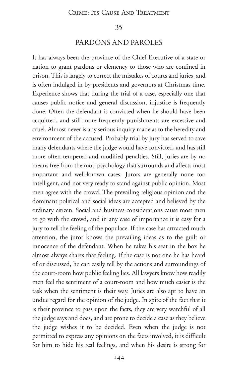#### 35

# PARDONS AND PAROLES

It has always been the province of the Chief Executive of a state or nation to grant pardons or clemency to those who are confined in prison. This is largely to correct the mistakes of courts and juries, and is often indulged in by presidents and governors at Christmas time. Experience shows that during the trial of a case, especially one that causes public notice and general discussion, injustice is frequently done. Often the defendant is convicted when he should have been acquitted, and still more frequently punishments are excessive and cruel. Almost never is any serious inquiry made as to the heredity and environment of the accused. Probably trial by jury has served to save many defendants where the judge would have convicted, and has still more often tempered and modified penalties. Still, juries are by no means free from the mob psychology that surrounds and affects most important and well-known cases. Jurors are generally none too intelligent, and not very ready to stand against public opinion. Most men agree with the crowd. The prevailing religious opinion and the dominant political and social ideas are accepted and believed by the ordinary citizen. Social and business considerations cause most men to go with the crowd, and in any case of importance it is easy for a jury to tell the feeling of the populace. If the case has attracted much attention, the juror knows the prevailing ideas as to the guilt or innocence of the defendant. When he takes his seat in the box he almost always shares that feeling. If the case is not one he has heard of or discussed, he can easily tell by the actions and surroundings of the court-room how public feeling lies. All lawyers know how readily men feel the sentiment of a court-room and how much easier is the task when the sentiment is their way. Juries are also apt to have an undue regard for the opinion of the judge. In spite of the fact that it is their province to pass upon the facts, they are very watchful of all the judge says and does, and are prone to decide a case as they believe the judge wishes it to be decided. Even when the judge is not permitted to express any opinions on the facts involved, it is difficult for him to hide his real feelings, and when his desire is strong for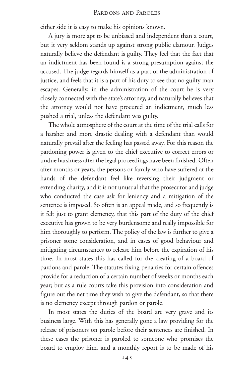#### PARDONS AND PAROLES

either side it is easy to make his opinions known.

A jury is more apt to be unbiased and independent than a court, but it very seldom stands up against strong public clamour. Judges naturally believe the defendant is guilty. They feel that the fact that an indictment has been found is a strong presumption against the accused. The judge regards himself as a part of the administration of justice, and feels that it is a part of his duty to see that no guilty man escapes. Generally, in the administration of the court he is very closely connected with the state's attorney, and naturally believes that the attorney would not have procured an indictment, much less pushed a trial, unless the defendant was guilty.

The whole atmosphere of the court at the time of the trial calls for a harsher and more drastic dealing with a defendant than would naturally prevail after the feeling has passed away. For this reason the pardoning power is given to the chief executive to correct errors or undue harshness after the legal proceedings have been finished. Often after months or years, the persons or family who have suffered at the hands of the defendant feel like reversing their judgment or extending charity, and it is not unusual that the prosecutor and judge who conducted the case ask for leniency and a mitigation of the sentence is imposed. So often is an appeal made, and so frequently is it felt just to grant clemency, that this part of the duty of the chief executive has grown to be very burdensome and really impossible for him thoroughly to perform. The policy of the law is further to give a prisoner some consideration, and in cases of good behaviour and mitigating circumstances to release him before the expiration of his time. In most states this has called for the creating of a board of pardons and parole. The statutes fixing penalties for certain offences provide for a reduction of a certain number of weeks or months each year; but as a rule courts take this provision into consideration and figure out the net time they wish to give the defendant, so that there is no clemency except through pardon or parole.

In most states the duties of the board are very grave and its business large. With this has generally gone a law providing for the release of prisoners on parole before their sentences are finished. In these cases the prisoner is paroled to someone who promises the board to employ him, and a monthly report is to be made of his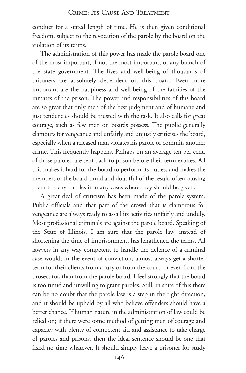conduct for a stated length of time. He is then given conditional freedom, subject to the revocation of the parole by the board on the violation of its terms.

The administration of this power has made the parole board one of the most important, if not the most important, of any branch of the state government. The lives and well-being of thousands of prisoners are absolutely dependent on this board. Even more important are the happiness and well-being of the families of the inmates of the prison. The power and responsibilities of this board are so great that only men of the best judgment and of humane and just tendencies should be trusted with the task. It also calls for great courage, such as few men on boards possess. The public generally clamours for vengeance and unfairly and unjustly criticises the board, especially when a released man violates his parole or commits another crime. This frequently happens. Perhaps on an average ten per cent. of those paroled are sent back to prison before their term expires. All this makes it hard for the board to perform its duties, and makes the members of the board timid and doubtful of the result, often causing them to deny paroles in many cases where they should be given.

A great deal of criticism has been made of the parole system. Public officials and that part of the crowd that is clamorous for vengeance are always ready to assail its activities unfairly and unduly. Most professional criminals are against the parole board. Speaking of the State of Illinois, I am sure that the parole law, instead of shortening the time of imprisonment, has lengthened the terms. All lawyers in any way competent to handle the defence of a criminal case would, in the event of conviction, almost always get a shorter term for their clients from a jury or from the court, or even from the prosecutor, than from the parole board. I feel strongly that the board is too timid and unwilling to grant paroles. Still, in spite of this there can be no doubt that the parole law is a step in the right direction, and it should be upheld by all who believe offenders should have a better chance. If human nature in the administration of law could be relied on; if there were some method of getting men of courage and capacity with plenty of competent aid and assistance to take charge of paroles and prisons, then the ideal sentence should be one that fixed no time whatever. It should simply leave a prisoner for study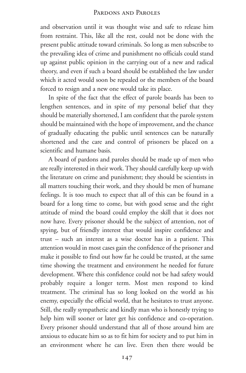# PARDONS AND PAROLES

and observation until it was thought wise and safe to release him from restraint. This, like all the rest, could not be done with the present public attitude toward criminals. So long as men subscribe to the prevailing idea of crime and punishment no officials could stand up against public opinion in the carrying out of a new and radical theory, and even if such a board should be established the law under which it acted would soon be repealed or the members of the board forced to resign and a new one would take its place.

In spite of the fact that the effect of parole boards has been to lengthen sentences, and in spite of my personal belief that they should be materially shortened, I am confident that the parole system should be maintained with the hope of improvement, and the chance of gradually educating the public until sentences can be naturally shortened and the care and control of prisoners be placed on a scientific and humane basis.

A board of pardons and paroles should be made up of men who are really interested in their work. They should carefully keep up with the literature on crime and punishment; they should be scientists in all matters touching their work, and they should be men of humane feelings. It is too much to expect that all of this can be found in a board for a long time to come, but with good sense and the right attitude of mind the board could employ the skill that it does not now have. Every prisoner should be the subject of attention, not of spying, but of friendly interest that would inspire confidence and trust – such an interest as a wise doctor has in a patient. This attention would in most cases gain the confidence of the prisoner and make it possible to find out how far he could be trusted, at the same time showing the treatment and environment he needed for future development. Where this confidence could not be had safety would probably require a longer term. Most men respond to kind treatment. The criminal has so long looked on the world as his enemy, especially the official world, that he hesitates to trust anyone. Still, the really sympathetic and kindly man who is honestly trying to help him will sooner or later get his confidence and co-operation. Every prisoner should understand that all of those around him are anxious to educate him so as to fit him for society and to put him in an environment where he can live. Even then there would be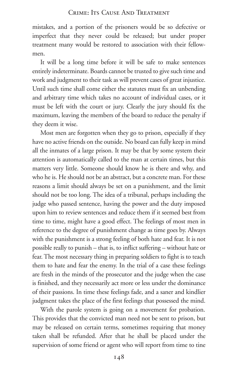mistakes, and a portion of the prisoners would be so defective or imperfect that they never could be released; but under proper treatment many would be restored to association with their fellowmen.

It will be a long time before it will be safe to make sentences entirely indeterminate. Boards cannot be trusted to give such time and work and judgment to their task as will prevent cases of great injustice. Until such time shall come either the statutes must fix an unbending and arbitrary time which takes no account of individual cases, or it must be left with the court or jury. Clearly the jury should fix the maximum, leaving the members of the board to reduce the penalty if they deem it wise.

Most men are forgotten when they go to prison, especially if they have no active friends on the outside. No board can fully keep in mind all the inmates of a large prison. It may be that by some system their attention is automatically called to the man at certain times, but this matters very little. Someone should know he is there and why, and who he is. He should not be an abstract, but a concrete man. For these reasons a limit should always be set on a punishment, and the limit should not be too long. The idea of a tribunal, perhaps including the judge who passed sentence, having the power and the duty imposed upon him to review sentences and reduce them if it seemed best from time to time, might have a good effect. The feelings of most men in reference to the degree of punishment change as time goes by. Always with the punishment is a strong feeling of both hate and fear. It is not possible really to punish – that is, to inflict suffering – without hate or fear. The most necessary thing in preparing soldiers to fight is to teach them to hate and fear the enemy. In the trial of a case these feelings are fresh in the minds of the prosecutor and the judge when the case is finished, and they necessarily act more or less under the dominance of their passions. In time these feelings fade, and a saner and kindlier judgment takes the place of the first feelings that possessed the mind.

With the parole system is going on a movement for probation. This provides that the convicted man need not be sent to prison, but may be released on certain terms, sometimes requiring that money taken shall be refunded. After that he shall be placed under the supervision of some friend or agent who will report from time to tine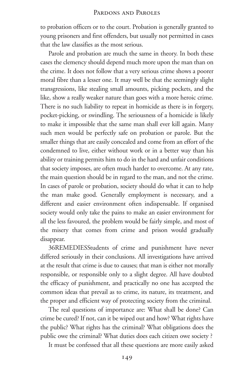#### PARDONS AND PAROLES

to probation officers or to the court. Probation is generally granted to young prisoners and first offenders, but usually not permitted in cases that the law classifies as the most serious.

Parole and probation are much the same in theory. In both these cases the clemency should depend much more upon the man than on the crime. It does not follow that a very serious crime shows a poorer moral fibre than a lesser one. It may well be that the seemingly slight transgressions, like stealing small amounts, picking pockets, and the like, show a really weaker nature than goes with a more heroic crime. There is no such liability to repeat in homicide as there is in forgery, pocket-picking, or swindling. The seriousness of a homicide is likely to make it impossible that the same man shall ever kill again. Many such men would be perfectly safe on probation or parole. But the smaller things that are easily concealed and come from an effort of the condemned to live, either without work or in a better way than his ability or training permits him to do in the hard and unfair conditions that society imposes, are often much harder to overcome. At any rate, the main question should be in regard to the man, and not the crime. In cases of parole or probation, society should do what it can to help the man make good. Generally employment is necessary, and a different and easier environment often indispensable. If organised society would only take the pains to make an easier environment for all the less favoured, the problem would be fairly simple, and most of the misery that comes from crime and prison would gradually disappear.

36REMEDIESStudents of crime and punishment have never differed seriously in their conclusions. All investigations have arrived at the result that crime is due to causes; that man is either not morally responsible, or responsible only to a slight degree. All have doubted the efficacy of punishment, and practically no one has accepted the common ideas that prevail as to crime, its nature, its treatment, and the proper and efficient way of protecting society from the criminal.

The real questions of importance are: What shall be done? Can crime be cured? If not, can it be wiped out and how? What rights have the public? What rights has the criminal? What obligations does the public owe the criminal? What duties does each citizen owe society ?

It must be confessed that all these questions are more easily asked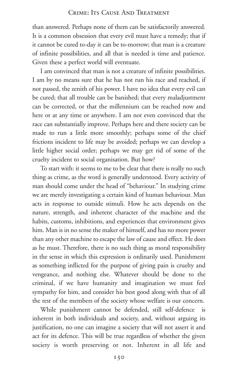than answered. Perhaps none of them can be satisfactorily answered. It is a common obsession that every evil must have a remedy; that if it cannot be cured to-day it can be to-morrow; that man is a creature of infinite possibilities, and all that is needed is time and patience. Given these a perfect world will eventuate.

I am convinced that man is not a creature of infinite possibilities. I am by no means sure that he has not run his race and reached, if not passed, the zenith of his power. I have no idea that every evil can be cured; that all trouble can be banished; that every maladjustment can be corrected, or that the millennium can be reached now and here or at any time or anywhere. I am not even convinced that the race can substantially improve. Perhaps here and there society can be made to run a little more smoothly; perhaps some of the chief frictions incident to life may be avoided; perhaps we can develop a little higher social order; perhaps we may get rid of some of the cruelty incident to social organisation. But how?

To start with: it seems to me to be clear that there is really no such thing as crime, as the word is generally understood. Every activity of man should come under the head of "behaviour." In studying crime we are merely investigating a certain kind of human behaviour. Man acts in response to outside stimuli. How he acts depends on the nature, strength, and inherent character of the machine and the habits, customs, inhibitions, and experiences that environment gives him. Man is in no sense the maker of himself, and has no more power than any other machine to escape the law of cause and effect. He does as he must. Therefore, there is no such thing as moral responsibility in the sense in which this expression is ordinarily used. Punishment as something inflicted for the purpose of giving pain is cruelty and vengeance, and nothing else. Whatever should be done to the criminal, if we have humanity and imagination we must feel sympathy for him, and consider his best good along with that of all the rest of the members of the society whose welfare is our concern.

While punishment cannot be defended, still self-defence is inherent in both individuals and society, and, without arguing its justification, no one can imagine a society that will not assert it and act for its defence. This will be true regardless of whether the given society is worth preserving or not. Inherent in all life and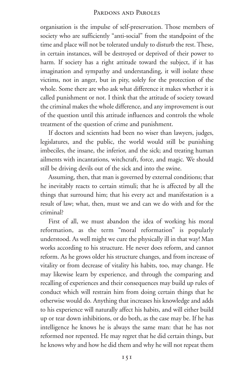# PARDONS AND PAROLES

organisation is the impulse of self-preservation. Those members of society who are sufficiently "anti-social" from the standpoint of the time and place will not be tolerated unduly to disturb the rest. These, in certain instances, will be destroyed or deprived of their power to harm. If society has a right attitude toward the subject, if it has imagination and sympathy and understanding, it will isolate these victims, not in anger, but in pity, solely for the protection of the whole. Some there are who ask what difference it makes whether it is called punishment or not. I think that the attitude of society toward the criminal makes the whole difference, and any improvement is out of the question until this attitude influences and controls the whole treatment of the question of crime and punishment.

If doctors and scientists had been no wiser than lawyers, judges, legislatures, and the public, the world would still be punishing imbeciles, the insane, the inferior, and the sick; and treating human ailments with incantations, witchcraft, force, and magic. We should still be driving devils out of the sick and into the swine.

Assuming, then, that man is governed by external conditions; that he inevitably reacts to certain stimuli; that he is affected by all the things that surround him; that his every act and manifestation is a result of law; what, then, must we and can we do with and for the criminal?

First of all, we must abandon the idea of working his moral reformation, as the term "moral reformation" is popularly understood. As well might we cure the physically ill in that way! Man works according to his structure. He never does reform, and cannot reform. As he grows older his structure changes, and from increase of vitality or from decrease of vitality his habits, too, may change. He may likewise learn by experience, and through the comparing and recalling of experiences and their consequences may build up rules of conduct which will restrain him from doing certain things that he otherwise would do. Anything that increases his knowledge and adds to his experience will naturally affect his habits, and will either build up or tear down inhibitions, or do both, as the case may be. If he has intelligence he knows he is always the same man: that he has not reformed nor repented. He may regret that he did certain things, but he knows why and how he did them and why he will not repeat them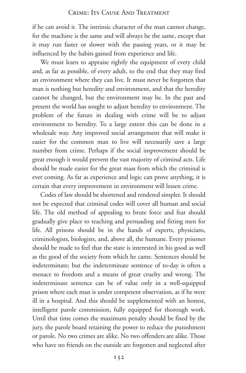if he can avoid it. The intrinsic character of the man cannot change, for the machine is the same and will always be the same, except that it may run faster or slower with the passing years, or it may be influenced by the habits gained from experience and life.

We must learn to appraise rightly the equipment of every child and, as far as possible, of every adult, to the end that they may find an environment where they can live. It must never be forgotten that man is nothing but heredity and environment, and that the heredity cannot be changed, but the environment may be. In the past and present the world has sought to adjust heredity to environment. The problem of the future in dealing with crime will be to adjust environment to heredity. To a large extent this can be done in a wholesale way. Any improved social arrangement that will make it easier for the common man to live will necessarily save a large number from crime. Perhaps if the social improvement should be great enough it would prevent the vast majority of criminal acts. Life should be made easier for the great mass from which the criminal is ever coming. As far as experience and logic can prove anything, it is certain that every improvement in environment will lessen crime.

Codes of law should be shortened and rendered simpler. It should not be expected that criminal codes will cover all human and social life. The old method of appealing to brute force and fear should gradually give place to teaching and persuading and fitting men for life. All prisons should be in the hands of experts, physicians, criminologists, biologists, and, above all, the humane. Every prisoner should be made to feel that the state is interested in his good as well as the good of the society from which he came. Sentences should be indeterminate; but the indeterminate sentence of to-day is often a menace to freedom and a means of great cruelty and wrong. The indeterminate sentence can be of value only in a well-equipped prison where each man is under competent observation, as if he were ill in a hospital. And this should be supplemented with an honest, intelligent parole commission, fully equipped for thorough work. Until that time comes the maximum penalty should be fixed by the jury, the parole board retaining the power to reduce the punishment or parole. No two crimes are alike. No two offenders are alike. Those who have no friends on the outside are forgotten and neglected after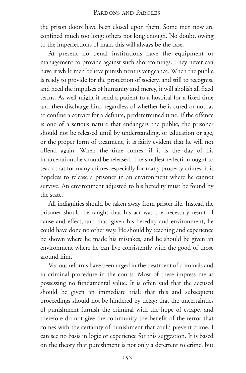## PARDONS AND PAROLES

the prison doors have been closed upon them. Some men now are confined much too long; others not long enough. No doubt, owing to the imperfections of man, this will always be the case.

At present no penal institutions have the equipment or management to provide against such shortcomings. They never can have it while men believe punishment is vengeance. When the public is ready to provide for the protection of society, and still to recognise and heed the impulses of humanity and mercy, it will abolish all fixed terms. As well might it send a patient to a hospital for a fixed time and then discharge him, regardless of whether he is cured or not, as to confine a convict for a definite, predetermined time. If the offence is one of a serious nature that endangers the public, the prisoner should not be released until by understanding, or education or age, or the proper form of treatment, it is fairly evident that he will not offend again. When the time comes, if it is the day of his incarceration, he should be released. The smallest reflection ought to teach that for many crimes, especially for many property crimes, it is hopeless to release a prisoner in an environment where he cannot survive. An environment adjusted to his heredity must be found by the state.

All indignities should be taken away from prison life. Instead the prisoner should be taught that his act was the necessary result of cause and effect, and that, given his heredity and environment, he could have done no other way. He should by teaching and experience be shown where he made his mistakes, and he should be given an environment where he can live consistently with the good of those around him.

Various reforms have been urged in the treatment of criminals and in criminal procedure in the courts. Most of these impress me as possessing no fundamental value. It is often said that the accused should be given an immediate trial; that this and subsequent proceedings should not be hindered by delay; that the uncertainties of punishment furnish the criminal with the hope of escape, and therefore do not give the community the benefit of the terror that comes with the certainty of punishment that could prevent crime. I can see no basis in logic or experience for this suggestion. It is based on the theory that punishment is not only a deterrent to crime, but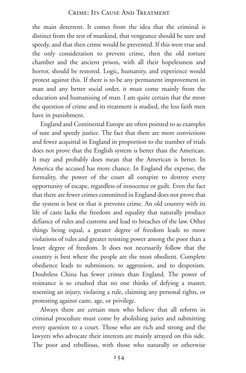the main deterrent. It comes from the idea that the criminal is distinct from the rest of mankind, that vengeance should be sure and speedy, and that then crime would be prevented. If this were true and the only consideration to prevent crime, then the old torture chamber and the ancient prison, with all their hopelessness and horror, should be restored. Logic, humanity, and experience would protest against this. If there is to be any permanent improvement in man and any better social order, it must come mainly from the education and humanising of man. I am quite certain that the more the question of crime and its treatment is studied, the less faith men have in punishment.

England and Continental Europe are often pointed to as examples of sure and speedy justice. The fact that there are more convictions and fewer acquittal in England in proportion to the number of trials does not prove that the English system is better than the American. It may and probably does mean that the American is better. In America the accused has more chance. In England the expense, the formality, the power of the court all conspire to destroy every opportunity of escape, regardless of innocence or guilt. Even the fact that there are fewer crimes committed in England does not prove that the system is best or that it prevents crime. An old country with its life of caste lacks the freedom and equality that naturally produce defiance of rules and customs and lead to breaches of the law. Other things being equal, a greater degree of freedom leads to more violations of rules and greater resisting power among the poor than a lesser degree of freedom. It does not necessarily follow that the country is best where the people are the most obedient. Complete obedience leads to submission, to aggression, and to despotism. Doubtless China has fewer crimes than England. The power of resistance is so crushed that no one thinks of defying a master, resenting an injury, violating a rule, claiming any personal rights, or protesting against caste, age, or privilege.

Always there are certain men who believe that all reform in criminal procedure must come by abolishing juries and submitting every question to a court. Those who are rich and strong and the lawyers who advocate their interests are mainly arrayed on this side. The poor and rebellious, with those who naturally or otherwise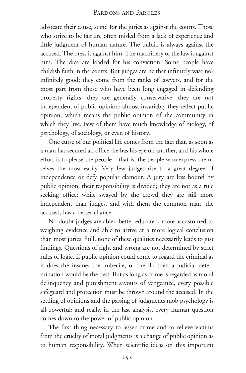# PARDONS AND PAROLES

advocate their cause, stand for the juries as against the courts. Those who strive to be fair are often misled from a lack of experience and little judgment of human nature. The public is always against the accused. The press is against him. The machinery of the law is against him. The dice are loaded for his conviction. Some people have childish faith in the courts. But judges are neither infinitely wise nor infinitely good; they come from the ranks of lawyers, and for the most part from those who have been long engaged in defending property rights; they are generally conservative; they are not independent of public opinion; almost invariably they reflect public opinion, which means the public opinion of the community in which they live. Few of them have much knowledge of biology, of psychology, of sociology, or even of history.

One curse of our political life comes from the fact that, as soon as a man has secured an office, he has his eye on another, and his whole effort is to please the people – that is, the people who express themselves the most easily. Very few judges rise to a great degree of independence or defy popular clamour. A jury are less bound by public opinion; their responsibility is divided; they are not as a rule seeking office; while swayed by the crowd they are still more independent than judges, and with them the common man, the accused, has a better chance.

No doubt judges are abler, better educated, more accustomed to weighing evidence and able to arrive at a more logical conclusion than most juries. Still, none of these qualities necessarily leads to just findings. Questions of right and wrong are not determined by strict rules of logic. If public opinion could come to regard the criminal as it does the insane, the imbecile, or the ill, then a judicial determination would be the best. But as long as crime is regarded as moral delinquency and punishment savours of vengeance, every possible safeguard and protection must be thrown around the accused. In the settling of opinions and the passing of judgments mob psychology is all-powerful; and really, in the last analysis, every human question comes down to the power of public opinion.

The first thing necessary to lessen crime and to relieve victims from the cruelty of moral judgments is a change of public opinion as to human responsibility. When scientific ideas on this important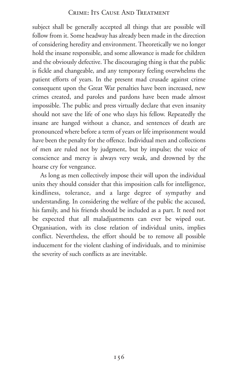# CRIME: ITS CAUSE AND TREATMENT

subject shall be generally accepted all things that are possible will follow from it. Some headway has already been made in the direction of considering heredity and environment. Theoretically we no longer hold the insane responsible, and some allowance is made for children and the obviously defective. The discouraging thing is that the public is fickle and changeable, and any temporary feeling overwhelms the patient efforts of years. In the present mad crusade against crime consequent upon the Great War penalties have been increased, new crimes created, and paroles and pardons have been made almost impossible. The public and press virtually declare that even insanity should not save the life of one who slays his fellow. Repeatedly the insane are hanged without a chance, and sentences of death are pronounced where before a term of years or life imprisonment would have been the penalty for the offence. Individual men and collections of men are ruled not by judgment, but by impulse; the voice of conscience and mercy is always very weak, and drowned by the hoarse cry for vengeance.

As long as men collectively impose their will upon the individual units they should consider that this imposition calls for intelligence, kindliness, tolerance, and a large degree of sympathy and understanding. In considering the welfare of the public the accused, his family, and his friends should be included as a part. It need not be expected that all maladjustments can ever be wiped out. Organisation, with its close relation of individual units, implies conflict. Nevertheless, the effort should be to remove all possible inducement for the violent clashing of individuals, and to minimise the severity of such conflicts as are inevitable.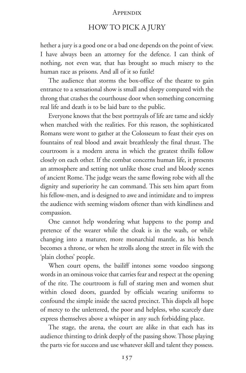#### **APPENDIX**

# HOW TO PICK A JURY

hether a jury is a good one or a bad one depends on the point of view. I have always been an attorney for the defence. I can think of nothing, not even war, that has brought so much misery to the human race as prisons. And all of it so futile!

The audience that storms the box-office of the theatre to gain entrance to a sensational show is small and sleepy compared with the throng that crashes the courthouse door when something concerning real life and death is to be laid bare to the public.

Everyone knows that the best portrayals of life are tame and sickly when matched with the realities. For this reason, the sophisticated Romans were wont to gather at the Colosseum to feast their eyes on fountains of real blood and await breathlessly the final thrust. The courtroom is a modern arena in which the greatest thrills follow closely on each other. If the combat concerns human life, it presents an atmosphere and setting not unlike those cruel and bloody scenes of ancient Rome. The judge wears the same flowing robe with all the dignity and superiority he can command. This sets him apart from his fellow-men, and is designed to awe and intimidate and to impress the audience with seeming wisdom oftener than with kindliness and compassion.

One cannot help wondering what happens to the pomp and pretence of the wearer while the cloak is in the wash, or while changing into a maturer, more monarchial mantle, as his bench becomes a throne, or when he strolls along the street in file with the 'plain clothes' people.

When court opens, the bailiff intones some voodoo singsong words in an ominous voice that carries fear and respect at the opening of the rite. The courtroom is full of staring men and women shut within closed doors, guarded by officials wearing uniforms to confound the simple inside the sacred precinct. This dispels all hope of mercy to the unlettered, the poor and helpless, who scarcely dare express themselves above a whisper in any such forbidding place.

The stage, the arena, the court are alike in that each has its audience thirsting to drink deeply of the passing show. Those playing the parts vie for success and use whatever skill and talent they possess.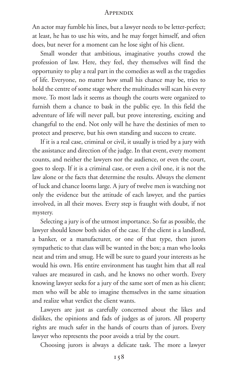#### **APPENDIX**

An actor may fumble his lines, but a lawyer needs to be letter-perfect; at least, he has to use his wits, and he may forget himself, and often does, but never for a moment can he lose sight of his client.

Small wonder that ambitious, imaginative youths crowd the profession of law. Here, they feel, they themselves will find the opportunity to play a real part in the comedies as well as the tragedies of life. Everyone, no matter how small his chance may be, tries to hold the centre of some stage where the multitudes will scan his every move. To most lads it seems as though the courts were organized to furnish them a chance to bask in the public eye. In this field the adventure of life will never pall, but prove interesting, exciting and changeful to the end. Not only will he have the destinies of men to protect and preserve, but his own standing and success to create.

If it is a real case, criminal or civil, it usually is tried by a jury with the assistance and direction of the judge. In that event, every moment counts, and neither the lawyers nor the audience, or even the court, goes to sleep. If it is a criminal case, or even a civil one, it is not the law alone or the facts that determine the results. Always the element of luck and chance looms large. A jury of twelve men is watching not only the evidence but the attitude of each lawyer, and the parties involved, in all their moves. Every step is fraught with doubt, if not mystery.

Selecting a jury is of the utmost importance. So far as possible, the lawyer should know both sides of the case. If the client is a landlord, a banker, or a manufacturer, or one of that type, then jurors sympathetic to that class will be wanted in the box; a man who looks neat and trim and smug. He will be sure to guard your interests as he would his own. His entire environment has taught him that all real values are measured in cash, and he knows no other worth. Every knowing lawyer seeks for a jury of the same sort of men as his client; men who will be able to imagine themselves in the same situation and realize what verdict the client wants.

Lawyers are just as carefully concerned about the likes and dislikes, the opinions and fads of judges as of jurors. All property rights are much safer in the hands of courts than of jurors. Every lawyer who represents the poor avoids a trial by the court.

Choosing jurors is always a delicate task. The more a lawyer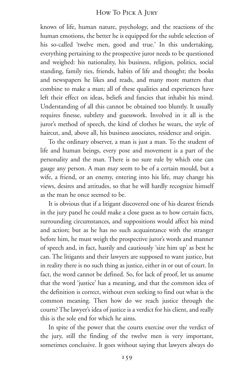# How To Pick A Jury

knows of life, human nature, psychology, and the reactions of the human emotions, the better he is equipped for the subtle selection of his so-called 'twelve men, good and true.' In this undertaking, everything pertaining to the prospective juror needs to be questioned and weighed: his nationality, his business, religion, politics, social standing, family ties, friends, habits of life and thought; the books and newspapers he likes and reads, and many more matters that combine to make a man; all of these qualities and experiences have left their effect on ideas, beliefs and fancies that inhabit his mind. Understanding of all this cannot be obtained too bluntly. It usually requires finesse, subtlety and guesswork. Involved in it all is the juror's method of speech, the kind of clothes he wears, the style of haircut, and, above all, his business associates, residence and origin.

To the ordinary observer, a man is just a man. To the student of life and human beings, every pose and movement is a part of the personality and the man. There is no sure rule by which one can gauge any person. A man may seem to be of a certain mould, but a wife, a friend, or an enemy, entering into his life, may change his views, desires and attitudes, so that he will hardly recognize himself as the man he once seemed to be.

It is obvious that if a litigant discovered one of his dearest friends in the jury panel he could make a close guess as to how certain facts, surrounding circumstances, and suppositions would affect his mind and action; but as he has no such acquaintance with the stranger before him, he must weigh the prospective juror's words and manner of speech and, in fact, hastily and cautiously 'size him up' as best he can. The litigants and their lawyers are supposed to want justice, but in reality there is no such thing as justice, either in or out of court. In fact, the word cannot be defined. So, for lack of proof, let us assume that the word 'justice' has a meaning, and that the common idea of the definition is correct, without even seeking to find out what is the common meaning. Then how do we reach justice through the courts? The lawyer's idea of justice is a verdict for his client, and really this is the sole end for which he aims.

In spite of the power that the courts exercise over the verdict of the jury, still the finding of the twelve men is very important, sometimes conclusive. It goes without saying that lawyers always do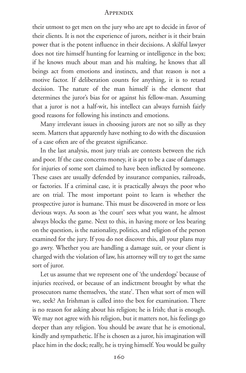#### **APPENDIX**

their utmost to get men on the jury who are apt to decide in favor of their clients. It is not the experience of jurors, neither is it their brain power that is the potent influence in their decisions. A skilful lawyer does not tire himself hunting for learning or intelligence in the box; if he knows much about man and his malting, he knows that all beings act from emotions and instincts, and that reason is not a motive factor. If deliberation counts for anything, it is to retard decision. The nature of the man himself is the element that determines the juror's bias for or against his fellow-man. Assuming that a juror is not a half-wit, his intellect can always furnish fairly good reasons for following his instincts and emotions.

Many irrelevant issues in choosing jurors are not so silly as they seem. Matters that apparently have nothing to do with the discussion of a case often are of the greatest significance.

In the last analysis, most jury trials are contests between the rich and poor. If the case concerns money, it is apt to be a case of damages for injuries of some sort claimed to have been inflicted by someone. These cases are usually defended by insurance companies, railroads, or factories. If a criminal case, it is practically always the poor who are on trial. The most important point to learn is whether the prospective juror is humane. This must be discovered in more or less devious ways. As soon as 'the court' sees what you want, he almost always blocks the game. Next to this, in having more or less bearing on the question, is the nationality, politics, and religion of the person examined for the jury. If you do not discover this, all your plans may go awry. Whether you are handling a damage suit, or your client is charged with the violation of law, his attorney will try to get the same sort of juror.

Let us assume that we represent one of 'the underdogs' because of injuries received, or because of an indictment brought by what the prosecutors name themselves, 'the state'. Then what sort of men will we, seek? An Irishman is called into the box for examination. There is no reason for asking about his religion; he is Irish; that is enough. We may not agree with his religion, but it matters not, his feelings go deeper than any religion. You should be aware that he is emotional, kindly and sympathetic. If he is chosen as a juror, his imagination will place him in the dock; really, he is trying himself. You would be guilty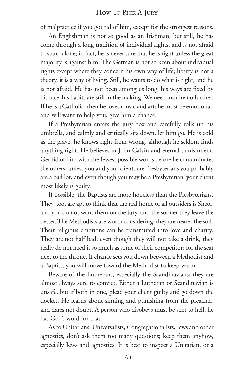# How To Pick A Jury

of malpractice if you got rid of him, except for the strongest reasons.

An Englishman is not so good as an Irishman, but still, he has come through a long tradition of individual rights, and is not afraid to stand alone; in fact, he is never sure that he is right unless the great majority is against him. The German is not so keen about individual rights except where they concern his own way of life; liberty is not a theory, it is a way of living. Still, he wants to do what is right, and he is not afraid. He has not been among us long, his ways are fixed by his race, his habits are still in the making. We need inquire no further. If he is a Catholic, then he loves music and art; he must be emotional, and will want to help you; give him a chance.

If a Presbyterian enters the jury box and carefully rolls up his umbrella, and calmly and critically sits down, let him go. He is cold as the grave; he knows right from wrong, although he seldom finds anything right. He believes in John Calvin and eternal punishment. Get rid of him with the fewest possible words before he contaminates the others; unless you and your clients are Presbyterians you probably are a bad lot, and even though you may be a Presbyterian, your client most likely is guilty.

If possible, the Baptists are more hopeless than the Presbyterians. They, too, are apt to think that the real home of all outsiders is Sheol, and you do not want them on the jury, and the sooner they leave the better. The Methodists are worth considering; they are nearer the soil. Their religious emotions can be transmuted into love and charity. They are not half bad; even though they will not take a drink, they really do not need it so much as some of their competitors for the seat next to the throne. If chance sets you down between a Methodist and a Baptist, you will move toward the Methodist to keep warm.

Beware of the Lutherans, especially the Scandinavians; they are almost always sure to convict. Either a Lutheran or Scandinavian is unsafe, but if both in one, plead your client guilty and go down the docket. He learns about sinning and punishing from the preacher, and dares not doubt. A person who disobeys must be sent to hell; he has God's word for that.

As to Unitarians, Universalists, Congregationalists, Jews and other agnostics, don't ask them too many questions; keep them anyhow, especially Jews and agnostics. It is best to inspect a Unitarian, or a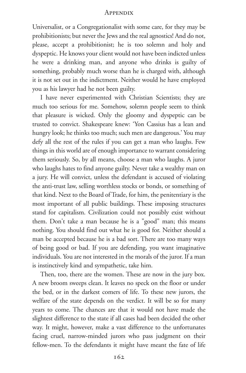#### **APPENDIX**

Universalist, or a Congregationalist with some care, for they may be prohibitionists; but never the Jews and the real agnostics! And do not, please, accept a prohibitionist; he is too solemn and holy and dyspeptic. He knows your client would not have been indicted unless he were a drinking man, and anyone who drinks is guilty of something, probably much worse than he is charged with, although it is not set out in the indictment. Neither would he have employed you as his lawyer had he not been guilty.

I have never experimented with Christian Scientists; they are much too serious for me. Somehow, solemn people seem to think that pleasure is wicked. Only the gloomy and dyspeptic can be trusted to convict. Shakespeare knew: 'Yon Cassius has a lean and hungry look; he thinks too much; such men are dangerous.' You may defy all the rest of the rules if you can get a man who laughs. Few things in this world are of enough importance to warrant considering them seriously. So, by all means, choose a man who laughs. A juror who laughs hates to find anyone guilty. Never take a wealthy man on a jury. He will convict, unless the defendant is accused of violating the anti-trust law, selling worthless stocks or bonds, or something of that kind. Next to the Board of Trade, for him, the penitentiary is the most important of all public buildings. These imposing structures stand for capitalism. Civilization could not possibly exist without them. Don't take a man because he is a "good" man; this means nothing. You should find out what he is good for. Neither should a man be accepted because he is a bad sort. There are too many ways of being good or bad. If you are defending, you want imaginative individuals. You are not interested in the morals of the juror. If a man is instinctively kind and sympathetic, take him.

Then, too, there are the women. These are now in the jury box. A new broom sweeps clean. It leaves no speck on the floor or under the bed, or in the darkest comers of life. To these new jurors, the welfare of the state depends on the verdict. It will be so for many years to come. The chances are that it would not have made the slightest difference to the state if all cases had been decided the other way. It might, however, make a vast difference to the unfortunates facing cruel, narrow-minded jurors who pass judgment on their fellow-men. To the defendants it might have meant the fate of life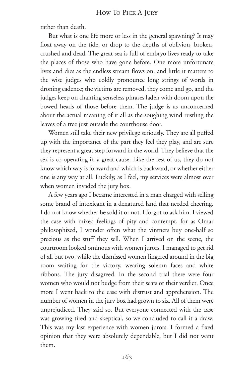rather than death.

But what is one life more or less in the general spawning? It may float away on the tide, or drop to the depths of oblivion, broken, crushed and dead. The great sea is full of embryo lives ready to take the places of those who have gone before. One more unfortunate lives and dies as the endless stream flows on, and little it matters to the wise judges who coldly pronounce long strings of words in droning cadence; the victims are removed, they come and go, and the judges keep on chanting senseless phrases laden with doom upon the bowed heads of those before them. The judge is as unconcerned about the actual meaning of it all as the soughing wind rustling the leaves of a tree just outside the courthouse door.

Women still take their new privilege seriously. They are all puffed up with the importance of the part they feel they play, and are sure they represent a great step forward in the world. They believe that the sex is co-operating in a great cause. Like the rest of us, they do not know which way is forward and which is backward, or whether either one is any way at all. Luckily, as I feel, my services were almost over when women invaded the jury box.

A few years ago I became interested in a man charged with selling some brand of intoxicant in a denatured land that needed cheering. I do not know whether he sold it or not. I forgot to ask him. I viewed the case with mixed feelings of pity and contempt, for as Omar philosophized, I wonder often what the vintners buy one-half so precious as the stuff they sell. When I arrived on the scene, the courtroom looked ominous with women jurors. I managed to get rid of all but two, while the dismissed women lingered around in the big room waiting for the victory, wearing solemn faces and white ribbons. The jury disagreed. In the second trial there were four women who would not budge from their seats or their verdict. Once more I went back to the case with distrust and apprehension. The number of women in the jury box had grown to six. All of them were unprejudiced. They said so. But everyone connected with the case was growing tired and skeptical, so we concluded to call it a draw. This was my last experience with women jurors. I formed a fixed opinion that they were absolutely dependable, but I did not want them.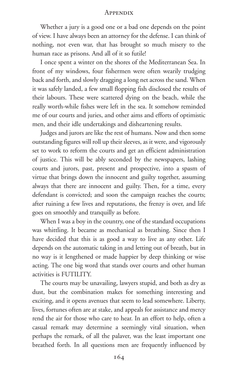#### **APPENDIX**

Whether a jury is a good one or a bad one depends on the point of view. I have always been an attorney for the defense. I can think of nothing, not even war, that has brought so much misery to the human race as prisons. And all of it so futile!

I once spent a winter on the shores of the Mediterranean Sea. In front of my windows, four fishermen were often wearily trudging back and forth, and slowly dragging a long net across the sand. When it was safely landed, a few small flopping fish disclosed the results of their labours. These were scattered dying on the beach, while the really worth-while fishes were left in the sea. It somehow reminded me of our courts and juries, and other aims and efforts of optimistic men, and their idle undertakings and disheartening results.

Judges and jurors are like the rest of humans. Now and then some outstanding figures will roll up their sleeves, as it were, and vigorously set to work to reform the courts and get an efficient administration of justice. This will be ably seconded by the newspapers, lashing courts and jurors, past, present and prospective, into a spasm of virtue that brings down the innocent and guilty together, assuming always that there are innocent and guilty. Then, for a time, every defendant is convicted; and soon the campaign reaches the courts; after ruining a few lives and reputations, the frenzy is over, and life goes on smoothly and tranquilly as before.

When I was a boy in the country, one of the standard occupations was whittling. It became as mechanical as breathing. Since then I have decided that this is as good a way to live as any other. Life depends on the automatic taking in and letting out of breath, but in no way is it lengthened or made happier by deep thinking or wise acting. The one big word that stands over courts and other human activities is FUTILITY.

The courts may be unavailing, lawyers stupid, and both as dry as dust, but the combination makes for something interesting and exciting, and it opens avenues that seem to lead somewhere. Liberty, lives, fortunes often are at stake, and appeals for assistance and mercy rend the air for those who care to hear. In an effort to help, often a casual remark may determine a seemingly vital situation, when perhaps the remark, of all the palaver, was the least important one breathed forth. In all questions men are frequently influenced by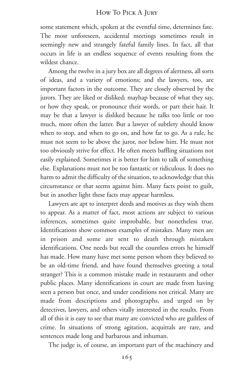# How To Pick A Jury

some statement which, spoken at the eventful time, determines fate. The most unforeseen, accidental meetings sometimes result in seemingly new and strangely fateful family lines. In fact, all that occurs in life is an endless sequence of events resulting from the wildest chance.

Among the twelve in a jury box are all degrees of alertness, all sorts of ideas, and a variety of emotions; and the lawyers, too, are important factors in the outcome. They are closely observed by the jurors. They are liked or disliked; mayhap because of what they say, or how they speak, or pronounce their words, or part their hair. It may be that a lawyer is disliked because he talks too little or too much, more often the latter. But a lawyer of subtlety should know when to stop, and when to go on, and how far to go. As a rule, he must not seem to be above the juror, nor below him. He must not too obviously strive for effect. He often meets baffling situations not easily explained. Sometimes it is better for him to talk of something else. Explanations must not be too fantastic or ridiculous. It does no harm to admit the difficulty of the situation, to acknowledge that this circumstance or that seems against him. Many facts point to guilt, but in another light these facts may appear harmless.

Lawyers are apt to interpret deeds and motives as they wish them to appear. As a matter of fact, most actions are subject to various inferences, sometimes quite improbable, but nonetheless true. Identifications show common examples of mistakes. Many men are in prison and some are sent to death through mistaken identifications. One needs but recall the countless errors he himself has made. How many have met some person whom they believed to be an old-time friend, and have found themselves greeting a total stranger? This is a common mistake made in restaurants and other public places. Many identifications in court are made from having seen a person but once, and under conditions not critical. Many are made from descriptions and photographs, and urged on by detectives, lawyers, and others vitally interested in the results. From all of this it is easy to see that many are convicted who are guiltless of crime. In situations of strong agitation, acquittals are rare, and sentences made long and barbarous and inhuman.

The judge is, of course, an important part of the machinery and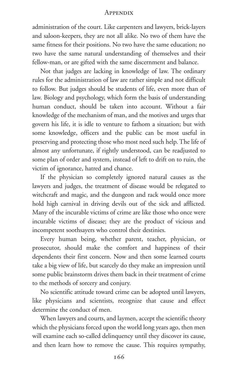#### **APPENDIX**

administration of the court. Like carpenters and lawyers, brick-layers and saloon-keepers, they are not all alike. No two of them have the same fitness for their positions. No two have the same education; no two have the same natural understanding of themselves and their fellow-man, or are gifted with the same discernment and balance.

Not that judges are lacking in knowledge of law. The ordinary rules for the administration of law are rather simple and not difficult to follow. But judges should be students of life, even more than of law. Biology and psychology, which form the basis of understanding human conduct, should be taken into account. Without a fair knowledge of the mechanism of man, and the motives and urges that govern his life, it is idle to venture to fathom a situation; but with some knowledge, officers and the public can be most useful in preserving and protecting those who most need such help. The life of almost any unfortunate, if rightly understood, can be readjusted to some plan of order and system, instead of left to drift on to ruin, the victim of ignorance, hatred and chance.

If the physician so completely ignored natural causes as the lawyers and judges, the treatment of disease would be relegated to witchcraft and magic, and the dungeon and rack would once more hold high carnival in driving devils out of the sick and afflicted. Many of the incurable victims of crime are like those who once were incurable victims of disease; they are the product of vicious and incompetent soothsayers who control their destinies.

Every human being, whether parent, teacher, physician, or prosecutor, should make the comfort and happiness of their dependents their first concern. Now and then some learned courts take a big view of life, but scarcely do they make an impression until some public brainstorm drives them back in their treatment of crime to the methods of sorcery and conjury.

No scientific attitude toward crime can be adopted until lawyers, like physicians and scientists, recognize that cause and effect determine the conduct of men.

When lawyers and courts, and laymen, accept the scientific theory which the physicians forced upon the world long years ago, then men will examine each so-called delinquency until they discover its cause, and then learn how to remove the cause. This requires sympathy,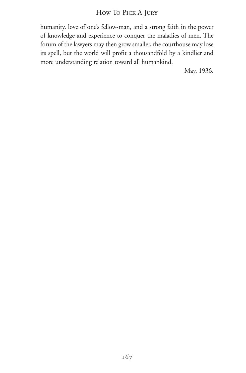# How To Pick A Jury

humanity, love of one's fellow-man, and a strong faith in the power of knowledge and experience to conquer the maladies of men. The forum of the lawyers may then grow smaller, the courthouse may lose its spell, but the world will profit a thousandfold by a kindlier and more understanding relation toward all humankind.

May, 1936.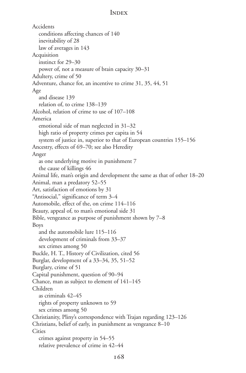Accidents conditions affecting chances of 140 inevitability of 28 law of averages in 143 Acquisition instinct for 29–30 power of, not a measure of brain capacity 30–31 Adultery, crime of 50 Adventure, chance for, an incentive to crime 31, 35, 44, 51 Age and disease 139 relation of, to crime 138–139 Alcohol, relation of crime to use of 107–108 America emotional side of man neglected in 31–32 high ratio of property crimes per capita in 54 system of justice in, superior to that of European countries 155–156 Ancestry, effects of 69–70; see also Heredity Anger as one underlying motive in punishment 7 the cause of killings 46 Animal life, man's origin and development the same as that of other 18–20 Animal, man a predatory 52–55 Art, satisfaction of emotions by 31 "Antisocial," significance of term 3–4 Automobile, effect of the, on crime 114–116 Beauty, appeal of, to man's emotional side 31 Bible, vengeance as purpose of punishment shown by 7–8 Boys and the automobile lure 115–116 development of criminals from 33–37 sex crimes among 50 Buckle, H. T., History of Civilization, cited 56 Burglar, development of a 33–34, 35, 51–52 Burglary, crime of 51 Capital punishment, question of 90–94 Chance, man as subject to element of 141–145 Children as criminals 42–45 rights of property unknown to 59 sex crimes among 50 Christianity, Pliny's correspondence with Trajan regarding 123–126 Christians, belief of early, in punishment as vengeance 8–10 **Cities** crimes against property in 54–55 relative prevalence of crime in 42–44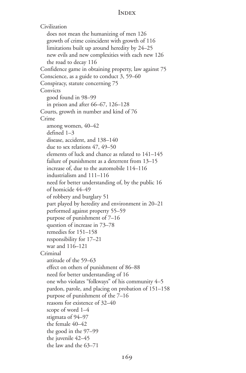Civilization does not mean the humanizing of men 126 growth of crime coincident with growth of 116 limitations built up around heredity by 24–25 new evils and new complexities with each new 126 the road to decay 116 Confidence game in obtaining property, law against 75 Conscience, as a guide to conduct 3, 59–60 Conspiracy, statute concerning 75 **Convicts** good found in 98–99 in prison and after 66–67, 126–128 Courts, growth in number and kind of 76 Crime among women, 40–42 defined 1–3 disease, accident, and 138–140 due to sex relations 47, 49–50 elements of luck and chance as related to 141–145 failure of punishment as a deterrent from 13–15 increase of, due to the automobile 114–116 industrialism and 111–116 need for better understanding of, by the public 16 of homicide 44–49 of robbery and burglary 51 part played by heredity and environment in 20–21 performed against property 55–59 purpose of punishment of 7–16 question of increase in 73–78 remedies for 151–158 responsibility for 17–21 war and 116–121 Criminal attitude of the 59–63 effect on others of punishment of 86–88 need for better understanding of 16 one who violates "folkways" of his community 4–5 pardon, parole, and placing on probation of 151–158 purpose of punishment of the 7–16 reasons for existence of 32–40 scope of word 1–4 stigmata of 94–97 the female 40–42 the good in the 97–99 the juvenile 42–45 the law and the 63–71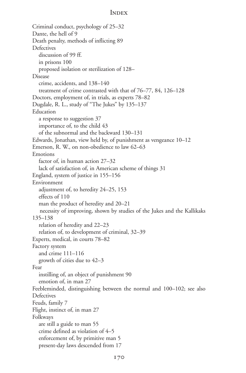Criminal conduct, psychology of 25–32 Dante, the hell of 9 Death penalty, methods of inflicting 89 **Defectives** discussion of 99 ff. in prisons 100 proposed isolation or sterilization of 128– Disease crime, accidents, and 138–140 treatment of crime contrasted with that of 76–77, 84, 126–128 Doctors, employment of, in trials, as experts 78–82 Dugdale, R. L., study of "The Jukes" by 135–137 Education a response to suggestion 37 importance of, to the child 43 of the subnormal and the backward 130–131 Edwards, Jonathan, view held by, of punishment as vengeance 10–12 Emerson, R. W., on non-obedience to law 62–63 Emotions factor of, in human action 27–32 lack of satisfaction of, in American scheme of things 31 England, system of justice in 155–156 Environment adjustment of, to heredity 24–25, 153 effects of 110 man the product of heredity and 20–21 necessity of improving, shown by studies of the Jukes and the Kallikaks 135–138 relation of heredity and 22–23 relation of, to development of criminal, 32–39 Experts, medical, in courts 78–82 Factory system and crime 111–116 growth of cities due to 42–3 Fear instilling of, an object of punishment 90 emotion of, in man 27 Feebleminded, distinguishing between the normal and 100–102; see also **Defectives** Feuds, family 7 Flight, instinct of, in man 27 Folkways are still a guide to man 55 crime defined as violation of 4–5 enforcement of, by primitive man 5 present-day laws descended from 17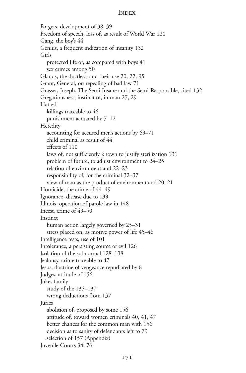Forgers, development of 38–39 Freedom of speech, loss of, as result of World War 120 Gang, the boy's 44 Genius, a frequent indication of insanity 132 Girls protected life of, as compared with boys 41 sex crimes among 50 Glands, the ductless, and their use 20, 22, 95 Grant, General, on repealing of bad law 71 Grasset, Joseph, The Semi-Insane and the Semi-Responsible, cited 132 Gregariousness, instinct of, in man 27, 29 Hatred killings traceable to 46 punishment actuated by 7–12 **Heredity** accounting for accused men's actions by 69–71 child criminal as result of 44 effects of 110 laws of, not sufficiently known to justify sterilization 131 problem of future, to adjust environment to 24–25 relation of environment and 22–23 responsibility of, for the criminal 32–37 view of man as the product of environment and 20–21 Homicide, the crime of 44–49 Ignorance, disease due to 139 Illinois, operation of parole law in 148 Incest, crime of 49–50 Instinct human action largely governed by 25–31 stress placed on, as motive power of life 45–46 Intelligence tests, use of 101 Intolerance, a persisting source of evil 126 Isolation of the subnormal 128–138 Jealousy, crime traceable to 47 Jesus, doctrine of vengeance repudiated by 8 Judges, attitude of 156 Jukes family study of the 135–137 wrong deductions from 137 Juries abolition of, proposed by some 156 attitude of, toward women criminals 40, 41, 47 better chances for the common man with 156 decision as to sanity of defendants left to 79 .selection of 157 (Appendix) Juvenile Courts 34, 76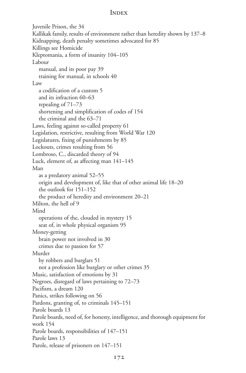Juvenile Prison, the 34 Kallikak family, results of environment rather than heredity shown by 137–8 Kidnapping, death penalty sometimes advocated for 85 Killings see Homicide Kleptomania, a form of insanity 104–105 Labour manual, and its poor pay 39 training for manual, in schools 40 Law a codification of a custom 5 and its infraction 60–63 repealing of 71–73 shortening and simplification of codes of 154 the criminal and the 63–71 Laws, feeling against so-called property 61 Legislation, restrictive, resulting from World War 120 Legislatures, fixing of punishments by 85 Lockouts, crimes resulting from 56 Lombroso, C., discarded theory of 94 Luck, element of, as affecting man 141–145 Man as a predatory animal 52–55 origin and development of, like that of other animal life 18–20 the outlook for 151–152 the product of heredity and environment 20–21 Milton, the hell of 9 Mind operations of the, clouded in mystery 15 seat of, in whole physical organism 95 Money-getting brain power not involved in 30 crimes due to passion for 57 Murder by robbers and burglars 51 not a profession like burglary or other crimes 35 Music, satisfaction of emotions by 31 Negroes, disregard of laws pertaining to 72–73 Pacifism, a dream 120 Panics, strikes following on 56 Pardons, granting of, to criminals 145–151 Parole boards 13 Parole boards, need of, for honesty, intelligence, and thorough equipment for work 154 Parole boards, responsibilities of 147–151 Parole laws 13 Parole, release of prisoners on 147–151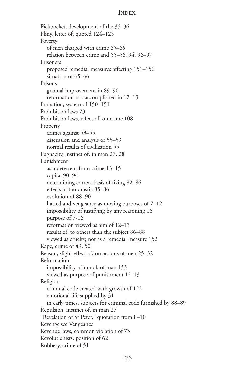## **INDEX**

Pickpocket, development of the 35–36 Pliny, letter of, quoted 124–125 Poverty of men charged with crime 65–66 relation between crime and 55–56, 94, 96–97 Prisoners proposed remedial measures affecting 151–156 situation of 65–66 Prisons gradual improvement in 89–90 reformation not accomplished in 12–13 Probation, system of 150–151 Prohibition laws 73 Prohibition laws, effect of, on crime 108 Property crimes against 53–55 discussion and analysis of 55–59 normal results of civilization 55 Pugnacity, instinct of, in man 27, 28 Punishment as a deterrent from crime 13–15 capital 90–94 determining correct basis of fixing 82–86 effects of too drastic 85–86 evolution of 88–90 hatred and vengeance as moving purposes of  $7-12$ impossibility of justifying by any reasoning 16 purpose of 7-16 reformation viewed as aim of 12–13 results of, to others than the subject 86–88 viewed as cruelty, not as a remedial measure 152 Rape, crime of 49, 50 Reason, slight effect of, on actions of men 25–32 Reformation impossibility of moral, of man 153 viewed as purpose of punishment 12–13 Religion criminal code created with growth of 122 emotional life supplied by 31 in early times, subjects for criminal code furnished by 88–89 Repulsion, instinct of, in man 27 "Revelation of St Peter," quotation from 8–10 Revenge see Vengeance Revenue laws, common violation of 73 Revolutionists, position of 62 Robbery, crime of 51